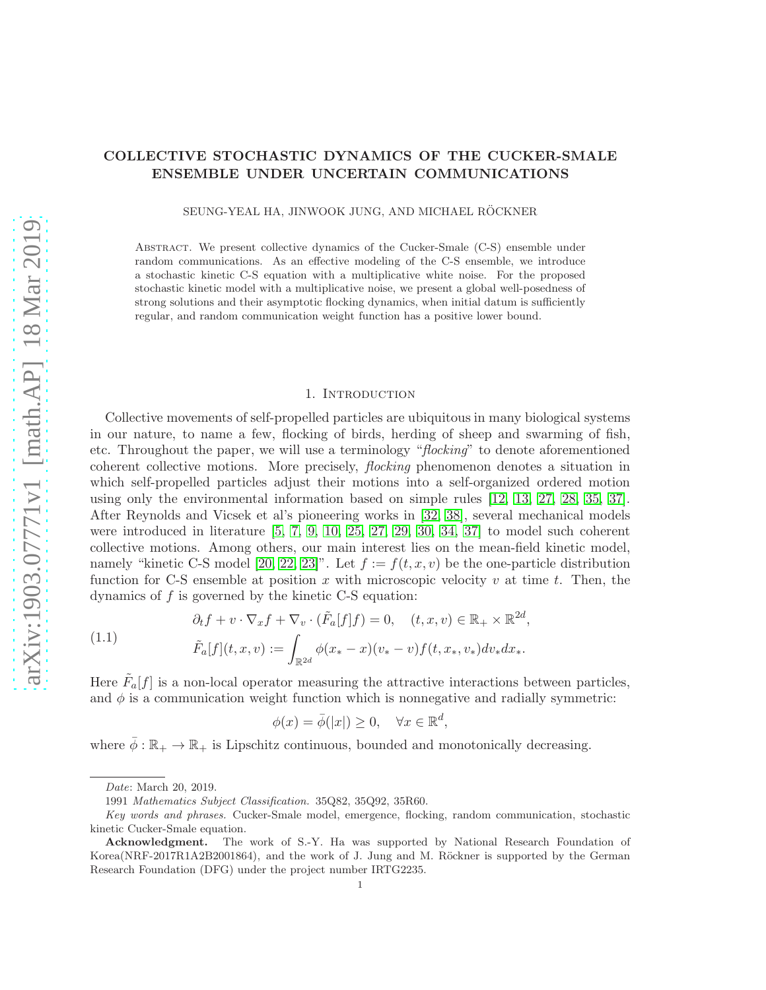# COLLECTIVE STOCHASTIC DYNAMICS OF THE CUCKER-SMALE ENSEMBLE UNDER UNCERTAIN COMMUNICATIONS

SEUNG-YEAL HA, JINWOOK JUNG, AND MICHAEL RÖCKNER

Abstract. We present collective dynamics of the Cucker-Smale (C-S) ensemble under random communications. As an effective modeling of the C-S ensemble, we introduce a stochastic kinetic C-S equation with a multiplicative white noise. For the proposed stochastic kinetic model with a multiplicative noise, we present a global well-posedness of strong solutions and their asymptotic flocking dynamics, when initial datum is sufficiently regular, and random communication weight function has a positive lower bound.

## 1. Introduction

Collective movements of self-propelled particles are ubiquitous in many biological systems in our nature, to name a few, flocking of birds, herding of sheep and swarming of fish, etc. Throughout the paper, we will use a terminology "flocking" to denote aforementioned coherent collective motions. More precisely, flocking phenomenon denotes a situation in which self-propelled particles adjust their motions into a self-organized ordered motion using only the environmental information based on simple rules [\[12,](#page-31-0) [13,](#page-31-1) [27,](#page-31-2) [28,](#page-32-0) [35,](#page-32-1) [37\]](#page-32-2). After Reynolds and Vicsek et al's pioneering works in [\[32,](#page-32-3) [38\]](#page-32-4), several mechanical models were introduced in literature  $[5, 7, 9, 10, 25, 27, 29, 30, 34, 37]$  $[5, 7, 9, 10, 25, 27, 29, 30, 34, 37]$  $[5, 7, 9, 10, 25, 27, 29, 30, 34, 37]$  $[5, 7, 9, 10, 25, 27, 29, 30, 34, 37]$  $[5, 7, 9, 10, 25, 27, 29, 30, 34, 37]$  $[5, 7, 9, 10, 25, 27, 29, 30, 34, 37]$  $[5, 7, 9, 10, 25, 27, 29, 30, 34, 37]$  $[5, 7, 9, 10, 25, 27, 29, 30, 34, 37]$  $[5, 7, 9, 10, 25, 27, 29, 30, 34, 37]$  $[5, 7, 9, 10, 25, 27, 29, 30, 34, 37]$  $[5, 7, 9, 10, 25, 27, 29, 30, 34, 37]$  to model such coherent collective motions. Among others, our main interest lies on the mean-field kinetic model, namely "kinetic C-S model [\[20,](#page-31-8) [22,](#page-31-9) [23\]](#page-31-10)". Let  $f := f(t, x, v)$  be the one-particle distribution function for C-S ensemble at position x with microscopic velocity v at time t. Then, the dynamics of f is governed by the kinetic C-S equation:

<span id="page-0-0"></span>(1.1) 
$$
\partial_t f + v \cdot \nabla_x f + \nabla_v \cdot (\tilde{F}_a[f]f) = 0, \quad (t, x, v) \in \mathbb{R}_+ \times \mathbb{R}^{2d},
$$

$$
\tilde{F}_a[f](t, x, v) := \int_{\mathbb{R}^{2d}} \phi(x_* - x)(v_* - v) f(t, x_*, v_*) dv_* dx_*.
$$

Here  $\tilde{F}_a[f]$  is a non-local operator measuring the attractive interactions between particles, and  $\phi$  is a communication weight function which is nonnegative and radially symmetric:

$$
\phi(x) = \bar{\phi}(|x|) \ge 0, \quad \forall x \in \mathbb{R}^d
$$

,

where  $\bar{\phi}: \mathbb{R}_+ \to \mathbb{R}_+$  is Lipschitz continuous, bounded and monotonically decreasing.

Date: March 20, 2019.

<sup>1991</sup> Mathematics Subject Classification. 35Q82, 35Q92, 35R60.

Key words and phrases. Cucker-Smale model, emergence, flocking, random communication, stochastic kinetic Cucker-Smale equation.

Acknowledgment. The work of S.-Y. Ha was supported by National Research Foundation of Korea(NRF-2017R1A2B2001864), and the work of J. Jung and M. Röckner is supported by the German Research Foundation (DFG) under the project number IRTG2235.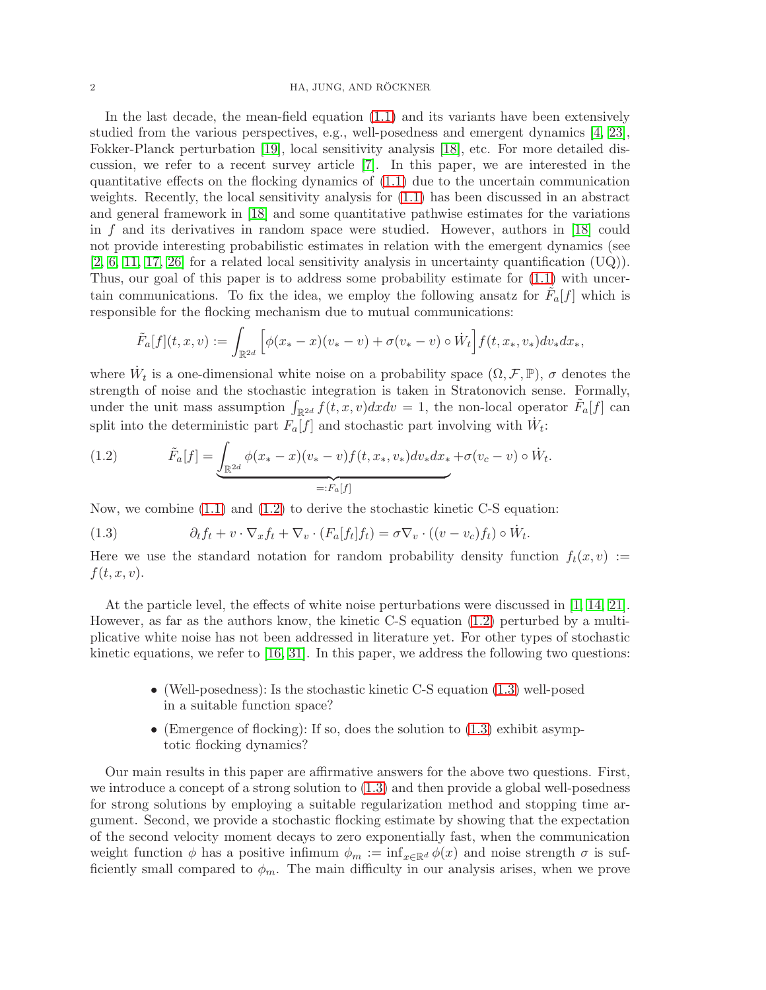#### 2 HA, JUNG, AND RÖCKNER

In the last decade, the mean-field equation [\(1.1\)](#page-0-0) and its variants have been extensively studied from the various perspectives, e.g., well-posedness and emergent dynamics [\[4,](#page-31-11) [23\]](#page-31-10), Fokker-Planck perturbation [\[19\]](#page-31-12), local sensitivity analysis [\[18\]](#page-31-13), etc. For more detailed discussion, we refer to a recent survey article [\[7\]](#page-31-4). In this paper, we are interested in the quantitative effects on the flocking dynamics of  $(1.1)$  due to the uncertain communication weights. Recently, the local sensitivity analysis for [\(1.1\)](#page-0-0) has been discussed in an abstract and general framework in [\[18\]](#page-31-13) and some quantitative pathwise estimates for the variations in f and its derivatives in random space were studied. However, authors in [\[18\]](#page-31-13) could not provide interesting probabilistic estimates in relation with the emergent dynamics (see  $[2, 6, 11, 17, 26]$  $[2, 6, 11, 17, 26]$  $[2, 6, 11, 17, 26]$  $[2, 6, 11, 17, 26]$  $[2, 6, 11, 17, 26]$  for a related local sensitivity analysis in uncertainty quantification  $(UQ)$ ). Thus, our goal of this paper is to address some probability estimate for [\(1.1\)](#page-0-0) with uncertain communications. To fix the idea, we employ the following ansatz for  $\tilde{F}_a[f]$  which is responsible for the flocking mechanism due to mutual communications:

$$
\tilde{F}_a[f](t,x,v) := \int_{\mathbb{R}^{2d}} \left[ \phi(x_*-x)(v_*-v) + \sigma(v_*-v) \circ \dot{W}_t \right] f(t,x_*,v_*) dv_* dx_*,
$$

where  $W_t$  is a one-dimensional white noise on a probability space  $(\Omega, \mathcal{F}, \mathbb{P})$ ,  $\sigma$  denotes the strength of noise and the stochastic integration is taken in Stratonovich sense. Formally, under the unit mass assumption  $\int_{\mathbb{R}^{2d}} f(t, x, v) dx dv = 1$ , the non-local operator  $\tilde{F}_a[f]$  can split into the deterministic part  $F_a[f]$  and stochastic part involving with  $\dot{W}_t$ :

<span id="page-1-0"></span>(1.2) 
$$
\tilde{F}_a[f] = \underbrace{\int_{\mathbb{R}^{2d}} \phi(x_*-x)(v_*-v) f(t,x_*,v_*) dv_* dx_*}_{=:F_a[f]} + \sigma(v_c-v) \circ \dot{W}_t.
$$

Now, we combine [\(1.1\)](#page-0-0) and [\(1.2\)](#page-1-0) to derive the stochastic kinetic C-S equation:

<span id="page-1-1"></span>(1.3) 
$$
\partial_t f_t + v \cdot \nabla_x f_t + \nabla_v \cdot (F_a[f_t] f_t) = \sigma \nabla_v \cdot ((v - v_c) f_t) \circ \dot{W}_t.
$$

Here we use the standard notation for random probability density function  $f_t(x, v) :=$  $f(t, x, v)$ .

At the particle level, the effects of white noise perturbations were discussed in [\[1,](#page-31-19) [14,](#page-31-20) [21\]](#page-31-21). However, as far as the authors know, the kinetic C-S equation [\(1.2\)](#page-1-0) perturbed by a multiplicative white noise has not been addressed in literature yet. For other types of stochastic kinetic equations, we refer to  $[16, 31]$  $[16, 31]$ . In this paper, we address the following two questions:

- (Well-posedness): Is the stochastic kinetic C-S equation [\(1.3\)](#page-1-1) well-posed in a suitable function space?
- (Emergence of flocking): If so, does the solution to  $(1.3)$  exhibit asymptotic flocking dynamics?

Our main results in this paper are affirmative answers for the above two questions. First, we introduce a concept of a strong solution to [\(1.3\)](#page-1-1) and then provide a global well-posedness for strong solutions by employing a suitable regularization method and stopping time argument. Second, we provide a stochastic flocking estimate by showing that the expectation of the second velocity moment decays to zero exponentially fast, when the communication weight function  $\phi$  has a positive infimum  $\phi_m := \inf_{x \in \mathbb{R}^d} \phi(x)$  and noise strength  $\sigma$  is sufficiently small compared to  $\phi_m$ . The main difficulty in our analysis arises, when we prove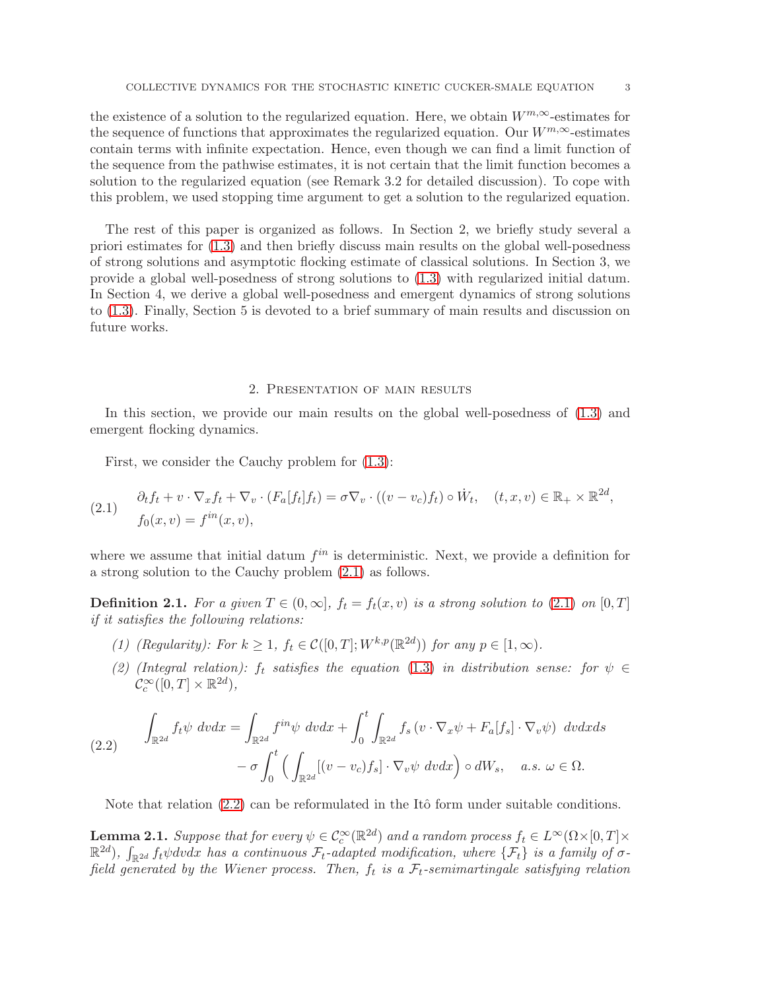the existence of a solution to the regularized equation. Here, we obtain  $W^{m,\infty}$ -estimates for the sequence of functions that approximates the regularized equation. Our  $W^{m,\infty}$ -estimates contain terms with infinite expectation. Hence, even though we can find a limit function of the sequence from the pathwise estimates, it is not certain that the limit function becomes a solution to the regularized equation (see Remark 3.2 for detailed discussion). To cope with this problem, we used stopping time argument to get a solution to the regularized equation.

The rest of this paper is organized as follows. In Section 2, we briefly study several a priori estimates for [\(1.3\)](#page-1-1) and then briefly discuss main results on the global well-posedness of strong solutions and asymptotic flocking estimate of classical solutions. In Section 3, we provide a global well-posedness of strong solutions to [\(1.3\)](#page-1-1) with regularized initial datum. In Section 4, we derive a global well-posedness and emergent dynamics of strong solutions to [\(1.3\)](#page-1-1). Finally, Section 5 is devoted to a brief summary of main results and discussion on future works.

## 2. Presentation of main results

<span id="page-2-3"></span>In this section, we provide our main results on the global well-posedness of [\(1.3\)](#page-1-1) and emergent flocking dynamics.

First, we consider the Cauchy problem for [\(1.3\)](#page-1-1):

<span id="page-2-0"></span>(2.1) 
$$
\begin{aligned} \partial_t f_t + v \cdot \nabla_x f_t + \nabla_v \cdot (F_a[f_t] f_t) &= \sigma \nabla_v \cdot ((v - v_c) f_t) \circ \dot{W}_t, \quad (t, x, v) \in \mathbb{R}_+ \times \mathbb{R}^{2d}, \\ f_0(x, v) &= f^{in}(x, v), \end{aligned}
$$

where we assume that initial datum  $f^{in}$  is deterministic. Next, we provide a definition for a strong solution to the Cauchy problem [\(2.1\)](#page-2-0) as follows.

<span id="page-2-4"></span>**Definition 2.1.** For a given  $T \in (0,\infty]$ ,  $f_t = f_t(x,v)$  is a strong solution to [\(2.1\)](#page-2-0) on [0, T] if it satisfies the following relations:

- (1) (Regularity): For  $k \geq 1$ ,  $f_t \in C([0, T]; W^{k,p}(\mathbb{R}^{2d}))$  for any  $p \in [1, \infty)$ .
- (2) (Integral relation):  $f_t$  satisfies the equation [\(1.3\)](#page-1-1) in distribution sense: for  $\psi \in$  $\mathcal{C}_c^{\infty}([0,T] \times \mathbb{R}^{2d}),$

<span id="page-2-1"></span>
$$
\int_{\mathbb{R}^{2d}} f_t \psi \ dvdx = \int_{\mathbb{R}^{2d}} f^{in} \psi \ dvdx + \int_0^t \int_{\mathbb{R}^{2d}} f_s \left( v \cdot \nabla_x \psi + F_a[f_s] \cdot \nabla_v \psi \right) \ dvdxds \n- \sigma \int_0^t \left( \int_{\mathbb{R}^{2d}} [(v - v_c)f_s] \cdot \nabla_v \psi \ dvdx \right) \circ dW_s, \quad a.s. \ \omega \in \Omega.
$$

Note that relation  $(2.2)$  can be reformulated in the Itô form under suitable conditions.

<span id="page-2-2"></span>**Lemma 2.1.** Suppose that for every  $\psi \in C_c^{\infty}(\mathbb{R}^{2d})$  and a random process  $f_t \in L^{\infty}(\Omega \times [0,T] \times$  $\mathbb{R}^{2d}$ ),  $\int_{\mathbb{R}^{2d}} f_t \psi dv dx$  has a continuous  $\mathcal{F}_t$ -adapted modification, where  $\{\mathcal{F}_t\}$  is a family of  $\sigma$ field generated by the Wiener process. Then,  $f_t$  is a  $\mathcal{F}_t$ -semimartingale satisfying relation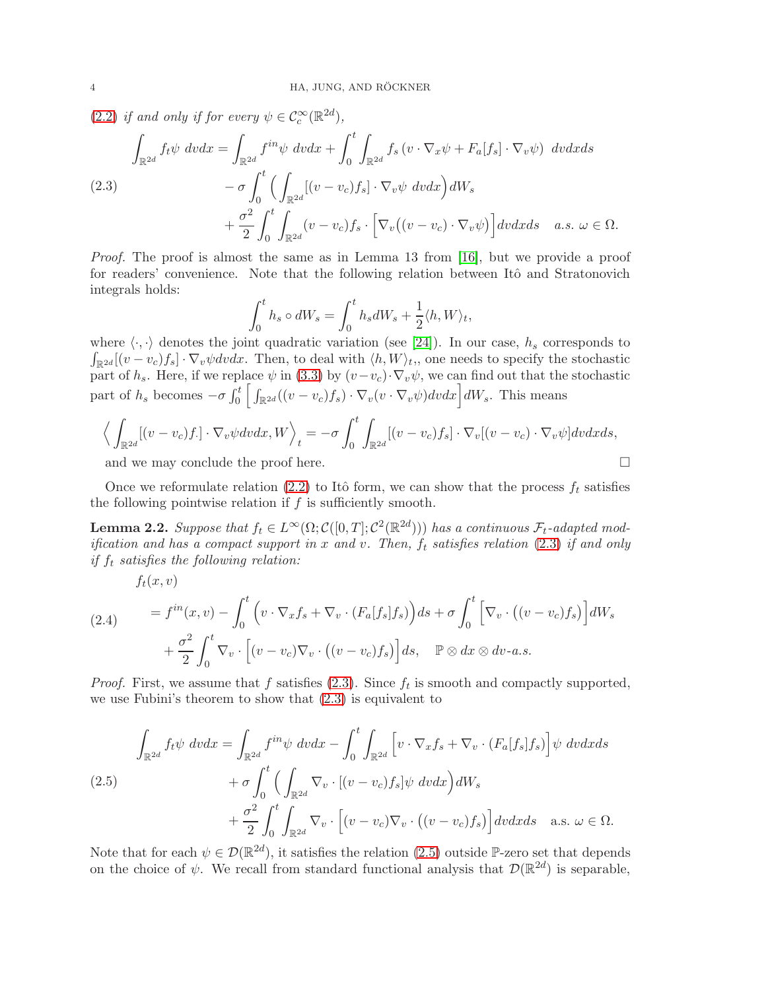[\(2.2\)](#page-2-1) if and only if for every  $\psi \in C_c^{\infty}(\mathbb{R}^{2d})$ ,

<span id="page-3-0"></span>
$$
\int_{\mathbb{R}^{2d}} f_t \psi \ dvdx = \int_{\mathbb{R}^{2d}} f^{in} \psi \ dvdx + \int_0^t \int_{\mathbb{R}^{2d}} f_s \left( v \cdot \nabla_x \psi + F_a[f_s] \cdot \nabla_v \psi \right) \ dvdxds \n- \sigma \int_0^t \left( \int_{\mathbb{R}^{2d}} [(v - v_c)f_s] \cdot \nabla_v \psi \ dvdx \right) dW_s \n+ \frac{\sigma^2}{2} \int_0^t \int_{\mathbb{R}^{2d}} (v - v_c)f_s \cdot \left[ \nabla_v ((v - v_c) \cdot \nabla_v \psi) \right] dvdxds \quad a.s. \ \omega \in \Omega.
$$

Proof. The proof is almost the same as in Lemma 13 from [\[16\]](#page-31-22), but we provide a proof for readers' convenience. Note that the following relation between Itô and Stratonovich integrals holds:

$$
\int_0^t h_s \circ dW_s = \int_0^t h_s dW_s + \frac{1}{2} \langle h, W \rangle_t,
$$

where  $\langle \cdot, \cdot \rangle$  denotes the joint quadratic variation (see [\[24\]](#page-31-23)). In our case,  $h_s$  corresponds to  $\int_{\mathbb{R}^{2d}} [(v-v_c)f_s] \cdot \nabla_v \psi dv dx$ . Then, to deal with  $\langle h, W \rangle_t$ , one needs to specify the stochastic part of  $h_s$ . Here, if we replace  $\psi$  in [\(3.3\)](#page-9-0) by  $(v-v_c)\cdot \nabla_v \psi$ , we can find out that the stochastic part of  $h_s$  becomes  $-\sigma \int_0^t \left[ \int_{\mathbb{R}^{2d}} ((v - v_c) f_s) \cdot \nabla_v (v \cdot \nabla_v \psi) dv dx \right] dW_s$ . This means

$$
\Big\langle \int_{\mathbb{R}^{2d}} [(v-v_c)f.] \cdot \nabla_v \psi dv dx, W \Big\rangle_t = -\sigma \int_0^t \int_{\mathbb{R}^{2d}} [(v-v_c)f_s] \cdot \nabla_v [(v-v_c) \cdot \nabla_v \psi] dv dx ds,
$$

and we may conclude the proof here.

Once we reformulate relation [\(2.2\)](#page-2-1) to Itô form, we can show that the process  $f_t$  satisfies the following pointwise relation if  $f$  is sufficiently smooth.

<span id="page-3-3"></span>**Lemma 2.2.** Suppose that  $f_t \in L^{\infty}(\Omega; C([0, T]; C^2(\mathbb{R}^{2d})))$  has a continuous  $\mathcal{F}_t$ -adapted modification and has a compact support in x and v. Then,  $f_t$  satisfies relation [\(2.3\)](#page-3-0) if and only if  $f_t$  satisfies the following relation:

$$
f_t(x,v)
$$

<span id="page-3-2"></span>(2.4) 
$$
= f^{in}(x, v) - \int_0^t \left( v \cdot \nabla_x f_s + \nabla_v \cdot (F_a[f_s] f_s) \right) ds + \sigma \int_0^t \left[ \nabla_v \cdot \left( (v - v_c) f_s \right) \right] dW_s
$$

$$
+ \frac{\sigma^2}{2} \int_0^t \nabla_v \cdot \left[ (v - v_c) \nabla_v \cdot \left( (v - v_c) f_s \right) \right] ds, \quad \mathbb{P} \otimes dx \otimes dv - a.s.
$$

*Proof.* First, we assume that f satisfies  $(2.3)$ . Since  $f_t$  is smooth and compactly supported, we use Fubini's theorem to show that [\(2.3\)](#page-3-0) is equivalent to

<span id="page-3-1"></span>
$$
\int_{\mathbb{R}^{2d}} f_t \psi \ dvdx = \int_{\mathbb{R}^{2d}} f^{in} \psi \ dvdx - \int_0^t \int_{\mathbb{R}^{2d}} \left[ v \cdot \nabla_x f_s + \nabla_v \cdot (F_a[f_s] f_s) \right] \psi \ dvdxds \n+ \sigma \int_0^t \left( \int_{\mathbb{R}^{2d}} \nabla_v \cdot \left[ (v - v_c) f_s \right] \psi \ dvdx \right) dW_s \n+ \frac{\sigma^2}{2} \int_0^t \int_{\mathbb{R}^{2d}} \nabla_v \cdot \left[ (v - v_c) \nabla_v \cdot ( (v - v_c) f_s \right] dvdxds \quad \text{a.s. } \omega \in \Omega.
$$

Note that for each  $\psi \in \mathcal{D}(\mathbb{R}^{2d})$ , it satisfies the relation [\(2.5\)](#page-3-1) outside P-zero set that depends on the choice of  $\psi$ . We recall from standard functional analysis that  $\mathcal{D}(\mathbb{R}^{2d})$  is separable,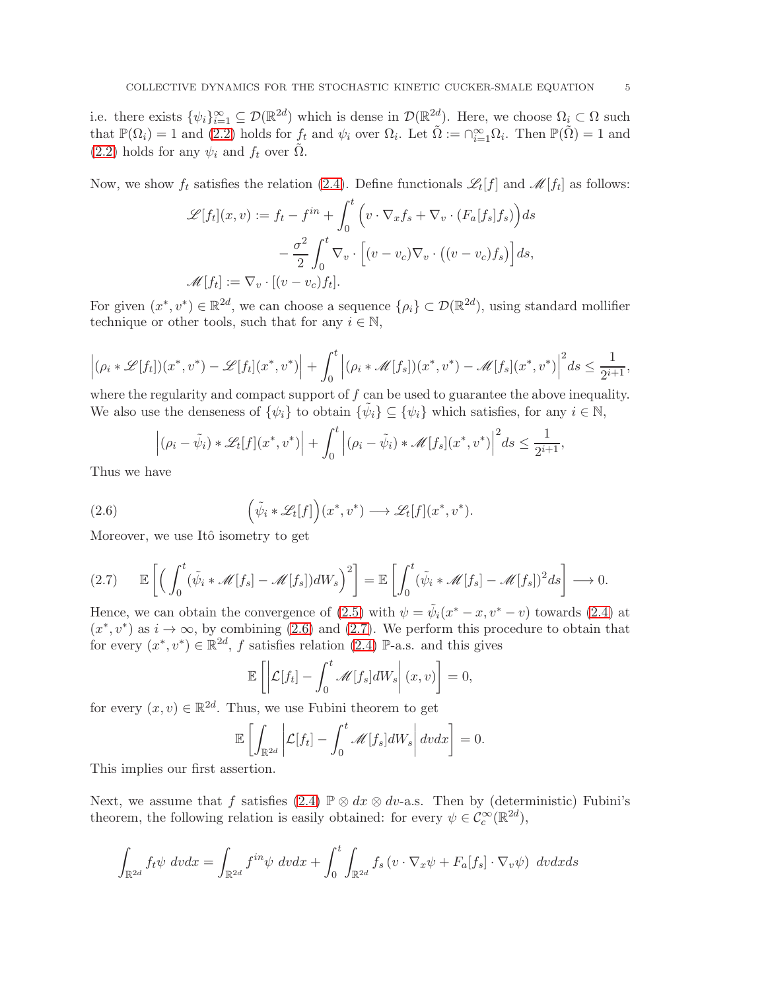i.e. there exists  $\{\psi_i\}_{i=1}^{\infty} \subseteq \mathcal{D}(\mathbb{R}^{2d})$  which is dense in  $\mathcal{D}(\mathbb{R}^{2d})$ . Here, we choose  $\Omega_i \subset \Omega$  such that  $\mathbb{P}(\Omega_i) = 1$  and  $(2.2)$  holds for  $f_t$  and  $\psi_i$  over  $\Omega_i$ . Let  $\tilde{\Omega} := \bigcap_{i=1}^{\infty} \Omega_i$ . Then  $\mathbb{P}(\tilde{\Omega}) = 1$  and [\(2.2\)](#page-2-1) holds for any  $\psi_i$  and  $f_t$  over  $\Omega$ .

Now, we show  $f_t$  satisfies the relation [\(2.4\)](#page-3-2). Define functionals  $\mathscr{L}_t[f]$  and  $\mathscr{M}[f_t]$  as follows:

$$
\mathcal{L}[f_t](x,v) := f_t - f^{in} + \int_0^t \left( v \cdot \nabla_x f_s + \nabla_v \cdot (F_a[f_s]f_s) \right) ds
$$

$$
- \frac{\sigma^2}{2} \int_0^t \nabla_v \cdot \left[ (v - v_c) \nabla_v \cdot ((v - v_c)f_s) \right] ds,
$$

$$
\mathcal{M}[f_t] := \nabla_v \cdot [(v - v_c)f_t].
$$

For given  $(x^*, v^*) \in \mathbb{R}^{2d}$ , we can choose a sequence  $\{\rho_i\} \subset \mathcal{D}(\mathbb{R}^{2d})$ , using standard mollifier technique or other tools, such that for any  $i \in \mathbb{N}$ ,

$$
\left|(\rho_i*\mathscr{L}[f_t])(x^*,v^*)-\mathscr{L}[f_t](x^*,v^*)\right|+\int_0^t\left|(\rho_i*\mathscr{M}[f_s])(x^*,v^*)-\mathscr{M}[f_s](x^*,v^*)\right|^2ds\leq \frac{1}{2^{i+1}},
$$

where the regularity and compact support of f can be used to guarantee the above inequality. We also use the denseness of  $\{\psi_i\}$  to obtain  $\{\tilde{\psi}_i\} \subseteq \{\psi_i\}$  which satisfies, for any  $i \in \mathbb{N}$ ,

<span id="page-4-0"></span>
$$
\left|(\rho_i-\tilde{\psi}_i)\ast \mathscr{L}_t[f](x^*,v^*)\right|+\int_0^t \left|(\rho_i-\tilde{\psi}_i)\ast \mathscr{M}[f_s](x^*,v^*)\right|^2 ds\leq \frac{1}{2^{i+1}},
$$

Thus we have

(2.6) 
$$
\left(\tilde{\psi}_i * \mathscr{L}_t[f]\right)(x^*, v^*) \longrightarrow \mathscr{L}_t[f](x^*, v^*).
$$

Moreover, we use Itô isometry to get

<span id="page-4-1"></span>
$$
(2.7) \qquad \mathbb{E}\left[\left(\int_0^t (\tilde{\psi}_i * \mathcal{M}[f_s] - \mathcal{M}[f_s])dW_s\right)^2\right] = \mathbb{E}\left[\int_0^t (\tilde{\psi}_i * \mathcal{M}[f_s] - \mathcal{M}[f_s])^2ds\right] \longrightarrow 0.
$$

Hence, we can obtain the convergence of [\(2.5\)](#page-3-1) with  $\psi = \tilde{\psi}_i(x^* - x, v^* - v)$  towards [\(2.4\)](#page-3-2) at  $(x^*, v^*)$  as  $i \to \infty$ , by combining [\(2.6\)](#page-4-0) and [\(2.7\)](#page-4-1). We perform this procedure to obtain that for every  $(x^*, v^*) \in \mathbb{R}^{2d}$ , f satisfies relation [\(2.4\)](#page-3-2) P-a.s. and this gives

$$
\mathbb{E}\left[\left|\mathcal{L}[f_t] - \int_0^t \mathcal{M}[f_s]dW_s\right|(x,v)\right] = 0,
$$

for every  $(x, v) \in \mathbb{R}^{2d}$ . Thus, we use Fubini theorem to get

$$
\mathbb{E}\left[\int_{\mathbb{R}^{2d}}\left|\mathcal{L}[f_t]-\int_0^t\mathcal{M}[f_s]dW_s\right|dvdx\right]=0.
$$

This implies our first assertion.

Next, we assume that f satisfies [\(2.4\)](#page-3-2)  $\mathbb{P} \otimes dx \otimes dv$ -a.s. Then by (deterministic) Fubini's theorem, the following relation is easily obtained: for every  $\psi \in C_c^{\infty}(\mathbb{R}^{2d})$ ,

$$
\int_{\mathbb{R}^{2d}} f_t \psi \ dvdx = \int_{\mathbb{R}^{2d}} f^{in} \psi \ dvdx + \int_0^t \int_{\mathbb{R}^{2d}} f_s \left( v \cdot \nabla_x \psi + F_a[f_s] \cdot \nabla_v \psi \right) \ dvdxds
$$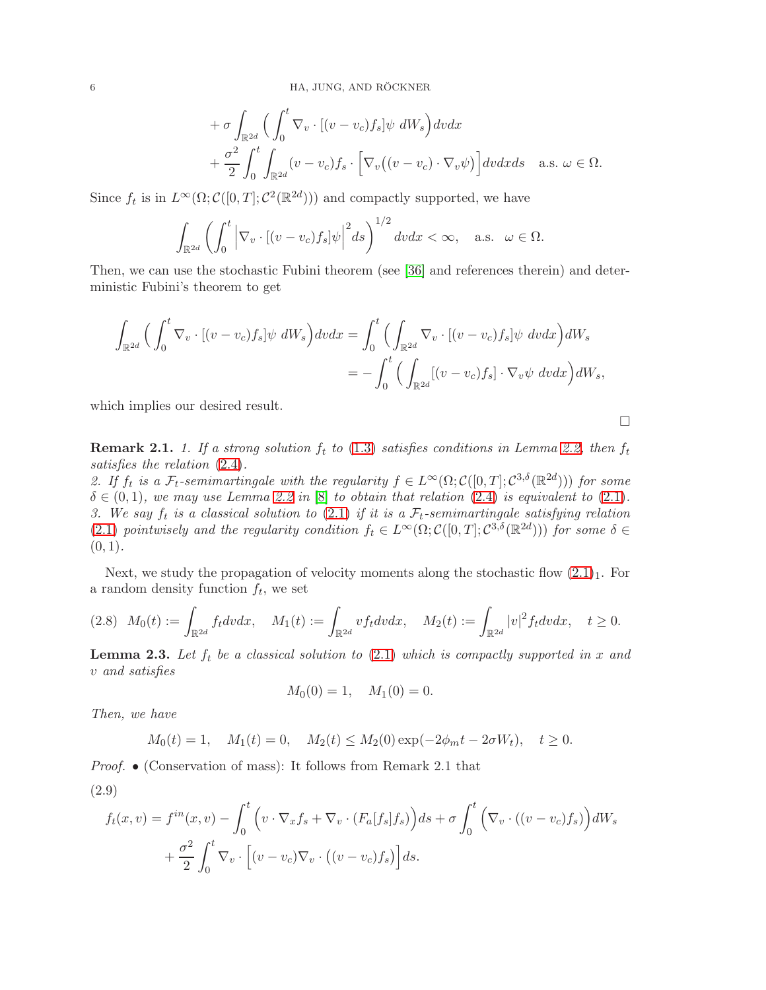$$
+ \sigma \int_{\mathbb{R}^{2d}} \left( \int_0^t \nabla_v \cdot [(v - v_c) f_s] \psi \ dW_s \right) dv dx + \frac{\sigma^2}{2} \int_0^t \int_{\mathbb{R}^{2d}} (v - v_c) f_s \cdot \left[ \nabla_v ((v - v_c) \cdot \nabla_v \psi) \right] dv dx ds \quad \text{a.s. } \omega \in \Omega.
$$

Since  $f_t$  is in  $L^{\infty}(\Omega; C([0, T]; C^2(\mathbb{R}^{2d})))$  and compactly supported, we have

$$
\int_{\mathbb{R}^{2d}} \left( \int_0^t \left| \nabla_v \cdot \left[ (v - v_c) f_s \right] \psi \right|^2 ds \right)^{1/2} dv dx < \infty, \quad \text{a.s.} \quad \omega \in \Omega.
$$

Then, we can use the stochastic Fubini theorem (see [\[36\]](#page-32-9) and references therein) and deterministic Fubini's theorem to get

$$
\int_{\mathbb{R}^{2d}} \Big( \int_0^t \nabla_v \cdot [(v - v_c) f_s] \psi \ dW_s \Big) dv dx = \int_0^t \Big( \int_{\mathbb{R}^{2d}} \nabla_v \cdot [(v - v_c) f_s] \psi \ dv dx \Big) dW_s
$$
  
= 
$$
- \int_0^t \Big( \int_{\mathbb{R}^{2d}} [(v - v_c) f_s] \cdot \nabla_v \psi \ dv dx \Big) dW_s,
$$

which implies our desired result.

 $\Box$ 

**Remark 2.1.** 1. If a strong solution  $f_t$  to [\(1.3\)](#page-1-1) satisfies conditions in Lemma [2.2,](#page-3-3) then  $f_t$ satisfies the relation [\(2.4\)](#page-3-2).

2. If  $f_t$  is a  $\mathcal{F}_t$ -semimartingale with the regularity  $f \in L^{\infty}(\Omega; \mathcal{C}([0,T]; \mathcal{C}^{3,\delta}(\mathbb{R}^{2d})))$  for some  $\delta \in (0,1)$ , we may use Lemma [2.2](#page-3-3) in [\[8\]](#page-31-24) to obtain that relation  $(2.4)$  is equivalent to  $(2.1)$ . 3. We say  $f_t$  is a classical solution to [\(2.1\)](#page-2-0) if it is a  $\mathcal{F}_t$ -semimartingale satisfying relation [\(2.1\)](#page-2-0) pointwisely and the regularity condition  $f_t \in L^{\infty}(\Omega; C([0,T]; C^{3,\delta}(\mathbb{R}^{2d})))$  for some  $\delta \in$  $(0, 1)$ .

Next, we study the propagation of velocity moments along the stochastic flow  $(2.1)_1$ . For a random density function  $f_t$ , we set

<span id="page-5-2"></span>
$$
(2.8) \quad M_0(t) := \int_{\mathbb{R}^{2d}} f_t dv dx, \quad M_1(t) := \int_{\mathbb{R}^{2d}} v f_t dv dx, \quad M_2(t) := \int_{\mathbb{R}^{2d}} |v|^2 f_t dv dx, \quad t \ge 0.
$$

<span id="page-5-1"></span>**Lemma 2.3.** Let  $f_t$  be a classical solution to [\(2.1\)](#page-2-0) which is compactly supported in x and v and satisfies

$$
M_0(0) = 1, \quad M_1(0) = 0.
$$

Then, we have

$$
M_0(t) = 1
$$
,  $M_1(t) = 0$ ,  $M_2(t) \le M_2(0) \exp(-2\phi_m t - 2\sigma W_t)$ ,  $t \ge 0$ .

Proof. • (Conservation of mass): It follows from Remark 2.1 that

<span id="page-5-0"></span>(2.9)

$$
f_t(x,v) = f^{in}(x,v) - \int_0^t \left( v \cdot \nabla_x f_s + \nabla_v \cdot (F_a[f_s]f_s) \right) ds + \sigma \int_0^t \left( \nabla_v \cdot ((v-v_c)f_s) \right) dW_s
$$

$$
+ \frac{\sigma^2}{2} \int_0^t \nabla_v \cdot \left[ (v-v_c) \nabla_v \cdot ((v-v_c)f_s) \right] ds.
$$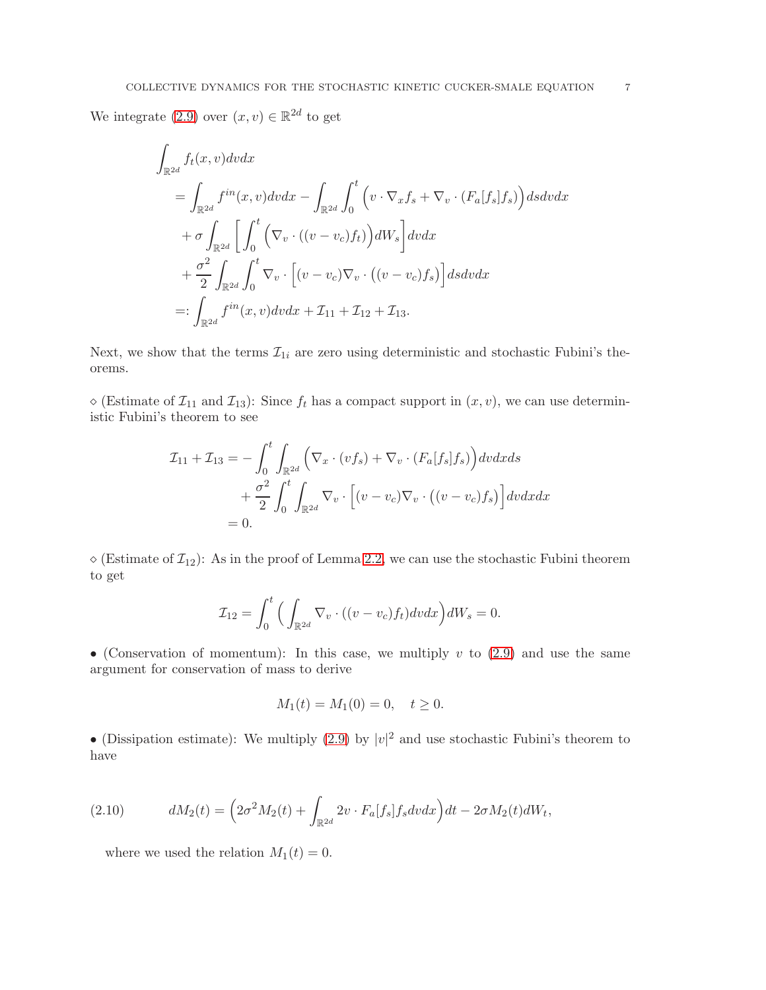We integrate [\(2.9\)](#page-5-0) over  $(x, v) \in \mathbb{R}^{2d}$  to get

$$
\int_{\mathbb{R}^{2d}} f_t(x, v) dv dx
$$
\n
$$
= \int_{\mathbb{R}^{2d}} f^{in}(x, v) dv dx - \int_{\mathbb{R}^{2d}} \int_0^t \left( v \cdot \nabla_x f_s + \nabla_v \cdot (F_a[f_s] f_s) \right) ds dv dx
$$
\n
$$
+ \sigma \int_{\mathbb{R}^{2d}} \left[ \int_0^t \left( \nabla_v \cdot ((v - v_c) f_t) \right) dW_s \right] dv dx
$$
\n
$$
+ \frac{\sigma^2}{2} \int_{\mathbb{R}^{2d}} \int_0^t \nabla_v \cdot \left[ (v - v_c) \nabla_v \cdot ((v - v_c) f_s) \right] ds dv dx
$$
\n
$$
=: \int_{\mathbb{R}^{2d}} f^{in}(x, v) dv dx + \mathcal{I}_{11} + \mathcal{I}_{12} + \mathcal{I}_{13}.
$$

Next, we show that the terms  $\mathcal{I}_{1i}$  are zero using deterministic and stochastic Fubini's theorems.

 $\Diamond$  (Estimate of  $\mathcal{I}_{11}$  and  $\mathcal{I}_{13}$ ): Since  $f_t$  has a compact support in  $(x, v)$ , we can use deterministic Fubini's theorem to see

$$
\mathcal{I}_{11} + \mathcal{I}_{13} = -\int_0^t \int_{\mathbb{R}^{2d}} \left( \nabla_x \cdot (v f_s) + \nabla_v \cdot (F_a[f_s] f_s) \right) dv dx ds
$$
  
+ 
$$
\frac{\sigma^2}{2} \int_0^t \int_{\mathbb{R}^{2d}} \nabla_v \cdot \left[ (v - v_c) \nabla_v \cdot ((v - v_c) f_s) \right] dv dx dx
$$
  
= 0.

 $\diamond$  (Estimate of  $\mathcal{I}_{12}$ ): As in the proof of Lemma [2.2,](#page-3-3) we can use the stochastic Fubini theorem to get

$$
\mathcal{I}_{12} = \int_0^t \Big( \int_{\mathbb{R}^{2d}} \nabla_v \cdot ((v - v_c) f_t) dv dx \Big) dW_s = 0.
$$

• (Conservation of momentum): In this case, we multiply  $v$  to  $(2.9)$  and use the same argument for conservation of mass to derive

$$
M_1(t) = M_1(0) = 0, \quad t \ge 0.
$$

• (Dissipation estimate): We multiply [\(2.9\)](#page-5-0) by  $|v|^2$  and use stochastic Fubini's theorem to have

(2.10) 
$$
dM_2(t) = \left(2\sigma^2 M_2(t) + \int_{\mathbb{R}^{2d}} 2v \cdot F_a[f_s] f_s dv dx\right) dt - 2\sigma M_2(t) dW_t,
$$

<span id="page-6-0"></span>where we used the relation  $M_1(t) = 0$ .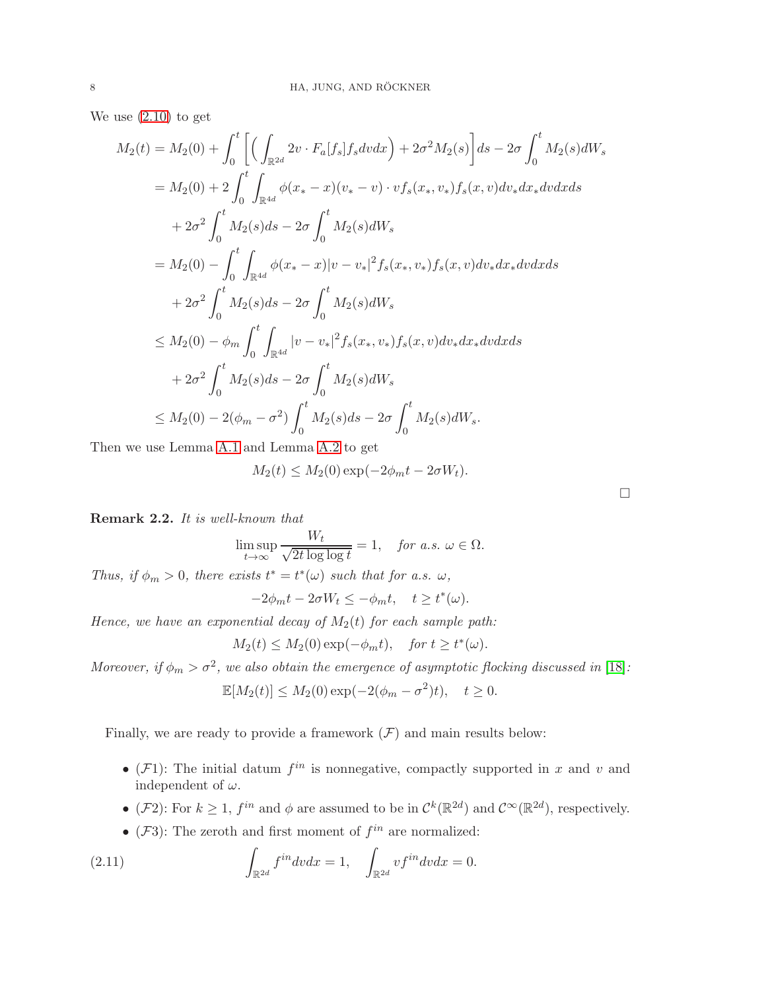We use [\(2.10\)](#page-6-0) to get

$$
M_2(t) = M_2(0) + \int_0^t \left[ \left( \int_{\mathbb{R}^{2d}} 2v \cdot F_a[f_s] f_s dv dx \right) + 2\sigma^2 M_2(s) \right] ds - 2\sigma \int_0^t M_2(s) dW_s
$$
  
\n
$$
= M_2(0) + 2 \int_0^t \int_{\mathbb{R}^{4d}} \phi(x_* - x)(v_* - v) \cdot v f_s(x_*, v_*) f_s(x, v) dv_* dx_* dv dx ds
$$
  
\n
$$
+ 2\sigma^2 \int_0^t M_2(s) ds - 2\sigma \int_0^t M_2(s) dW_s
$$
  
\n
$$
= M_2(0) - \int_0^t \int_{\mathbb{R}^{4d}} \phi(x_* - x) |v - v_*|^2 f_s(x_*, v_*) f_s(x, v) dv_* dx_* dv dx ds
$$
  
\n
$$
+ 2\sigma^2 \int_0^t M_2(s) ds - 2\sigma \int_0^t M_2(s) dW_s
$$
  
\n
$$
\leq M_2(0) - \phi_m \int_0^t \int_{\mathbb{R}^{4d}} |v - v_*|^2 f_s(x_*, v_*) f_s(x, v) dv_* dx_* dv dx ds
$$
  
\n
$$
+ 2\sigma^2 \int_0^t M_2(s) ds - 2\sigma \int_0^t M_2(s) dW_s
$$
  
\n
$$
\leq M_2(0) - 2(\phi_m - \sigma^2) \int_0^t M_2(s) ds - 2\sigma \int_0^t M_2(s) dW_s.
$$

Then we use Lemma [A.1](#page-26-0) and Lemma [A.2](#page-26-1) to get

$$
M_2(t) \le M_2(0) \exp(-2\phi_m t - 2\sigma W_t).
$$

Remark 2.2. It is well-known that

$$
\limsup_{t \to \infty} \frac{W_t}{\sqrt{2t \log \log t}} = 1, \quad \text{for a.s. } \omega \in \Omega.
$$

Thus, if  $\phi_m > 0$ , there exists  $t^* = t^*(\omega)$  such that for a.s.  $\omega$ ,

$$
-2\phi_m t - 2\sigma W_t \le -\phi_m t, \quad t \ge t^*(\omega).
$$

Hence, we have an exponential decay of  $M_2(t)$  for each sample path:

$$
M_2(t) \leq M_2(0) \exp(-\phi_m t), \quad
$$
for  $t \geq t^*(\omega)$ .

Moreover, if  $\phi_m > \sigma^2$ , we also obtain the emergence of asymptotic flocking discussed in [\[18\]](#page-31-13):

$$
\mathbb{E}[M_2(t)] \le M_2(0) \exp(-2(\phi_m - \sigma^2)t), \quad t \ge 0.
$$

Finally, we are ready to provide a framework  $(F)$  and main results below:

- ( $\mathcal{F}1$ ): The initial datum  $f^{in}$  is nonnegative, compactly supported in x and v and independent of  $\omega$ .
- (*F*2): For  $k \geq 1$ ,  $f^{in}$  and  $\phi$  are assumed to be in  $\mathcal{C}^k(\mathbb{R}^{2d})$  and  $\mathcal{C}^{\infty}(\mathbb{R}^{2d})$ , respectively.
- <span id="page-7-0"></span>• ( $\mathcal{F}3$ ): The zeroth and first moment of  $f^{in}$  are normalized:

(2.11) 
$$
\int_{\mathbb{R}^{2d}} f^{in} dv dx = 1, \quad \int_{\mathbb{R}^{2d}} v f^{in} dv dx = 0.
$$

 $\Box$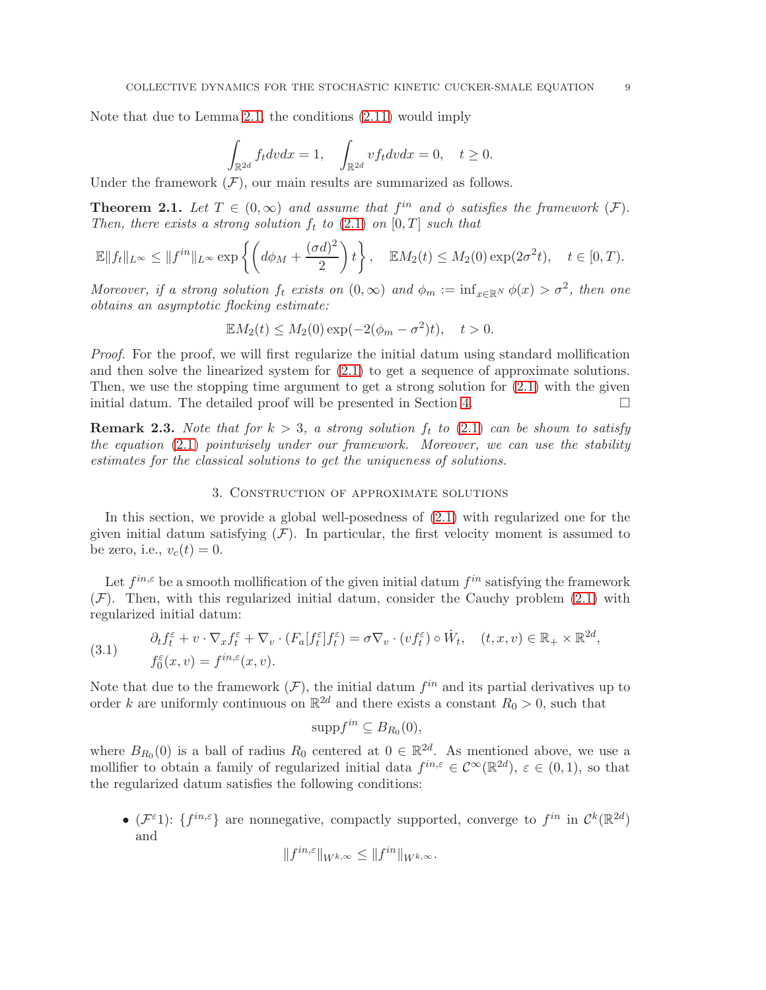Note that due to Lemma [2.1,](#page-2-2) the conditions [\(2.11\)](#page-7-0) would imply

$$
\int_{\mathbb{R}^{2d}} f_t dv dx = 1, \quad \int_{\mathbb{R}^{2d}} v f_t dv dx = 0, \quad t \ge 0.
$$

Under the framework  $(F)$ , our main results are summarized as follows.

**Theorem 2.1.** Let  $T \in (0,\infty)$  and assume that  $f^{in}$  and  $\phi$  satisfies the framework  $(\mathcal{F})$ . Then, there exists a strong solution  $f_t$  to [\(2.1\)](#page-2-0) on [0, T] such that

$$
\mathbb{E}||f_t||_{L^{\infty}} \le ||f^{in}||_{L^{\infty}} \exp\left\{ \left(d\phi_M + \frac{(\sigma d)^2}{2}\right)t\right\}, \quad \mathbb{E}M_2(t) \le M_2(0) \exp(2\sigma^2 t), \quad t \in [0, T).
$$

Moreover, if a strong solution  $f_t$  exists on  $(0, \infty)$  and  $\phi_m := \inf_{x \in \mathbb{R}^N} \phi(x) > \sigma^2$ , then one obtains an asymptotic flocking estimate:

$$
\mathbb{E}M_2(t) \le M_2(0) \exp(-2(\phi_m - \sigma^2)t), \quad t > 0.
$$

Proof. For the proof, we will first regularize the initial datum using standard mollification and then solve the linearized system for [\(2.1\)](#page-2-0) to get a sequence of approximate solutions. Then, we use the stopping time argument to get a strong solution for  $(2.1)$  with the given initial datum. The detailed proof will be presented in Section [4.](#page-20-0)  $\Box$ 

**Remark 2.3.** Note that for  $k > 3$ , a strong solution  $f_t$  to [\(2.1\)](#page-2-0) can be shown to satisfy the equation [\(2.1\)](#page-2-0) pointwisely under our framework. Moreover, we can use the stability estimates for the classical solutions to get the uniqueness of solutions.

## 3. Construction of approximate solutions

In this section, we provide a global well-posedness of [\(2.1\)](#page-2-0) with regularized one for the given initial datum satisfying  $(F)$ . In particular, the first velocity moment is assumed to be zero, i.e.,  $v_c(t) = 0$ .

Let  $f^{in,\varepsilon}$  be a smooth mollification of the given initial datum  $f^{in}$  satisfying the framework  $(F)$ . Then, with this regularized initial datum, consider the Cauchy problem  $(2.1)$  with regularized initial datum:

<span id="page-8-0"></span>(3.1) 
$$
\begin{aligned}\n\partial_t f_t^\varepsilon + v \cdot \nabla_x f_t^\varepsilon + \nabla_v \cdot (F_a[f_t^\varepsilon] f_t^\varepsilon) &= \sigma \nabla_v \cdot (vf_t^\varepsilon) \circ \dot{W}_t, \quad (t, x, v) \in \mathbb{R}_+ \times \mathbb{R}^{2d}, \\
f_0^\varepsilon(x, v) &= f^{in, \varepsilon}(x, v).\n\end{aligned}
$$

Note that due to the framework  $(F)$ , the initial datum  $f^{in}$  and its partial derivatives up to order k are uniformly continuous on  $\mathbb{R}^{2d}$  and there exists a constant  $R_0 > 0$ , such that

$$
\mathrm{supp}f^{in}\subseteq B_{R_0}(0),
$$

where  $B_{R_0}(0)$  is a ball of radius  $R_0$  centered at  $0 \in \mathbb{R}^{2d}$ . As mentioned above, we use a mollifier to obtain a family of regularized initial data  $f^{in,\varepsilon} \in C^{\infty}(\mathbb{R}^{2d})$ ,  $\varepsilon \in (0,1)$ , so that the regularized datum satisfies the following conditions:

• ( $\mathcal{F}^{\varepsilon}$ 1): { $f^{in,\varepsilon}$ } are nonnegative, compactly supported, converge to  $f^{in}$  in  $\mathcal{C}^k(\mathbb{R}^{2d})$ and

$$
||f^{in,\varepsilon}||_{W^{k,\infty}} \leq ||f^{in}||_{W^{k,\infty}}.
$$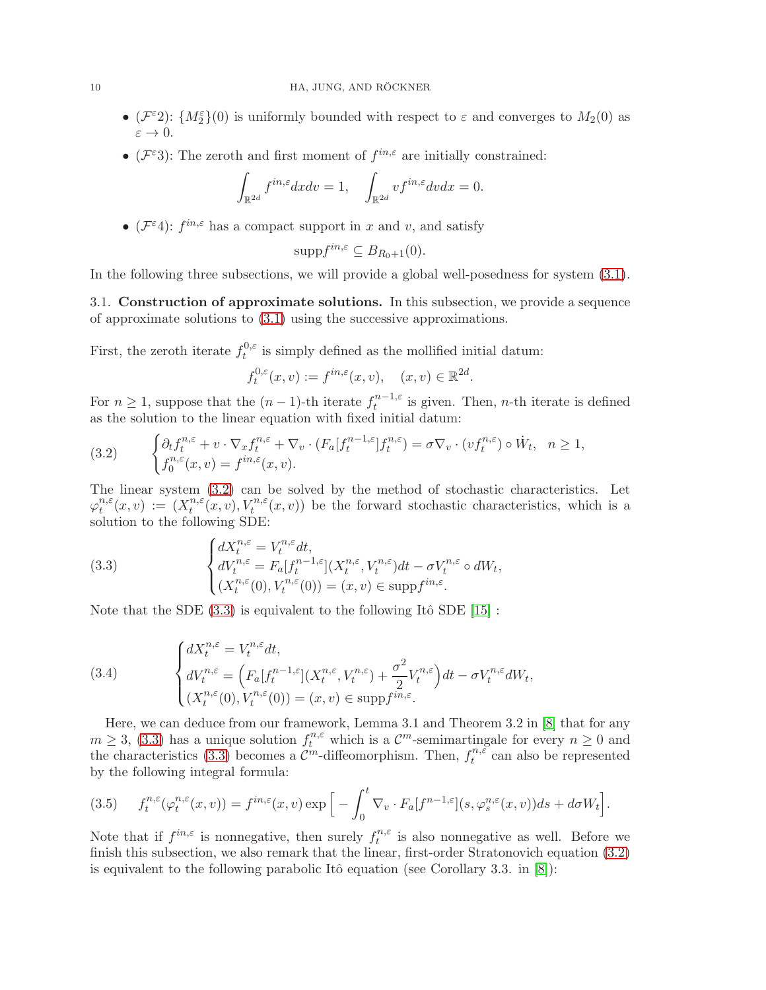- $(\mathcal{F}^{\varepsilon}2)$ :  $\{M_2^{\varepsilon}\}(0)$  is uniformly bounded with respect to  $\varepsilon$  and converges to  $M_2(0)$  as  $\varepsilon \to 0$ .
- ( $\mathcal{F}^{\varepsilon}3$ ): The zeroth and first moment of  $f^{in,\varepsilon}$  are initially constrained:

$$
\int_{\mathbb{R}^{2d}} f^{in,\varepsilon} dx dv = 1, \quad \int_{\mathbb{R}^{2d}} v f^{in,\varepsilon} dv dx = 0.
$$

• ( $\mathcal{F}^{\varepsilon}$ 4):  $f^{in,\varepsilon}$  has a compact support in x and v, and satisfy

$$
\mathrm{supp}f^{in,\varepsilon}\subseteq B_{R_0+1}(0).
$$

In the following three subsections, we will provide a global well-posedness for system [\(3.1\)](#page-8-0).

3.1. Construction of approximate solutions. In this subsection, we provide a sequence of approximate solutions to [\(3.1\)](#page-8-0) using the successive approximations.

First, the zeroth iterate  $f_t^{0,\varepsilon}$  $t_t^{\omega,\varepsilon}$  is simply defined as the mollified initial datum:

$$
f_t^{0,\varepsilon}(x,v) := f^{in,\varepsilon}(x,v), \quad (x,v) \in \mathbb{R}^{2d}.
$$

For  $n \geq 1$ , suppose that the  $(n-1)$ -th iterate  $f_t^{n-1,\varepsilon}$  $t_t^{n-1,\varepsilon}$  is given. Then, *n*-th iterate is defined as the solution to the linear equation with fixed initial datum:

<span id="page-9-1"></span>(3.2) 
$$
\begin{cases} \partial_t f_t^{n,\varepsilon} + v \cdot \nabla_x f_t^{n,\varepsilon} + \nabla_v \cdot (F_a[f_t^{n-1,\varepsilon}] f_t^{n,\varepsilon}) = \sigma \nabla_v \cdot (vf_t^{n,\varepsilon}) \circ \dot{W}_t, & n \ge 1, \\ f_0^{n,\varepsilon}(x,v) = f^{in,\varepsilon}(x,v). \end{cases}
$$

The linear system [\(3.2\)](#page-9-1) can be solved by the method of stochastic characteristics. Let  $\varphi_t^{n,\varepsilon}$  $t^{n,\varepsilon}(x,v) := (X^{n,\varepsilon}_t)$  $t^{n,\varepsilon}(x,v), V_t^{n,\varepsilon}(x,v)$  be the forward stochastic characteristics, which is a solution to the following SDE:

<span id="page-9-0"></span>(3.3) 
$$
\begin{cases} dX_t^{n,\varepsilon} = V_t^{n,\varepsilon} dt, \\ dV_t^{n,\varepsilon} = F_a[f_t^{n-1,\varepsilon}](X_t^{n,\varepsilon}, V_t^{n,\varepsilon}) dt - \sigma V_t^{n,\varepsilon} \circ dW_t, \\ (X_t^{n,\varepsilon}(0), V_t^{n,\varepsilon}(0)) = (x,v) \in \text{supp} f^{in,\varepsilon}. \end{cases}
$$

Note that the SDE  $(3.3)$  is equivalent to the following Itô SDE  $[15]$ :

<span id="page-9-2"></span>(3.4) 
$$
\begin{cases} dX_t^{n,\varepsilon} = V_t^{n,\varepsilon} dt, \\ dV_t^{n,\varepsilon} = \left( F_a[f_t^{n-1,\varepsilon}](X_t^{n,\varepsilon}, V_t^{n,\varepsilon}) + \frac{\sigma^2}{2} V_t^{n,\varepsilon} \right) dt - \sigma V_t^{n,\varepsilon} dW_t, \\ (X_t^{n,\varepsilon}(0), V_t^{n,\varepsilon}(0)) = (x,v) \in \text{supp} f^{in,\varepsilon}. \end{cases}
$$

Here, we can deduce from our framework, Lemma 3.1 and Theorem 3.2 in [\[8\]](#page-31-24) that for any  $m \geq 3$ , [\(3.3\)](#page-9-0) has a unique solution  $f_t^{n,\varepsilon}$  which is a  $\mathcal{C}^m$ -semimartingale for every  $n \geq 0$  and the characteristics [\(3.3\)](#page-9-0) becomes a  $\mathcal{C}^m$ -diffeomorphism. Then,  $f_t^{n,\varepsilon}$  $t^{n,\varepsilon}$  can also be represented by the following integral formula:

<span id="page-9-3"></span>(3.5) 
$$
f_t^{n,\varepsilon}(\varphi_t^{n,\varepsilon}(x,v)) = f^{in,\varepsilon}(x,v) \exp\Big[-\int_0^t \nabla_v \cdot F_a[f^{n-1,\varepsilon}](s,\varphi_s^{n,\varepsilon}(x,v))ds + d\sigma W_t\Big].
$$

Note that if  $f^{in,\varepsilon}$  is nonnegative, then surely  $f_t^{n,\varepsilon}$  $t^{n,\varepsilon}$  is also nonnegative as well. Before we finish this subsection, we also remark that the linear, first-order Stratonovich equation [\(3.2\)](#page-9-1) is equivalent to the following parabolic Itô equation (see Corollary 3.3. in  $[8]$ ):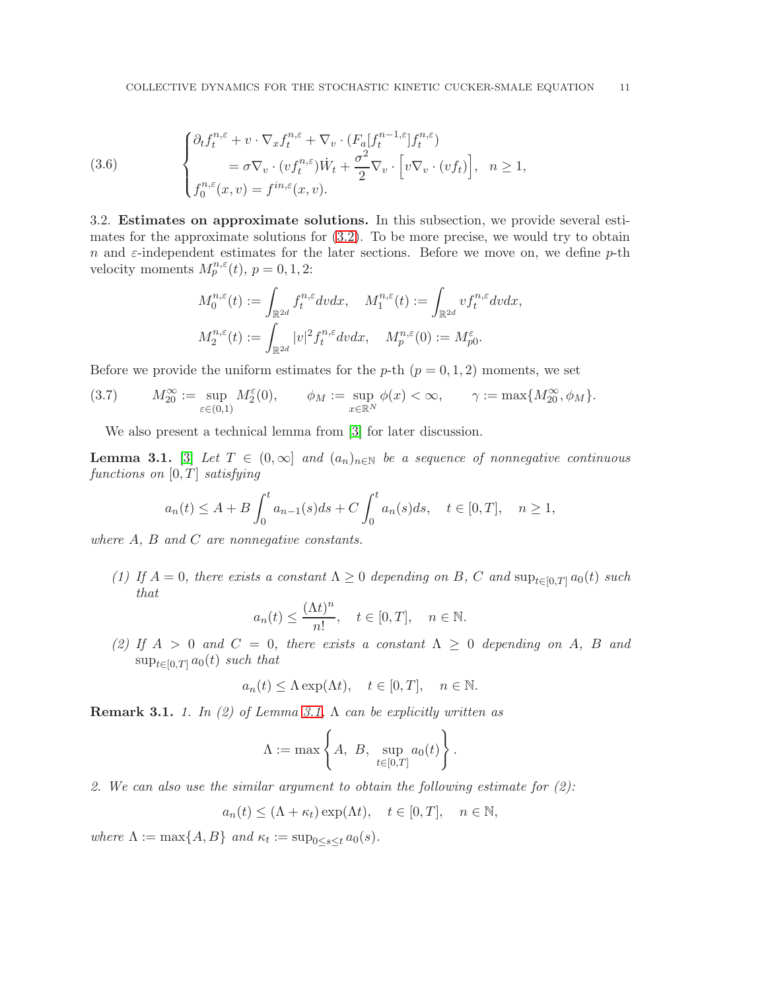<span id="page-10-2"></span>(3.6) 
$$
\begin{cases} \partial_t f_t^{n,\varepsilon} + v \cdot \nabla_x f_t^{n,\varepsilon} + \nabla_v \cdot (F_a[f_t^{n-1,\varepsilon}] f_t^{n,\varepsilon}) \\ = \sigma \nabla_v \cdot (v f_t^{n,\varepsilon}) \dot{W}_t + \frac{\sigma^2}{2} \nabla_v \cdot \left[ v \nabla_v \cdot (v f_t) \right], & n \ge 1, \\ f_0^{n,\varepsilon}(x,v) = f^{in,\varepsilon}(x,v). \end{cases}
$$

3.2. Estimates on approximate solutions. In this subsection, we provide several estimates for the approximate solutions for [\(3.2\)](#page-9-1). To be more precise, we would try to obtain n and  $\varepsilon$ -independent estimates for the later sections. Before we move on, we define p-th velocity moments  $M_p^{n,\varepsilon}(t)$ ,  $p = 0, 1, 2$ :

$$
\begin{aligned} M_0^{n,\varepsilon}(t) &:= \int_{\mathbb{R}^{2d}} f_t^{n,\varepsilon} dv dx, \quad M_1^{n,\varepsilon}(t) := \int_{\mathbb{R}^{2d}} v f_t^{n,\varepsilon} dv dx, \\ M_2^{n,\varepsilon}(t) &:= \int_{\mathbb{R}^{2d}} |v|^2 f_t^{n,\varepsilon} dv dx, \quad M_p^{n,\varepsilon}(0) := M_{p0}^{\varepsilon}. \end{aligned}
$$

Before we provide the uniform estimates for the p-th  $(p = 0, 1, 2)$  moments, we set

<span id="page-10-1"></span>
$$
(3.7) \qquad M_{20}^{\infty} := \sup_{\varepsilon \in (0,1)} M_2^{\varepsilon}(0), \qquad \phi_M := \sup_{x \in \mathbb{R}^N} \phi(x) < \infty, \qquad \gamma := \max\{M_{20}^{\infty}, \phi_M\}.
$$

We also present a technical lemma from [\[3\]](#page-31-26) for later discussion.

<span id="page-10-0"></span>**Lemma 3.1.** [\[3\]](#page-31-26) Let  $T \in (0,\infty]$  and  $(a_n)_{n\in\mathbb{N}}$  be a sequence of nonnegative continuous functions on  $[0, T]$  satisfying

$$
a_n(t) \le A + B \int_0^t a_{n-1}(s)ds + C \int_0^t a_n(s)ds, \quad t \in [0, T], \quad n \ge 1,
$$

where A, B and C are nonnegative constants.

(1) If  $A = 0$ , there exists a constant  $\Lambda \geq 0$  depending on B, C and  $\sup_{t \in [0,T]} a_0(t)$  such that

$$
a_n(t) \le \frac{(\Lambda t)^n}{n!}, \quad t \in [0, T], \quad n \in \mathbb{N}.
$$

(2) If  $A > 0$  and  $C = 0$ , there exists a constant  $\Lambda \geq 0$  depending on A, B and  $\sup_{t\in[0,T]}a_0(t)$  such that

$$
a_n(t) \leq \Lambda \exp(\Lambda t), \quad t \in [0, T], \quad n \in \mathbb{N}.
$$

**Remark 3.1.** 1. In (2) of Lemma [3.1,](#page-10-0)  $\Lambda$  can be explicitly written as

$$
\Lambda := \max \left\{ A, B, \sup_{t \in [0,T]} a_0(t) \right\}.
$$

2. We can also use the similar argument to obtain the following estimate for  $(2)$ :

$$
a_n(t) \leq (\Lambda + \kappa_t) \exp(\Lambda t), \quad t \in [0, T], \quad n \in \mathbb{N},
$$

where  $\Lambda := \max\{A, B\}$  and  $\kappa_t := \sup_{0 \le s \le t} a_0(s)$ .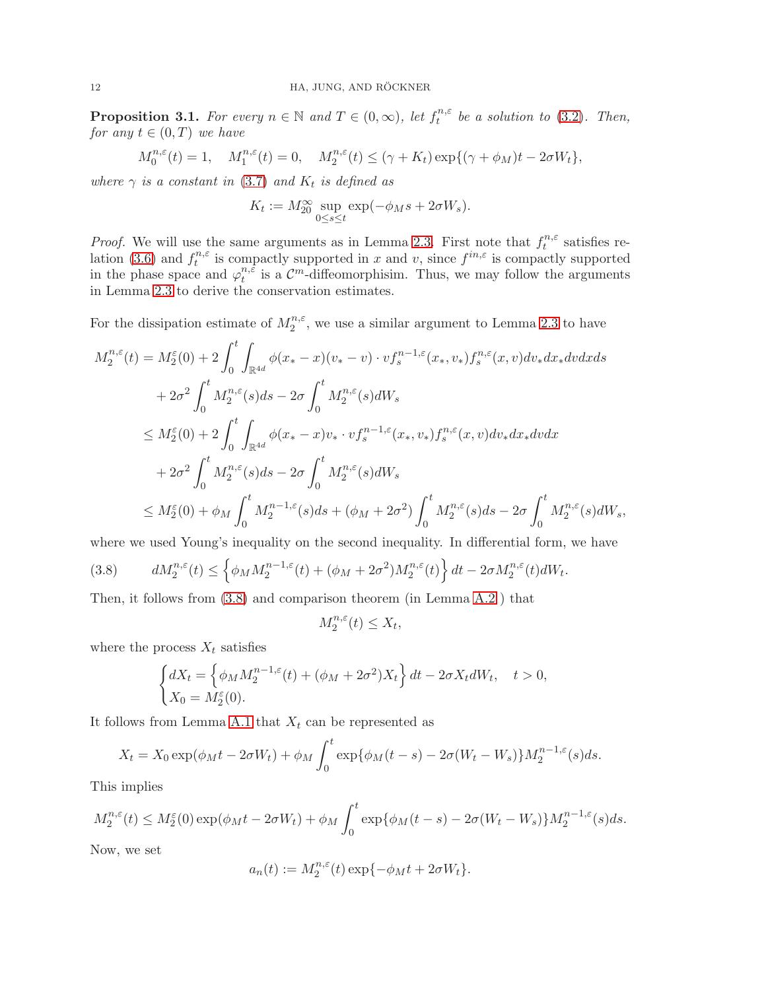<span id="page-11-1"></span>**Proposition 3.1.** For every  $n \in \mathbb{N}$  and  $T \in (0, \infty)$ , let  $f_t^{n,\varepsilon}$  $t^{n,\varepsilon}$  be a solution to [\(3.2\)](#page-9-1). Then, for any  $t \in (0,T)$  we have

$$
M_0^{n,\varepsilon}(t) = 1, \quad M_1^{n,\varepsilon}(t) = 0, \quad M_2^{n,\varepsilon}(t) \le (\gamma + K_t) \exp\{(\gamma + \phi_M)t - 2\sigma W_t\},
$$

where  $\gamma$  is a constant in [\(3.7\)](#page-10-1) and  $K_t$  is defined as

$$
K_t := M_{20}^{\infty} \sup_{0 \le s \le t} \exp(-\phi_M s + 2\sigma W_s).
$$

*Proof.* We will use the same arguments as in Lemma [2.3.](#page-5-1) First note that  $f_t^{n,\varepsilon}$  $t^{n,\varepsilon}$  satisfies re-lation [\(3.6\)](#page-10-2) and  $f_t^{n,\varepsilon}$  $t^{n,\varepsilon}$  is compactly supported in x and v, since  $f^{in,\varepsilon}$  is compactly supported in the phase space and  $\varphi_t^{n,\tilde{\varepsilon}}$  $t^{n,\varepsilon}$  is a  $\mathcal{C}^m$ -diffeomorphisim. Thus, we may follow the arguments in Lemma [2.3](#page-5-1) to derive the conservation estimates.

For the dissipation estimate of  $M_2^{n,\epsilon}$ , we use a similar argument to Lemma [2.3](#page-5-1) to have

$$
M_2^{n,\varepsilon}(t) = M_2^{\varepsilon}(0) + 2 \int_0^t \int_{\mathbb{R}^{4d}} \phi(x_* - x)(v_* - v) \cdot v f_s^{n-1,\varepsilon}(x_*, v_*) f_s^{n,\varepsilon}(x, v) dv_* dx_* dv dx ds
$$
  
+ 
$$
2\sigma^2 \int_0^t M_2^{n,\varepsilon}(s) ds - 2\sigma \int_0^t M_2^{n,\varepsilon}(s) dW_s
$$
  

$$
\leq M_2^{\varepsilon}(0) + 2 \int_0^t \int_{\mathbb{R}^{4d}} \phi(x_* - x)v_* \cdot v f_s^{n-1,\varepsilon}(x_*, v_*) f_s^{n,\varepsilon}(x, v) dv_* dx_* dv dx
$$
  
+ 
$$
2\sigma^2 \int_0^t M_2^{n,\varepsilon}(s) ds - 2\sigma \int_0^t M_2^{n,\varepsilon}(s) dW_s
$$
  

$$
\leq M_2^{\varepsilon}(0) + \phi_M \int_0^t M_2^{n-1,\varepsilon}(s) ds + (\phi_M + 2\sigma^2) \int_0^t M_2^{n,\varepsilon}(s) ds - 2\sigma \int_0^t M_2^{n,\varepsilon}(s) dW_s,
$$

where we used Young's inequality on the second inequality. In differential form, we have

<span id="page-11-0"></span>(3.8) 
$$
dM_2^{n,\varepsilon}(t) \leq \left\{ \phi_M M_2^{n-1,\varepsilon}(t) + (\phi_M + 2\sigma^2) M_2^{n,\varepsilon}(t) \right\} dt - 2\sigma M_2^{n,\varepsilon}(t) dW_t.
$$

Then, it follows from [\(3.8\)](#page-11-0) and comparison theorem (in Lemma [A.2](#page-26-1) ) that

$$
M_2^{n,\varepsilon}(t) \le X_t,
$$

where the process  $X_t$  satisfies

$$
\begin{cases} dX_t = \left\{ \phi_M M_2^{n-1,\varepsilon}(t) + (\phi_M + 2\sigma^2)X_t \right\} dt - 2\sigma X_t dW_t, \quad t > 0, \\ X_0 = M_2^{\varepsilon}(0). \end{cases}
$$

It follows from Lemma [A.1](#page-26-0) that  $X_t$  can be represented as

$$
X_t = X_0 \exp(\phi_M t - 2\sigma W_t) + \phi_M \int_0^t \exp\{\phi_M(t-s) - 2\sigma(W_t - W_s)\} M_2^{n-1,\varepsilon}(s) ds.
$$

This implies

$$
M_2^{n,\varepsilon}(t) \le M_2^{\varepsilon}(0) \exp(\phi_M t - 2\sigma W_t) + \phi_M \int_0^t \exp\{\phi_M(t-s) - 2\sigma(W_t - W_s)\} M_2^{n-1,\varepsilon}(s) ds.
$$

Now, we set

$$
a_n(t) := M_2^{n,\varepsilon}(t) \exp\{-\phi_M t + 2\sigma W_t\}.
$$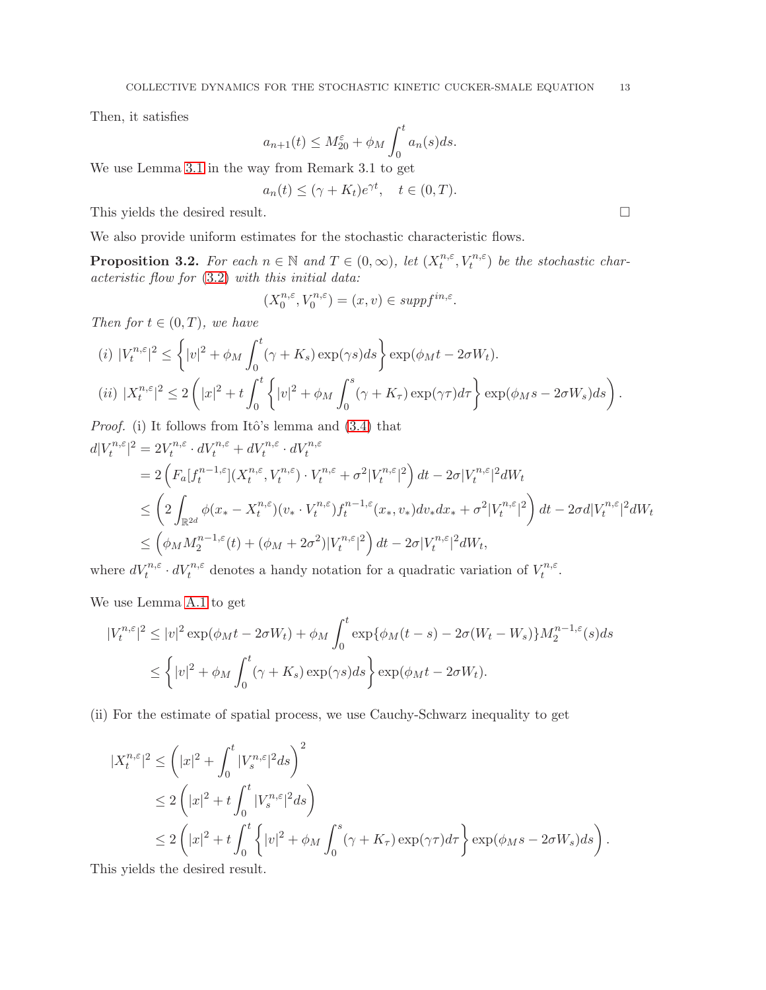Then, it satisfies

$$
a_{n+1}(t) \le M_{20}^{\varepsilon} + \phi_M \int_0^t a_n(s)ds.
$$

We use Lemma [3.1](#page-10-0) in the way from Remark 3.1 to get

$$
a_n(t) \le (\gamma + K_t)e^{\gamma t}, \quad t \in (0, T).
$$

This yields the desired result.  $\Box$ 

We also provide uniform estimates for the stochastic characteristic flows.

<span id="page-12-0"></span>**Proposition 3.2.** For each  $n \in \mathbb{N}$  and  $T \in (0, \infty)$ , let  $(X_t^{n, \varepsilon})$  $t^{n,\varepsilon}, V_t^{n,\varepsilon}$  be the stochastic characteristic flow for [\(3.2\)](#page-9-1) with this initial data:

$$
(X_0^{n,\varepsilon}, V_0^{n,\varepsilon}) = (x, v) \in \operatorname{supp} f^{\operatorname{in}, \varepsilon}.
$$

Then for  $t \in (0, T)$ , we have

(i) 
$$
|V_t^{n,\varepsilon}|^2 \le \left\{|v|^2 + \phi_M \int_0^t (\gamma + K_s) \exp(\gamma s) ds\right\} \exp(\phi_M t - 2\sigma W_t).
$$
  
\n(ii)  $|X_t^{n,\varepsilon}|^2 \le 2\left(|x|^2 + t \int_0^t \left\{|v|^2 + \phi_M \int_0^s (\gamma + K_\tau) \exp(\gamma \tau) d\tau\right\} \exp(\phi_M s - 2\sigma W_s) ds\right).$ 

*Proof.* (i) It follows from Itô's lemma and  $(3.4)$  that  $d|V_t^{n,\varepsilon}$  $|t^{n,\varepsilon}|^2 = 2V_t^{n,\varepsilon}$  $\sigma_t^{n,\varepsilon} \cdot dV_t^{n,\varepsilon} + dV_t^{n,\varepsilon} \cdot dV_t^{n,\varepsilon}$ 

$$
=2\left(F_a[f_t^{n-1,\varepsilon}](X_t^{n,\varepsilon},V_t^{n,\varepsilon})\cdot V_t^{n,\varepsilon}+\sigma^2|V_t^{n,\varepsilon}|^2\right)dt-2\sigma|V_t^{n,\varepsilon}|^2dW_t
$$
  
\n
$$
\leq \left(2\int_{\mathbb{R}^{2d}}\phi(x_*-X_t^{n,\varepsilon})(v_*\cdot V_t^{n,\varepsilon})f_t^{n-1,\varepsilon}(x_*,v_*)dv_*dx_*+\sigma^2|V_t^{n,\varepsilon}|^2\right)dt-2\sigma d|V_t^{n,\varepsilon}|^2dW_t
$$
  
\n
$$
\leq \left(\phi_MM_2^{n-1,\varepsilon}(t)+(\phi_M+2\sigma^2)|V_t^{n,\varepsilon}|^2\right)dt-2\sigma|V_t^{n,\varepsilon}|^2dW_t,
$$

where  $dV_t^{n,\varepsilon} \cdot dV_t^{n,\varepsilon}$  denotes a handy notation for a quadratic variation of  $V_t^{n,\varepsilon}$  $\frac{\varepsilon^{n,\varepsilon}}{t}$ .

We use Lemma [A.1](#page-26-0) to get

$$
|V_t^{n,\varepsilon}|^2 \le |v|^2 \exp(\phi_M t - 2\sigma W_t) + \phi_M \int_0^t \exp\{\phi_M(t-s) - 2\sigma(W_t - W_s)\} M_2^{n-1,\varepsilon}(s) ds
$$
  

$$
\le \left\{|v|^2 + \phi_M \int_0^t (\gamma + K_s) \exp(\gamma s) ds\right\} \exp(\phi_M t - 2\sigma W_t).
$$

(ii) For the estimate of spatial process, we use Cauchy-Schwarz inequality to get

$$
\begin{split} |X_t^{n,\varepsilon}|^2 &\leq \left( |x|^2 + \int_0^t |V_s^{n,\varepsilon}|^2 ds \right)^2 \\ &\leq 2 \left( |x|^2 + t \int_0^t |V_s^{n,\varepsilon}|^2 ds \right) \\ &\leq 2 \left( |x|^2 + t \int_0^t \left\{ |v|^2 + \phi_M \int_0^s (\gamma + K_\tau) \exp(\gamma \tau) d\tau \right\} \exp(\phi_M s - 2\sigma W_s) ds \right). \end{split}
$$

This yields the desired result.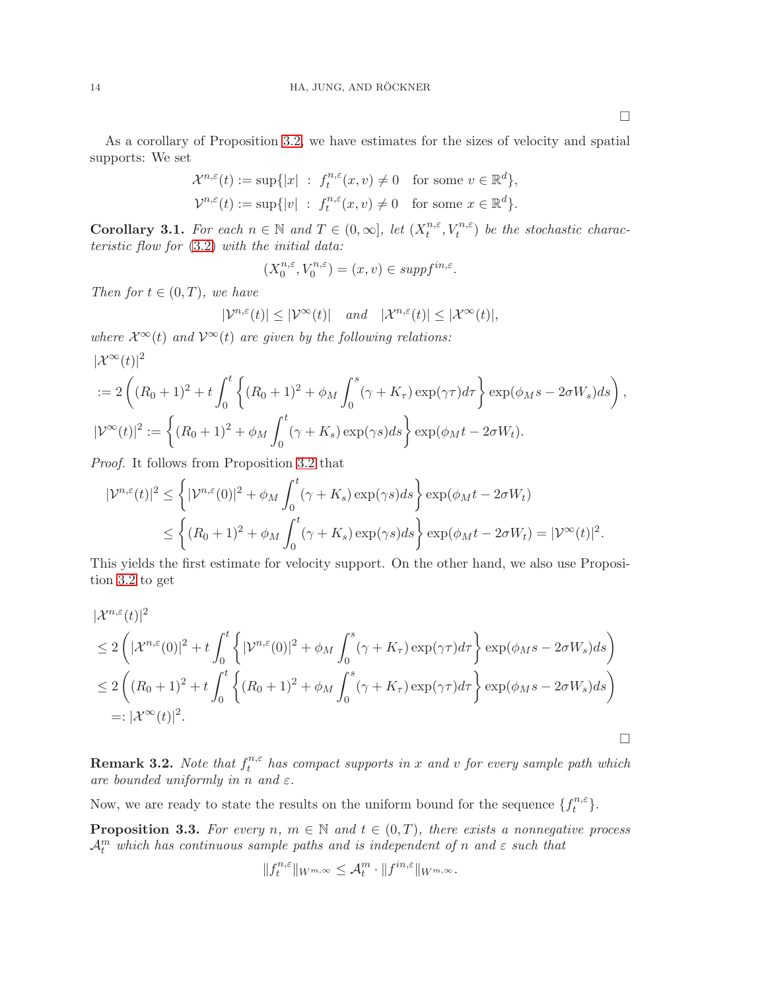As a corollary of Proposition [3.2,](#page-12-0) we have estimates for the sizes of velocity and spatial supports: We set

$$
\mathcal{X}^{n,\varepsilon}(t) := \sup\{|x| \ : \ f_t^{n,\varepsilon}(x,v) \neq 0 \quad \text{for some } v \in \mathbb{R}^d\},
$$
  

$$
\mathcal{V}^{n,\varepsilon}(t) := \sup\{|v| \ : \ f_t^{n,\varepsilon}(x,v) \neq 0 \quad \text{for some } x \in \mathbb{R}^d\}.
$$

<span id="page-13-0"></span>**Corollary 3.1.** For each  $n \in \mathbb{N}$  and  $T \in (0, \infty]$ , let  $(X_t^{n, \varepsilon})$  $t^{n,\varepsilon}, V_t^{n,\varepsilon}$  be the stochastic characteristic flow for [\(3.2\)](#page-9-1) with the initial data:

$$
(X_0^{n,\varepsilon}, V_0^{n,\varepsilon}) = (x, v) \in \operatorname{supp} f^{\mathrm{in}, \varepsilon}.
$$

Then for  $t \in (0, T)$ , we have

$$
|\mathcal{V}^{n,\varepsilon}(t)| \le |\mathcal{V}^{\infty}(t)| \quad \text{and} \quad |\mathcal{X}^{n,\varepsilon}(t)| \le |\mathcal{X}^{\infty}(t)|,
$$

where  $\mathcal{X}^{\infty}(t)$  and  $\mathcal{V}^{\infty}(t)$  are given by the following relations:  $|\mathcal{X}^{\infty}(t)|^2$ 

$$
:= 2\left((R_0+1)^2 + t\int_0^t \left\{(R_0+1)^2 + \phi_M \int_0^s (\gamma + K_\tau) \exp(\gamma \tau) d\tau \right\} \exp(\phi_M s - 2\sigma W_s) ds\right),
$$
  

$$
|\mathcal{V}^\infty(t)|^2 := \left\{(R_0+1)^2 + \phi_M \int_0^t (\gamma + K_s) \exp(\gamma s) ds\right\} \exp(\phi_M t - 2\sigma W_t).
$$

Proof. It follows from Proposition [3.2](#page-12-0) that

$$
|\mathcal{V}^{n,\varepsilon}(t)|^2 \leq \left\{ |\mathcal{V}^{n,\varepsilon}(0)|^2 + \phi_M \int_0^t (\gamma + K_s) \exp(\gamma s) ds \right\} \exp(\phi_M t - 2\sigma W_t)
$$
  

$$
\leq \left\{ (R_0 + 1)^2 + \phi_M \int_0^t (\gamma + K_s) \exp(\gamma s) ds \right\} \exp(\phi_M t - 2\sigma W_t) = |\mathcal{V}^{\infty}(t)|^2.
$$

This yields the first estimate for velocity support. On the other hand, we also use Proposition [3.2](#page-12-0) to get

$$
\begin{split}\n&\|\mathcal{X}^{n,\varepsilon}(t)\|^{2} \\
&\leq 2\left(|\mathcal{X}^{n,\varepsilon}(0)|^{2} + t\int_{0}^{t}\left\{|{\mathcal{V}}^{n,\varepsilon}(0)|^{2} + \phi_{M}\int_{0}^{s}(\gamma + K_{\tau})\exp(\gamma\tau)d\tau\right\}\exp(\phi_{M}s - 2\sigma W_{s})ds\right) \\
&\leq 2\left((R_{0} + 1)^{2} + t\int_{0}^{t}\left\{(R_{0} + 1)^{2} + \phi_{M}\int_{0}^{s}(\gamma + K_{\tau})\exp(\gamma\tau)d\tau\right\}\exp(\phi_{M}s - 2\sigma W_{s})ds\right) \\
&=: |\mathcal{X}^{\infty}(t)|^{2}.\n\end{split}
$$

**Remark 3.2.** Note that  $f_t^{n,\varepsilon}$  $t^{n,\varepsilon}$  has compact supports in x and v for every sample path which are bounded uniformly in n and  $\varepsilon$ .

Now, we are ready to state the results on the uniform bound for the sequence  $\{f_t^{n,\varepsilon}$  $t^{n,\varepsilon}$ .

<span id="page-13-1"></span>**Proposition 3.3.** For every n,  $m \in \mathbb{N}$  and  $t \in (0,T)$ , there exists a nonnegative process  $\mathcal{A}_t^m$  which has continuous sample paths and is independent of n and  $\varepsilon$  such that

$$
||f_t^{n,\varepsilon}||_{W^{m,\infty}} \leq \mathcal{A}_t^m \cdot ||f^{in,\varepsilon}||_{W^{m,\infty}}.
$$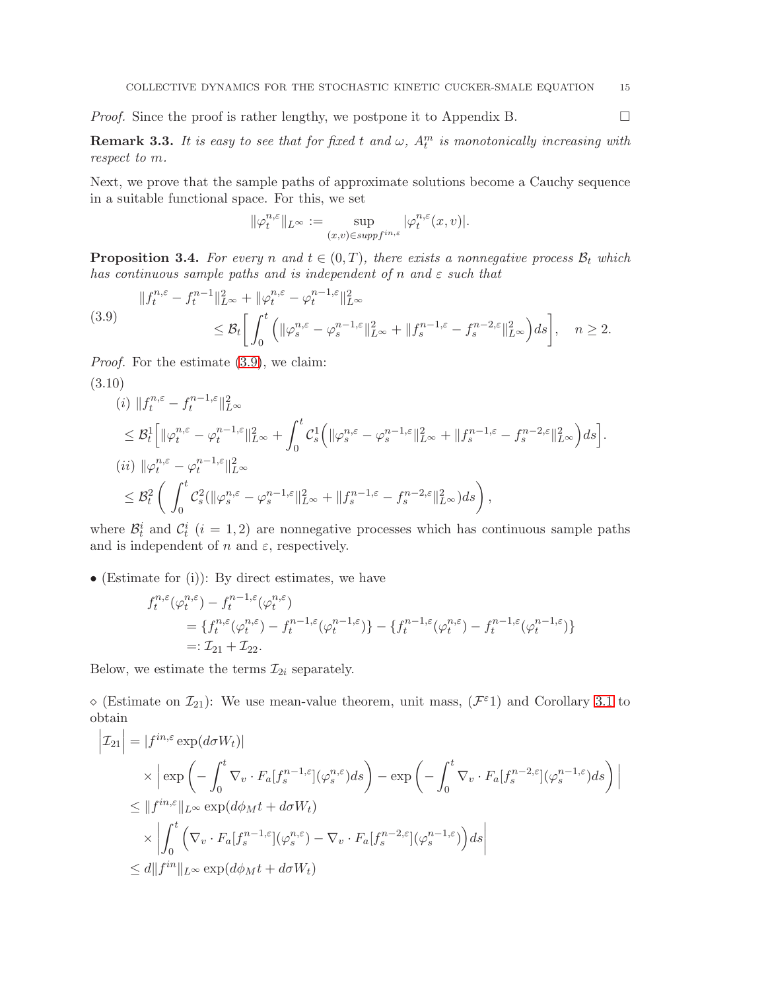*Proof.* Since the proof is rather lengthy, we postpone it to Appendix B.

**Remark 3.3.** It is easy to see that for fixed t and  $\omega$ ,  $A_t^m$  is monotonically increasing with respect to m.

Next, we prove that the sample paths of approximate solutions become a Cauchy sequence in a suitable functional space. For this, we set

$$
\|\varphi^{n, \varepsilon}_t\|_{L^\infty}:=\sup_{(x, v)\in {supp}f^{in, \varepsilon}}|\varphi^{n, \varepsilon}_t(x, v)|.
$$

<span id="page-14-2"></span>**Proposition 3.4.** For every n and  $t \in (0, T)$ , there exists a nonnegative process  $\mathcal{B}_t$  which has continuous sample paths and is independent of n and  $\varepsilon$  such that

<span id="page-14-0"></span>
$$
(3.9) \qquad \begin{aligned} \|f_t^{n,\varepsilon} - f_t^{n-1}\|_{L^\infty}^2 + \|\varphi_t^{n,\varepsilon} - \varphi_t^{n-1,\varepsilon}\|_{L^\infty}^2 \\ &\leq \mathcal{B}_t \bigg[ \int_0^t \left( \|\varphi_s^{n,\varepsilon} - \varphi_s^{n-1,\varepsilon}\|_{L^\infty}^2 + \|f_s^{n-1,\varepsilon} - f_s^{n-2,\varepsilon}\|_{L^\infty}^2 \right) ds \bigg], \quad n \geq 2. \end{aligned}
$$

Proof. For the estimate [\(3.9\)](#page-14-0), we claim:

<span id="page-14-1"></span>
$$
(3.10)
$$
\n
$$
(i) \quad \|f_t^{n,\varepsilon} - f_t^{n-1,\varepsilon}\|_{L^{\infty}}^2
$$
\n
$$
\leq \mathcal{B}_t^1 \Big[ \|\varphi_t^{n,\varepsilon} - \varphi_t^{n-1,\varepsilon}\|_{L^{\infty}}^2 + \int_0^t \mathcal{C}_s^1 \Big( \|\varphi_s^{n,\varepsilon} - \varphi_s^{n-1,\varepsilon}\|_{L^{\infty}}^2 + \|f_s^{n-1,\varepsilon} - f_s^{n-2,\varepsilon}\|_{L^{\infty}}^2 \Big) ds \Big].
$$
\n
$$
(ii) \quad \|\varphi_t^{n,\varepsilon} - \varphi_t^{n-1,\varepsilon}\|_{L^{\infty}}^2
$$
\n
$$
\leq \mathcal{B}_t^2 \Big( \int_0^t \mathcal{C}_s^2 (\|\varphi_s^{n,\varepsilon} - \varphi_s^{n-1,\varepsilon}\|_{L^{\infty}}^2 + \|f_s^{n-1,\varepsilon} - f_s^{n-2,\varepsilon}\|_{L^{\infty}}^2) ds \Big),
$$

where  $\mathcal{B}_t^i$  and  $\mathcal{C}_t^i$  (i = 1,2) are nonnegative processes which has continuous sample paths and is independent of n and  $\varepsilon$ , respectively.

• (Estimate for (i)): By direct estimates, we have

$$
f_t^{n,\varepsilon}(\varphi_t^{n,\varepsilon}) - f_t^{n-1,\varepsilon}(\varphi_t^{n,\varepsilon})
$$
  
= 
$$
\{f_t^{n,\varepsilon}(\varphi_t^{n,\varepsilon}) - f_t^{n-1,\varepsilon}(\varphi_t^{n-1,\varepsilon})\} - \{f_t^{n-1,\varepsilon}(\varphi_t^{n,\varepsilon}) - f_t^{n-1,\varepsilon}(\varphi_t^{n-1,\varepsilon})\}
$$
  
=:  $\mathcal{I}_{21} + \mathcal{I}_{22}$ .

Below, we estimate the terms  $\mathcal{I}_{2i}$  separately.

 $\Diamond$  (Estimate on  $\mathcal{I}_{21}$ ): We use mean-value theorem, unit mass,  $(\mathcal{F}^{\varepsilon})$  and Corollary [3.1](#page-13-0) to obtain

$$
\begin{split}\n\left|\mathcal{I}_{21}\right| &= |f^{in,\varepsilon} \exp(d\sigma W_t)| \\
&\times \left| \exp\left(-\int_0^t \nabla_v \cdot F_a[f_s^{n-1,\varepsilon}](\varphi_s^{n,\varepsilon})ds\right) - \exp\left(-\int_0^t \nabla_v \cdot F_a[f_s^{n-2,\varepsilon}](\varphi_s^{n-1,\varepsilon})ds\right) \right| \\
&\leq \|f^{in,\varepsilon}\|_{L^\infty} \exp(d\phi_M t + d\sigma W_t) \\
&\times \left| \int_0^t \left(\nabla_v \cdot F_a[f_s^{n-1,\varepsilon}](\varphi_s^{n,\varepsilon}) - \nabla_v \cdot F_a[f_s^{n-2,\varepsilon}](\varphi_s^{n-1,\varepsilon})\right)ds \right| \\
&\leq d \|f^{in}\|_{L^\infty} \exp(d\phi_M t + d\sigma W_t)\n\end{split}
$$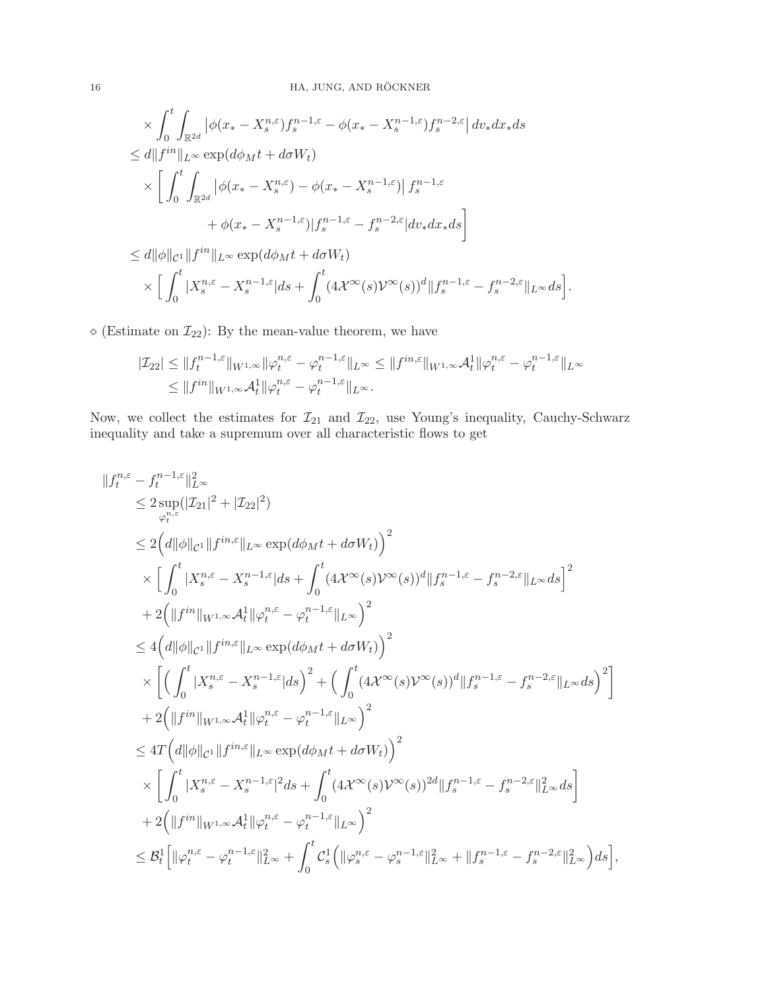$$
\times \int_0^t \int_{\mathbb{R}^{2d}} |\phi(x_* - X_s^{n,\varepsilon}) f_s^{n-1,\varepsilon} - \phi(x_* - X_s^{n-1,\varepsilon}) f_s^{n-2,\varepsilon}| dv_* dx_* ds
$$
  
\n
$$
\leq d \|f^{in}\|_{L^{\infty}} \exp(d\phi_M t + d\sigma W_t)
$$
  
\n
$$
\times \left[ \int_0^t \int_{\mathbb{R}^{2d}} |\phi(x_* - X_s^{n,\varepsilon}) - \phi(x_* - X_s^{n-1,\varepsilon})| f_s^{n-1,\varepsilon} + \phi(x_* - X_s^{n-1,\varepsilon}) |f_s^{n-1,\varepsilon} - f_s^{n-2,\varepsilon}| dv_* dx_* ds \right]
$$
  
\n
$$
\leq d \|\phi\|_{\mathcal{C}^1} \|f^{in}\|_{L^{\infty}} \exp(d\phi_M t + d\sigma W_t)
$$
  
\n
$$
\times \left[ \int_0^t |X_s^{n,\varepsilon} - X_s^{n-1,\varepsilon}| ds + \int_0^t (4\mathcal{X}^\infty(s)\mathcal{Y}^\infty(s))^d \|f_s^{n-1,\varepsilon} - f_s^{n-2,\varepsilon}\|_{L^\infty} ds \right].
$$

 $\diamond$  (Estimate on  $\mathcal{I}_{22})$  : By the mean-value theorem, we have

$$
|\mathcal{I}_{22}| \le ||f_t^{n-1,\varepsilon}||_{W^{1,\infty}} \|\varphi_t^{n,\varepsilon} - \varphi_t^{n-1,\varepsilon}||_{L^\infty} \le ||f^{in,\varepsilon}||_{W^{1,\infty}} \mathcal{A}_t^1 \|\varphi_t^{n,\varepsilon} - \varphi_t^{n-1,\varepsilon}||_{L^\infty}
$$
  

$$
\le ||f^{in}||_{W^{1,\infty}} \mathcal{A}_t^1 \|\varphi_t^{n,\varepsilon} - \varphi_t^{n-1,\varepsilon}||_{L^\infty}.
$$

Now, we collect the estimates for  $\mathcal{I}_{21}$  and  $\mathcal{I}_{22}$ , use Young's inequality, Cauchy-Schwarz inequality and take a supremum over all characteristic flows to get

$$
\label{eq:22} \begin{split} &\|f^{n,\varepsilon}_t-f^{n-1,\varepsilon}_t\|^2_{L^\infty}\\ &\leq 2\sup_{\varphi^{n,\varepsilon}_t}(|\mathcal{I}_{21}|^2+|\mathcal{I}_{22}|^2)\\ &\leq 2\Big(d\|\phi\|_{\mathcal{C}^1}\|f^{in,\varepsilon}\|_{L^\infty}\exp(d\phi_Mt+d\sigma W_t)\Big)^2\\ &\quad\times \Big[\int_0^t|X^{n,\varepsilon}_s-X^{n-1,\varepsilon}_s|ds+\int_0^t(4\mathcal{X}^\infty(s)\mathcal{V}^\infty(s))^d\|f^{n-1,\varepsilon}_s-f^{n-2,\varepsilon}_s\|_{L^\infty}ds\Big]^2\\ &\quad+2\Big(\|f^{in}\|_{W^{1,\infty}}\mathcal{A}^1_t\|\varphi^{n,\varepsilon}_t-\varphi^{n-1,\varepsilon}_t\|_{L^\infty}\Big)^2\\ &\leq 4\Big(d\|\phi\|_{\mathcal{C}^1}\|f^{in,\varepsilon}\|_{L^\infty}\exp(d\phi_Mt+d\sigma W_t)\Big)^2\\ &\quad\times\bigg[\Big(\int_0^t|X^{n,\varepsilon}_s-X^{n-1,\varepsilon}_s|ds\Big)^2+\Big(\int_0^t(4\mathcal{X}^\infty(s)\mathcal{V}^\infty(s))^d\|f^{n-1,\varepsilon}_s-f^{n-2,\varepsilon}_s\|_{L^\infty}ds\Big)^2\bigg]\\ &\quad+2\Big(\|f^{in}\|_{W^{1,\infty}}\mathcal{A}^1_t\|\varphi^{n,\varepsilon}_t-\varphi^{n-1,\varepsilon}_t\|_{L^\infty}\Big)^2\\ &\leq 4T\Big(d\|\phi\|_{\mathcal{C}^1}\|f^{in,\varepsilon}\|_{L^\infty}\exp(d\phi_Mt+d\sigma W_t)\Big)^2\\ &\quad\times\bigg[\int_0^t|X^{n,\varepsilon}_s-X^{n-1,\varepsilon}_s|^2ds+\int_0^t(4\mathcal{X}^\infty(s)\mathcal{V}^\infty(s))^{2d}\|f^{n-1,\varepsilon}_s-f^{n-2,\varepsilon}_s\|_{L^\infty}^2ds\bigg]\\ &\quad+2\Big(\|f^{in}\|_{W^{1,\infty}}\mathcal{A}^1_t\|\var
$$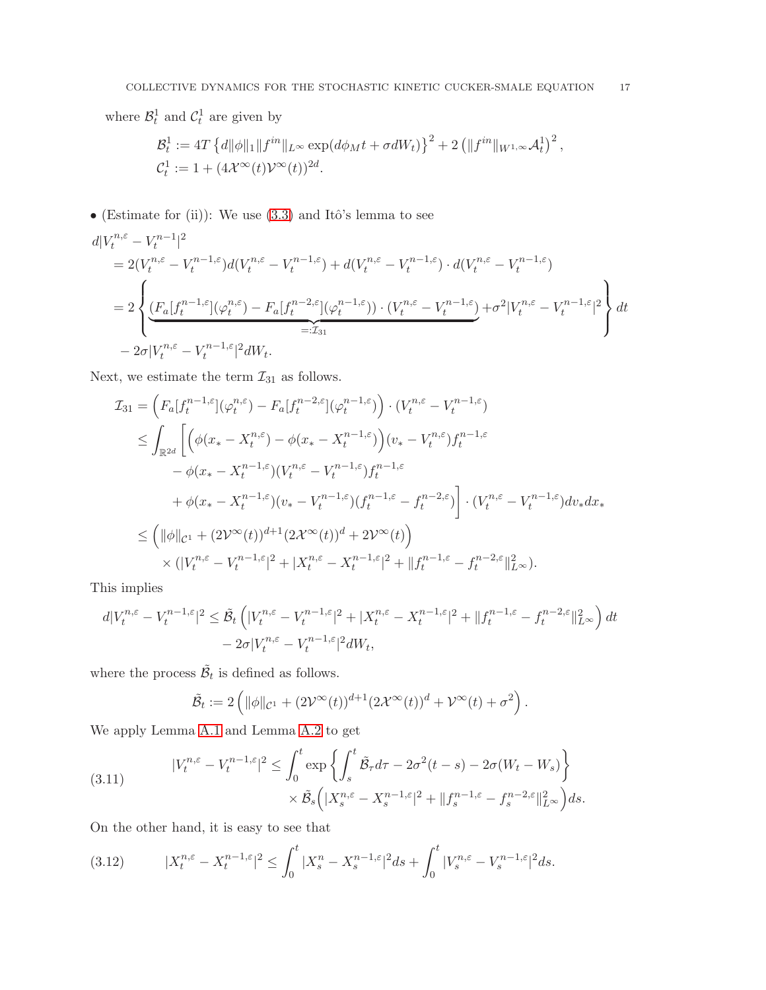where  $\mathcal{B}_t^1$  and  $\mathcal{C}_t^1$  are given by

$$
\mathcal{B}_t^1 := 4T \left\{ d \|\phi\|_1 \|f^{in}\|_{L^\infty} \exp(d\phi_M t + \sigma dW_t) \right\}^2 + 2 \left( \|f^{in}\|_{W^{1,\infty}} \mathcal{A}_t^1 \right)^2,
$$
  

$$
\mathcal{C}_t^1 := 1 + (4\mathcal{X}^\infty(t)\mathcal{V}^\infty(t))^{2d}.
$$

• (Estimate for (ii)): We use  $(3.3)$  and Itô's lemma to see

$$
\begin{split} &d|V_t^{n,\varepsilon} - V_t^{n-1}|^2\\ &= 2(V_t^{n,\varepsilon} - V_t^{n-1,\varepsilon})d(V_t^{n,\varepsilon} - V_t^{n-1,\varepsilon}) + d(V_t^{n,\varepsilon} - V_t^{n-1,\varepsilon}) \cdot d(V_t^{n,\varepsilon} - V_t^{n-1,\varepsilon})\\ &= 2\left\{ \underbrace{(F_a[f_t^{n-1,\varepsilon}] (\varphi_t^{n,\varepsilon}) - F_a[f_t^{n-2,\varepsilon}] (\varphi_t^{n-1,\varepsilon})) \cdot (V_t^{n,\varepsilon} - V_t^{n-1,\varepsilon})}_{=: \mathcal{I}_{31}} + \sigma^2 |V_t^{n,\varepsilon} - V_t^{n-1,\varepsilon}|^2 \right\} dt\\ &- 2\sigma |V_t^{n,\varepsilon} - V_t^{n-1,\varepsilon}|^2 dW_t. \end{split}
$$

Next, we estimate the term  $\mathcal{I}_{31}$  as follows.

$$
\mathcal{I}_{31} = \left( F_a[f_t^{n-1,\varepsilon}](\varphi_t^{n,\varepsilon}) - F_a[f_t^{n-2,\varepsilon}](\varphi_t^{n-1,\varepsilon}) \right) \cdot (V_t^{n,\varepsilon} - V_t^{n-1,\varepsilon})
$$
\n
$$
\leq \int_{\mathbb{R}^{2d}} \left[ \left( \phi(x_* - X_t^{n,\varepsilon}) - \phi(x_* - X_t^{n-1,\varepsilon}) \right) (v_* - V_t^{n,\varepsilon}) f_t^{n-1,\varepsilon} \right. \\ \left. - \phi(x_* - X_t^{n-1,\varepsilon}) (V_t^{n,\varepsilon} - V_t^{n-1,\varepsilon}) f_t^{n-1,\varepsilon}
$$
\n
$$
+ \phi(x_* - X_t^{n-1,\varepsilon}) (v_* - V_t^{n-1,\varepsilon}) (f_t^{n-1,\varepsilon} - f_t^{n-2,\varepsilon}) \right] \cdot (V_t^{n,\varepsilon} - V_t^{n-1,\varepsilon}) dv_* dx_*
$$
\n
$$
\leq \left( \|\phi\|_{\mathcal{C}^1} + (2V^\infty(t))^{d+1} (2\mathcal{X}^\infty(t))^d + 2V^\infty(t) \right)
$$
\n
$$
\times (|V_t^{n,\varepsilon} - V_t^{n-1,\varepsilon}|^2 + |X_t^{n,\varepsilon} - X_t^{n-1,\varepsilon}|^2 + \|f_t^{n-1,\varepsilon} - f_t^{n-2,\varepsilon}\|_{L^\infty}^2).
$$

This implies

$$
d|V_t^{n,\varepsilon} - V_t^{n-1,\varepsilon}|^2 \leq \tilde{\mathcal{B}}_t \left( |V_t^{n,\varepsilon} - V_t^{n-1,\varepsilon}|^2 + |X_t^{n,\varepsilon} - X_t^{n-1,\varepsilon}|^2 + ||f_t^{n-1,\varepsilon} - f_t^{n-2,\varepsilon}||_{L^\infty}^2 \right) dt
$$
  
-  $2\sigma |V_t^{n,\varepsilon} - V_t^{n-1,\varepsilon}|^2 dW_t,$ 

where the process  $\tilde{\mathcal{B}}_t$  is defined as follows.

$$
\tilde{\mathcal{B}}_t := 2\left( \|\phi\|_{\mathcal{C}^1} + (2\mathcal{V}^\infty(t))^{d+1} (2\mathcal{X}^\infty(t))^d + \mathcal{V}^\infty(t) + \sigma^2 \right).
$$

We apply Lemma [A.1](#page-26-0) and Lemma [A.2](#page-26-1) to get

<span id="page-16-0"></span>(3.11) 
$$
|V_t^{n,\varepsilon} - V_t^{n-1,\varepsilon}|^2 \le \int_0^t \exp\left\{ \int_s^t \tilde{\mathcal{B}}_\tau d\tau - 2\sigma^2(t-s) - 2\sigma(W_t - W_s) \right\} \times \tilde{\mathcal{B}}_s \left( |X_s^{n,\varepsilon} - X_s^{n-1,\varepsilon}|^2 + \|f_s^{n-1,\varepsilon} - f_s^{n-2,\varepsilon}\|_{L^\infty}^2 \right) ds.
$$

On the other hand, it is easy to see that

<span id="page-16-1"></span>(3.12) 
$$
|X_t^{n,\varepsilon} - X_t^{n-1,\varepsilon}|^2 \le \int_0^t |X_s^n - X_s^{n-1,\varepsilon}|^2 ds + \int_0^t |V_s^{n,\varepsilon} - V_s^{n-1,\varepsilon}|^2 ds.
$$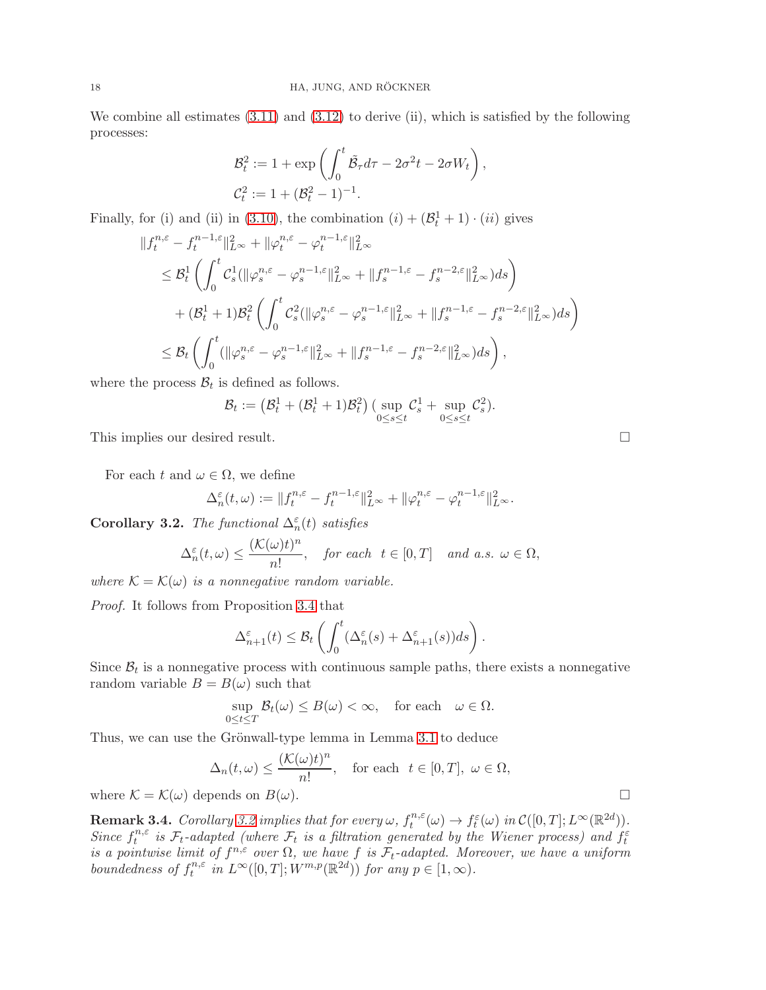We combine all estimates  $(3.11)$  and  $(3.12)$  to derive (ii), which is satisfied by the following processes:

$$
\mathcal{B}_t^2 := 1 + \exp\left(\int_0^t \tilde{\mathcal{B}}_\tau d\tau - 2\sigma^2 t - 2\sigma W_t\right),
$$
  

$$
\mathcal{C}_t^2 := 1 + (\mathcal{B}_t^2 - 1)^{-1}.
$$

Finally, for (i) and (ii) in [\(3.10\)](#page-14-1), the combination  $(i) + (\mathcal{B}_t^1 + 1) \cdot (ii)$  gives

$$
\begin{split} &\|f_t^{n,\varepsilon} - f_t^{n-1,\varepsilon}\|_{L^{\infty}}^2 + \|\varphi_t^{n,\varepsilon} - \varphi_t^{n-1,\varepsilon}\|_{L^{\infty}}^2 \\ &\leq \mathcal{B}_t^1 \left( \int_0^t \mathcal{C}_s^1 (\|\varphi_s^{n,\varepsilon} - \varphi_s^{n-1,\varepsilon}\|_{L^{\infty}}^2 + \|f_s^{n-1,\varepsilon} - f_s^{n-2,\varepsilon}\|_{L^{\infty}}^2) ds \right) \\ &\quad + (\mathcal{B}_t^1 + 1)\mathcal{B}_t^2 \left( \int_0^t \mathcal{C}_s^2 (\|\varphi_s^{n,\varepsilon} - \varphi_s^{n-1,\varepsilon}\|_{L^{\infty}}^2 + \|f_s^{n-1,\varepsilon} - f_s^{n-2,\varepsilon}\|_{L^{\infty}}^2) ds \right) \\ &\leq \mathcal{B}_t \left( \int_0^t (\|\varphi_s^{n,\varepsilon} - \varphi_s^{n-1,\varepsilon}\|_{L^{\infty}}^2 + \|f_s^{n-1,\varepsilon} - f_s^{n-2,\varepsilon}\|_{L^{\infty}}^2) ds \right), \end{split}
$$

where the process  $B_t$  is defined as follows.

$$
\mathcal{B}_t := \left(\mathcal{B}_t^1 + (\mathcal{B}_t^1 + 1)\mathcal{B}_t^2\right) \left(\sup_{0 \le s \le t} \mathcal{C}_s^1 + \sup_{0 \le s \le t} \mathcal{C}_s^2\right).
$$

This implies our desired result.

For each t and  $\omega \in \Omega$ , we define

$$
\Delta_n^{\varepsilon}(t,\omega) := \|f_t^{n,\varepsilon} - f_t^{n-1,\varepsilon}\|_{L^{\infty}}^2 + \|\varphi_t^{n,\varepsilon} - \varphi_t^{n-1,\varepsilon}\|_{L^{\infty}}^2.
$$

<span id="page-17-0"></span>**Corollary 3.2.** The functional  $\Delta_n^{\varepsilon}(t)$  satisfies

$$
\Delta_n^{\varepsilon}(t,\omega) \le \frac{(\mathcal{K}(\omega)t)^n}{n!}, \quad \text{for each} \ \ t \in [0,T] \quad \text{and a.s. } \omega \in \Omega,
$$

where  $\mathcal{K} = \mathcal{K}(\omega)$  is a nonnegative random variable.

Proof. It follows from Proposition [3.4](#page-14-2) that

$$
\Delta_{n+1}^{\varepsilon}(t) \leq \mathcal{B}_t\left(\int_0^t (\Delta_n^{\varepsilon}(s) + \Delta_{n+1}^{\varepsilon}(s))ds\right).
$$

Since  $\mathcal{B}_t$  is a nonnegative process with continuous sample paths, there exists a nonnegative random variable  $B = B(\omega)$  such that

$$
\sup_{0\leq t\leq T} \mathcal{B}_t(\omega) \leq B(\omega) < \infty, \quad \text{for each} \quad \omega \in \Omega.
$$

Thus, we can use the Grönwall-type lemma in Lemma [3.1](#page-10-0) to deduce

$$
\Delta_n(t,\omega) \le \frac{(\mathcal{K}(\omega)t)^n}{n!}, \quad \text{for each} \ \ t \in [0,T], \ \omega \in \Omega,
$$

where  $\mathcal{K} = \mathcal{K}(\omega)$  depends on  $B(\omega)$ .

<span id="page-17-1"></span>**Remark 3.4.** Corollary [3.2](#page-17-0) implies that for every  $\omega$ ,  $f_t^{n,\varepsilon}$  $t^{n,\varepsilon}(\omega) \to f_t^{\varepsilon}(\omega)$  in  $\mathcal{C}([0,T];L^{\infty}(\mathbb{R}^{2d})).$ Since  $f_t^{n,\varepsilon}$  $t^{n,\varepsilon}$  is  $\mathcal{F}_t$ -adapted (where  $\mathcal{F}_t$  is a filtration generated by the Wiener process) and  $f_t^{\varepsilon}$ is a pointwise limit of  $f^{n,\varepsilon}$  over  $\Omega$ , we have f is  $\mathcal{F}_t$ -adapted. Moreover, we have a uniform boundedness of  $f_t^{n,\varepsilon}$  $t^{n,\varepsilon}$  in  $L^{\infty}([0,T]; W^{m,p}(\mathbb{R}^{2d}))$  for any  $p \in [1,\infty)$ .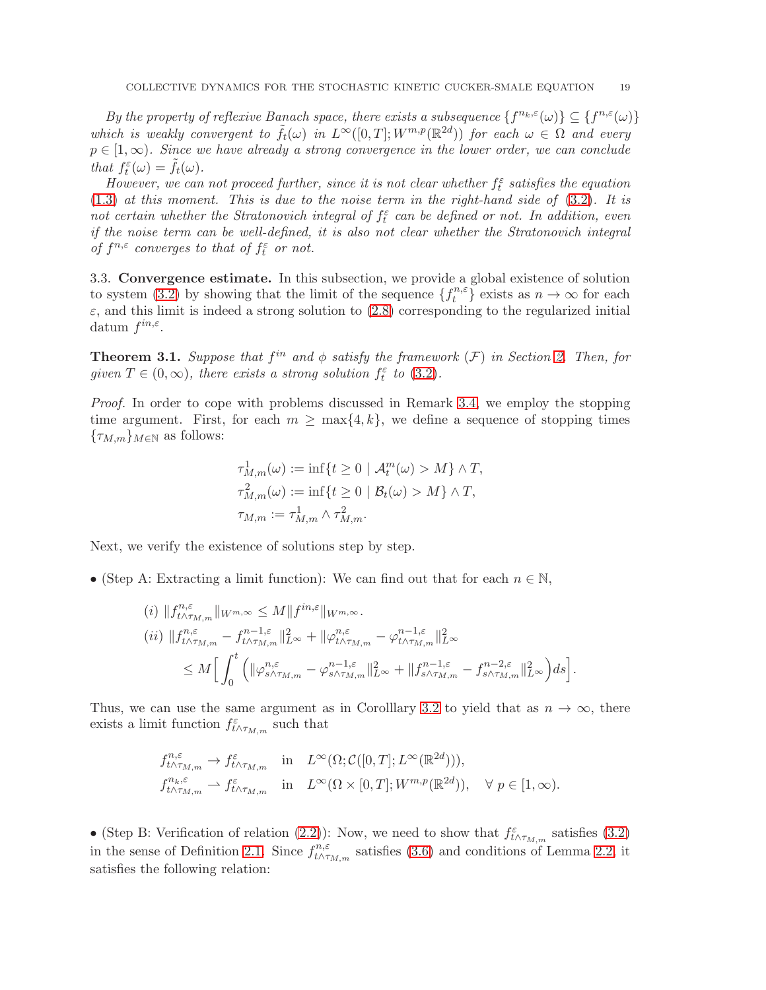By the property of reflexive Banach space, there exists a subsequence  $\{f^{n_k,\varepsilon}(\omega)\}\subseteq \{f^{n,\varepsilon}(\omega)\}$ which is weakly convergent to  $\tilde{f}_t(\omega)$  in  $L^{\infty}([0,T]; W^{m,p}(\mathbb{R}^{2d}))$  for each  $\omega \in \Omega$  and every  $p \in [1,\infty)$ . Since we have already a strong convergence in the lower order, we can conclude that  $f_t^{\varepsilon}(\omega) = \tilde{f}_t(\omega)$ .

However, we can not proceed further, since it is not clear whether  $f_t^{\varepsilon}$  satisfies the equation  $(1.3)$  at this moment. This is due to the noise term in the right-hand side of  $(3.2)$ . It is not certain whether the Stratonovich integral of  $f_t^{\varepsilon}$  can be defined or not. In addition, even if the noise term can be well-defined, it is also not clear whether the Stratonovich integral of  $f^{n,\varepsilon}$  converges to that of  $f_t^{\varepsilon}$  or not.

3.3. Convergence estimate. In this subsection, we provide a global existence of solution to system [\(3.2\)](#page-9-1) by showing that the limit of the sequence  $\{f_t^{n,\varepsilon}\}$  $\{n, \varepsilon\}$  exists as  $n \to \infty$  for each  $\varepsilon$ , and this limit is indeed a strong solution to [\(2.8\)](#page-5-2) corresponding to the regularized initial datum  $f^{in,\varepsilon}$ .

<span id="page-18-0"></span>**Theorem 3.1.** Suppose that  $f^{in}$  and  $\phi$  satisfy the framework  $(F)$  in Section [2.](#page-2-3) Then, for given  $T \in (0, \infty)$ , there exists a strong solution  $f_t^{\varepsilon}$  to  $(3.2)$ .

Proof. In order to cope with problems discussed in Remark [3.4,](#page-17-1) we employ the stopping time argument. First, for each  $m \ge \max\{4, k\}$ , we define a sequence of stopping times  ${\tau_{M,m}}_{M\in\mathbb{N}}$  as follows:

$$
\tau_{M,m}^1(\omega) := \inf\{t \ge 0 \mid \mathcal{A}_t^m(\omega) > M\} \wedge T,
$$
  

$$
\tau_{M,m}^2(\omega) := \inf\{t \ge 0 \mid \mathcal{B}_t(\omega) > M\} \wedge T,
$$
  

$$
\tau_{M,m} := \tau_{M,m}^1 \wedge \tau_{M,m}^2.
$$

Next, we verify the existence of solutions step by step.

• (Step A: Extracting a limit function): We can find out that for each  $n \in \mathbb{N}$ ,

$$
(i) \|f_{t\wedge\tau_{M,m}}^{n,\varepsilon}\|_{W^{m,\infty}} \leq M \|f^{in,\varepsilon}\|_{W^{m,\infty}}.
$$
  
\n
$$
(ii) \|f_{t\wedge\tau_{M,m}}^{n,\varepsilon} - f_{t\wedge\tau_{M,m}}^{n-1,\varepsilon} \|_{L^{\infty}}^2 + \|\varphi_{t\wedge\tau_{M,m}}^{n,\varepsilon} - \varphi_{t\wedge\tau_{M,m}}^{n-1,\varepsilon} \|_{L^{\infty}}^2
$$
  
\n
$$
\leq M \Big[ \int_0^t \Big( \|\varphi_{s\wedge\tau_{M,m}}^{n,\varepsilon} - \varphi_{s\wedge\tau_{M,m}}^{n-1,\varepsilon} \|_{L^{\infty}}^2 + \|f_{s\wedge\tau_{M,m}}^{n-1,\varepsilon} - f_{s\wedge\tau_{M,m}}^{n-2,\varepsilon} \|_{L^{\infty}}^2 \Big) ds \Big].
$$

Thus, we can use the same argument as in Corolllary [3.2](#page-17-0) to yield that as  $n \to \infty$ , there exists a limit function  $f_{t \wedge \tau_{M,m}}^{\varepsilon}$  such that

$$
\begin{array}{llll}\nf_{t\wedge\tau_{M,m}}^{n,\varepsilon}\to f_{t\wedge\tau_{M,m}}^{\varepsilon} & \text{in} & L^{\infty}(\Omega;\mathcal{C}([0,T];L^{\infty}(\mathbb{R}^{2d}))),\\ \nf_{t\wedge\tau_{M,m}}^{n_k,\varepsilon}\to f_{t\wedge\tau_{M,m}}^{\varepsilon} & \text{in} & L^{\infty}(\Omega\times[0,T];W^{m,p}(\mathbb{R}^{2d})), \quad \forall \ p\in[1,\infty).\end{array}
$$

• (Step B: Verification of relation [\(2.2\)](#page-2-1)): Now, we need to show that  $f_{t\wedge\tau_{M,m}}^{\varepsilon}$  satisfies [\(3.2\)](#page-9-1) in the sense of Definition [2.1.](#page-2-4) Since  $f_{t\wedge\tau}^{n,\varepsilon}$  $t^{\prime n,\varepsilon}_{t\wedge\tau_{M,m}}$  satisfies [\(3.6\)](#page-10-2) and conditions of Lemma [2.2,](#page-3-3) it satisfies the following relation: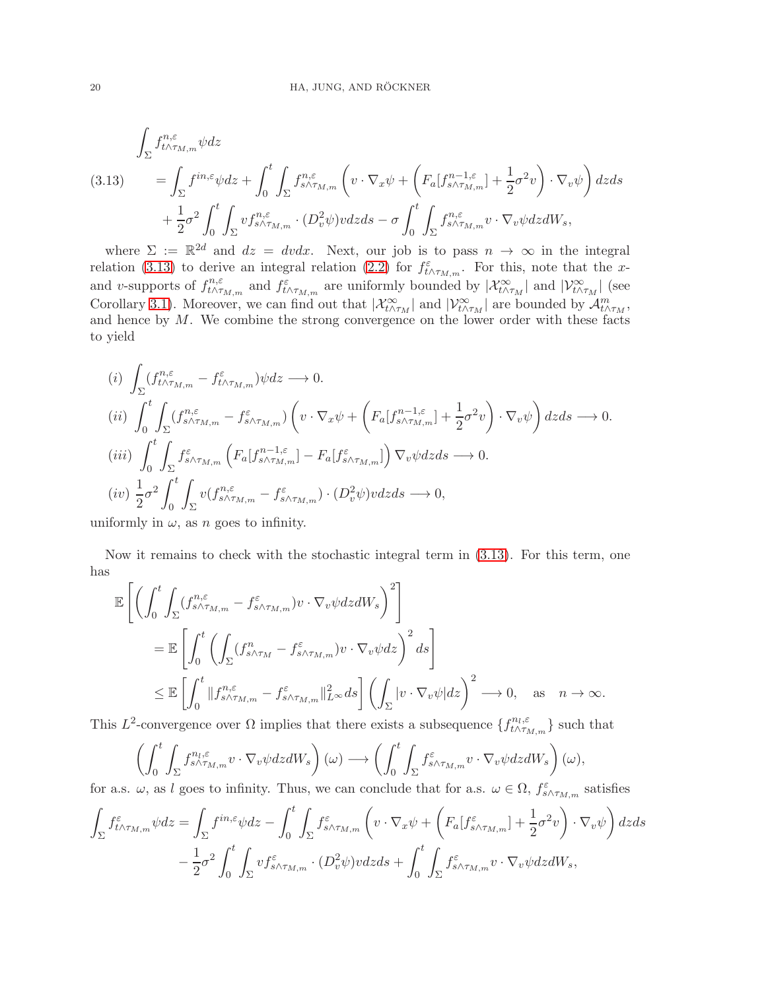<span id="page-19-0"></span>
$$
\int_{\Sigma} f_{t \wedge \tau_{M,m}}^{n,\varepsilon} \psi dz
$$
\n
$$
(3.13) \qquad = \int_{\Sigma} f^{in,\varepsilon} \psi dz + \int_0^t \int_{\Sigma} f_{s \wedge \tau_{M,m}}^{n,\varepsilon} \left( v \cdot \nabla_x \psi + \left( F_a[f_{s \wedge \tau_{M,m}}^{n-1,\varepsilon}] + \frac{1}{2} \sigma^2 v \right) \cdot \nabla_v \psi \right) dz ds
$$
\n
$$
+ \frac{1}{2} \sigma^2 \int_0^t \int_{\Sigma} v f_{s \wedge \tau_{M,m}}^{n,\varepsilon} \cdot (D_v^2 \psi) v dz ds - \sigma \int_0^t \int_{\Sigma} f_{s \wedge \tau_{M,m}}^{n,\varepsilon} v \cdot \nabla_v \psi dz dW_s,
$$

where  $\Sigma := \mathbb{R}^{2d}$  and  $dz = dvdx$ . Next, our job is to pass  $n \to \infty$  in the integral relation [\(3.13\)](#page-19-0) to derive an integral relation [\(2.2\)](#page-2-1) for  $f_{t \wedge \tau_{M,m}}^{\varepsilon}$ . For this, note that the xand v-supports of  $f_{t\wedge\tau}^{n,\varepsilon}$  $t \wedge \tau_{M,m}$  and  $f_{t \wedge \tau_{M,m}}^{\varepsilon}$  are uniformly bounded by  $|\mathcal{X}_{t \wedge \tau_M}^{\infty}|$  and  $|\mathcal{V}_{t \wedge \tau_M}^{\infty}|$  (see Corollary [3.1\)](#page-13-0). Moreover, we can find out that  $|\mathcal{X}_{t \wedge \tau_M}^{\infty}|$  and  $|\mathcal{V}_{t \wedge \tau_M}^{\infty}|$  are bounded by  $\mathcal{A}_{t \wedge \tau_M}^m$ , and hence by M. We combine the strong convergence on the lower order with these facts to yield

$$
(i) \int_{\Sigma} (f_{t\wedge\tau_{M,m}}^{n,\varepsilon} - f_{t\wedge\tau_{M,m}}^{\varepsilon}) \psi dz \longrightarrow 0.
$$
  
\n
$$
(ii) \int_{0}^{t} \int_{\Sigma} (f_{s\wedge\tau_{M,m}}^{n,\varepsilon} - f_{s\wedge\tau_{M,m}}^{\varepsilon}) \left(v \cdot \nabla_{x} \psi + \left(F_{a}[f_{s\wedge\tau_{M,m}}^{n-1,\varepsilon}] + \frac{1}{2} \sigma^{2} v\right) \cdot \nabla_{v} \psi\right) dz ds \longrightarrow 0.
$$
  
\n
$$
(iii) \int_{0}^{t} \int_{\Sigma} f_{s\wedge\tau_{M,m}}^{\varepsilon} \left(F_{a}[f_{s\wedge\tau_{M,m}}^{n-1,\varepsilon}] - F_{a}[f_{s\wedge\tau_{M,m}}^{\varepsilon}]\right) \nabla_{v} \psi dz ds \longrightarrow 0.
$$
  
\n
$$
(iv) \frac{1}{2} \sigma^{2} \int_{0}^{t} \int_{\Sigma} v(f_{s\wedge\tau_{M,m}}^{n,\varepsilon} - f_{s\wedge\tau_{M,m}}^{\varepsilon}) \cdot (D_{v}^{2} \psi) v dz ds \longrightarrow 0,
$$

uniformly in  $\omega$ , as *n* goes to infinity.

Now it remains to check with the stochastic integral term in [\(3.13\)](#page-19-0). For this term, one has

$$
\mathbb{E}\left[\left(\int_{0}^{t}\int_{\Sigma}(f_{s\wedge\tau_{M,m}}^{n,\varepsilon}-f_{s\wedge\tau_{M,m}}^{\varepsilon})v\cdot\nabla_{v}\psi dz dW_{s}\right)^{2}\right]
$$
\n
$$
=\mathbb{E}\left[\int_{0}^{t}\left(\int_{\Sigma}(f_{s\wedge\tau_{M}}^{n}-f_{s\wedge\tau_{M,m}}^{\varepsilon})v\cdot\nabla_{v}\psi dz\right)^{2}ds\right]
$$
\n
$$
\leq \mathbb{E}\left[\int_{0}^{t}\|f_{s\wedge\tau_{M,m}}^{n,\varepsilon}-f_{s\wedge\tau_{M,m}}^{\varepsilon}\|_{L^{\infty}}^{2}ds\right]\left(\int_{\Sigma}|v\cdot\nabla_{v}\psi|dz\right)^{2}\longrightarrow 0, \text{ as } n\rightarrow\infty.
$$

This  $L^2$ -convergence over  $\Omega$  implies that there exists a subsequence  $\{f_{t \wedge \tau_R}^{n_l, \varepsilon}$  $t \wedge \tau_{M,m}$  such that

$$
\left(\int_0^t \int_{\Sigma} f^{n_l, \varepsilon}_{s \wedge \tau_{M,m}} v \cdot \nabla_v \psi dz dW_s \right)(\omega) \longrightarrow \left(\int_0^t \int_{\Sigma} f^{\varepsilon}_{s \wedge \tau_{M,m}} v \cdot \nabla_v \psi dz dW_s \right)(\omega),
$$

for a.s.  $\omega$ , as l goes to infinity. Thus, we can conclude that for a.s.  $\omega \in \Omega$ ,  $f_{s \wedge \tau_{M,m}}^{\varepsilon}$  satisfies

$$
\int_{\Sigma} f^{\varepsilon}_{t \wedge \tau_{M,m}} \psi dz = \int_{\Sigma} f^{in,\varepsilon} \psi dz - \int_{0}^{t} \int_{\Sigma} f^{\varepsilon}_{s \wedge \tau_{M,m}} \left( v \cdot \nabla_x \psi + \left( F_a[f^{\varepsilon}_{s \wedge \tau_{M,m}}] + \frac{1}{2} \sigma^2 v \right) \cdot \nabla_v \psi \right) dz ds \n- \frac{1}{2} \sigma^2 \int_{0}^{t} \int_{\Sigma} v f^{\varepsilon}_{s \wedge \tau_{M,m}} \cdot (D_v^2 \psi) v dz ds + \int_{0}^{t} \int_{\Sigma} f^{\varepsilon}_{s \wedge \tau_{M,m}} v \cdot \nabla_v \psi dz dW_s,
$$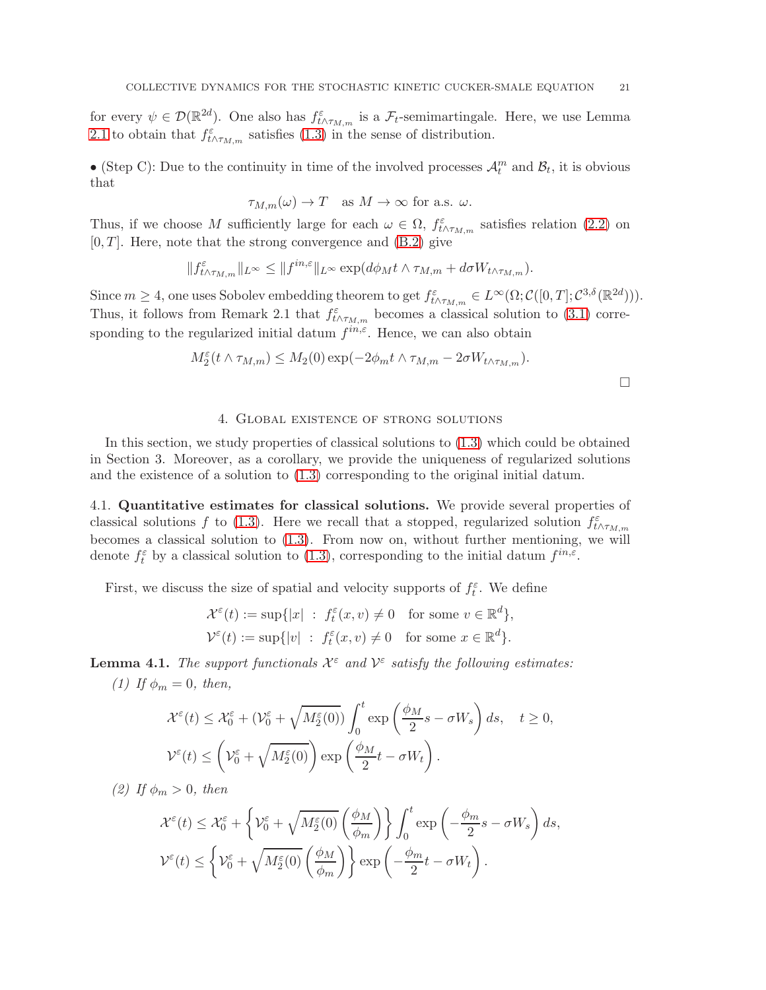for every  $\psi \in \mathcal{D}(\mathbb{R}^{2d})$ . One also has  $f_{t \wedge \tau_{M,m}}^{\varepsilon}$  is a  $\mathcal{F}_t$ -semimartingale. Here, we use Lemma [2.1](#page-2-2) to obtain that  $f_{t \wedge \tau_{M,m}}^{\varepsilon}$  satisfies [\(1.3\)](#page-1-1) in the sense of distribution.

• (Step C): Due to the continuity in time of the involved processes  $\mathcal{A}_t^m$  and  $\mathcal{B}_t$ , it is obvious that

$$
\tau_{M,m}(\omega) \to T
$$
 as  $M \to \infty$  for a.s.  $\omega$ .

Thus, if we choose M sufficiently large for each  $\omega \in \Omega$ ,  $f_{t \wedge \tau_{M,m}}^{\varepsilon}$  satisfies relation [\(2.2\)](#page-2-1) on  $[0, T]$ . Here, note that the strong convergence and  $(B.2)$  give

$$
\|f^{\varepsilon}_{t\wedge\tau_{M,m}}\|_{L^{\infty}}\leq\|f^{in,\varepsilon}\|_{L^{\infty}}\exp(d\phi_Mt\wedge\tau_{M,m}+d\sigma W_{t\wedge\tau_{M,m}}).
$$

Since  $m \geq 4$ , one uses Sobolev embedding theorem to get  $f_{t \wedge \tau_{M,m}}^{\varepsilon} \in L^{\infty}(\Omega; \mathcal{C}([0,T]; \mathcal{C}^{3,\delta}(\mathbb{R}^{2d}))).$ Thus, it follows from Remark 2.1 that  $f^{\varepsilon}_{t \wedge \tau_{M,m}}$  becomes a classical solution to [\(3.1\)](#page-8-0) corresponding to the regularized initial datum  $f^{in,\varepsilon}$ . Hence, we can also obtain

$$
M_2^{\varepsilon}(t \wedge \tau_{M,m}) \leq M_2(0) \exp(-2\phi_m t \wedge \tau_{M,m} - 2\sigma W_{t \wedge \tau_{M,m}}).
$$

## 4. Global existence of strong solutions

<span id="page-20-0"></span>In this section, we study properties of classical solutions to [\(1.3\)](#page-1-1) which could be obtained in Section 3. Moreover, as a corollary, we provide the uniqueness of regularized solutions and the existence of a solution to [\(1.3\)](#page-1-1) corresponding to the original initial datum.

4.1. Quantitative estimates for classical solutions. We provide several properties of classical solutions f to [\(1.3\)](#page-1-1). Here we recall that a stopped, regularized solution  $f_{t \wedge \tau_{M,m}}^{\varepsilon}$ becomes a classical solution to [\(1.3\)](#page-1-1). From now on, without further mentioning, we will denote  $f_t^{\varepsilon}$  by a classical solution to [\(1.3\)](#page-1-1), corresponding to the initial datum  $f^{in,\varepsilon}$ .

First, we discuss the size of spatial and velocity supports of  $f_t^{\varepsilon}$ . We define

$$
\mathcal{X}^{\varepsilon}(t) := \sup\{|x| \ : \ f_t^{\varepsilon}(x,v) \neq 0 \quad \text{for some } v \in \mathbb{R}^d\},
$$
  

$$
\mathcal{V}^{\varepsilon}(t) := \sup\{|v| \ : \ f_t^{\varepsilon}(x,v) \neq 0 \quad \text{for some } x \in \mathbb{R}^d\}.
$$

<span id="page-20-1"></span>**Lemma 4.1.** The support functionals  $\mathcal{X}^{\varepsilon}$  and  $\mathcal{V}^{\varepsilon}$  satisfy the following estimates: (1) If  $\phi_m = 0$ , then,

$$
\mathcal{X}^{\varepsilon}(t) \leq \mathcal{X}_0^{\varepsilon} + (\mathcal{V}_0^{\varepsilon} + \sqrt{M_2^{\varepsilon}(0)}) \int_0^t \exp\left(\frac{\phi_M}{2}s - \sigma W_s\right) ds, \quad t \geq 0,
$$
  

$$
\mathcal{V}^{\varepsilon}(t) \leq \left(\mathcal{V}_0^{\varepsilon} + \sqrt{M_2^{\varepsilon}(0)}\right) \exp\left(\frac{\phi_M}{2}t - \sigma W_t\right).
$$

(2) If  $\phi_m > 0$ , then

$$
\mathcal{X}^{\varepsilon}(t) \leq \mathcal{X}_{0}^{\varepsilon} + \left\{ \mathcal{V}_{0}^{\varepsilon} + \sqrt{M_{2}^{\varepsilon}(0)} \left( \frac{\phi_{M}}{\phi_{m}} \right) \right\} \int_{0}^{t} \exp\left( -\frac{\phi_{m}}{2} s - \sigma W_{s} \right) ds,
$$
  

$$
\mathcal{V}^{\varepsilon}(t) \leq \left\{ \mathcal{V}_{0}^{\varepsilon} + \sqrt{M_{2}^{\varepsilon}(0)} \left( \frac{\phi_{M}}{\phi_{m}} \right) \right\} \exp\left( -\frac{\phi_{m}}{2} t - \sigma W_{t} \right).
$$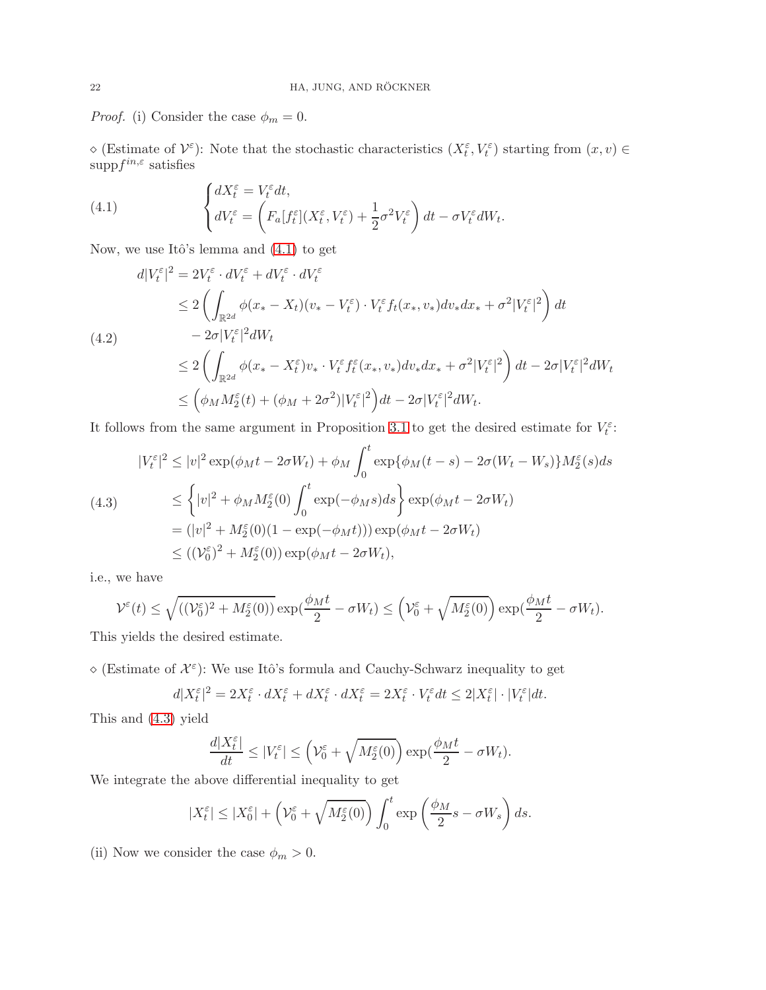*Proof.* (i) Consider the case  $\phi_m = 0$ .

 $\infty$  (Estimate of  $\mathcal{V}^{\varepsilon}$ ): Note that the stochastic characteristics  $(X_t^{\varepsilon}, V_t^{\varepsilon})$  starting from  $(x, v) \in$  $\text{supp} f^{in,\varepsilon}$  satisfies

<span id="page-21-0"></span>(4.1) 
$$
\begin{cases} dX_t^{\varepsilon} = V_t^{\varepsilon} dt, \\ dV_t^{\varepsilon} = \left( F_a[f_t^{\varepsilon}](X_t^{\varepsilon}, V_t^{\varepsilon}) + \frac{1}{2} \sigma^2 V_t^{\varepsilon} \right) dt - \sigma V_t^{\varepsilon} dW_t. \end{cases}
$$

Now, we use Itô's lemma and  $(4.1)$  to get

<span id="page-21-2"></span>
$$
d|V_t^{\varepsilon}|^2 = 2V_t^{\varepsilon} \cdot dV_t^{\varepsilon} + dV_t^{\varepsilon} \cdot dV_t^{\varepsilon}
$$
  
\n
$$
\leq 2\left(\int_{\mathbb{R}^{2d}} \phi(x_* - X_t)(v_* - V_t^{\varepsilon}) \cdot V_t^{\varepsilon} f_t(x_*, v_*) dv_* dx_* + \sigma^2 |V_t^{\varepsilon}|^2\right) dt
$$
  
\n
$$
-2\sigma |V_t^{\varepsilon}|^2 dW_t
$$
  
\n
$$
\leq 2\left(\int_{\mathbb{R}^{2d}} \phi(x_* - X_t^{\varepsilon}) v_* \cdot V_t^{\varepsilon} f_t^{\varepsilon}(x_*, v_*) dv_* dx_* + \sigma^2 |V_t^{\varepsilon}|^2\right) dt - 2\sigma |V_t^{\varepsilon}|^2 dW_t
$$
  
\n
$$
\leq \left(\phi_M M_2^{\varepsilon}(t) + (\phi_M + 2\sigma^2)|V_t^{\varepsilon}|^2\right) dt - 2\sigma |V_t^{\varepsilon}|^2 dW_t.
$$

It follows from the same argument in Proposition [3.1](#page-11-1) to get the desired estimate for  $V_t^{\varepsilon}$ :

<span id="page-21-1"></span>
$$
|V_t^{\varepsilon}|^2 \le |v|^2 \exp(\phi_M t - 2\sigma W_t) + \phi_M \int_0^t \exp\{\phi_M(t-s) - 2\sigma(W_t - W_s)\} M_2^{\varepsilon}(s) ds
$$
  
(4.3)  

$$
\le \left\{ |v|^2 + \phi_M M_2^{\varepsilon}(0) \int_0^t \exp(-\phi_M s) ds \right\} \exp(\phi_M t - 2\sigma W_t)
$$
  

$$
= (|v|^2 + M_2^{\varepsilon}(0)(1 - \exp(-\phi_M t))) \exp(\phi_M t - 2\sigma W_t)
$$
  

$$
\le ((V_0^{\varepsilon})^2 + M_2^{\varepsilon}(0)) \exp(\phi_M t - 2\sigma W_t),
$$

i.e., we have

$$
\mathcal{V}^{\varepsilon}(t) \leq \sqrt{((\mathcal{V}^{\varepsilon}_0)^2 + M_2^{\varepsilon}(0))} \exp(\frac{\phi_M t}{2} - \sigma W_t) \leq \left(\mathcal{V}^{\varepsilon}_0 + \sqrt{M_2^{\varepsilon}(0)}\right) \exp(\frac{\phi_M t}{2} - \sigma W_t).
$$

This yields the desired estimate.

 $\diamond$  (Estimate of  $\mathcal{X}^{\varepsilon}$ ): We use Itô's formula and Cauchy-Schwarz inequality to get

$$
d|X_t^\varepsilon|^2=2X_t^\varepsilon\cdot dX_t^\varepsilon+dX_t^\varepsilon\cdot dX_t^\varepsilon=2X_t^\varepsilon\cdot V_t^\varepsilon dt\leq 2|X_t^\varepsilon|\cdot |V_t^\varepsilon|dt.
$$

This and [\(4.3\)](#page-21-1) yield

$$
\frac{d|X_t^\varepsilon|}{dt} \leq |V_t^\varepsilon| \leq \left(\mathcal{V}_0^\varepsilon + \sqrt{M_2^\varepsilon(0)}\right) \exp(\frac{\phi_M t}{2} - \sigma W_t).
$$

We integrate the above differential inequality to get

$$
|X_t^{\varepsilon}| \le |X_0^{\varepsilon}| + \left(\mathcal{V}_0^{\varepsilon} + \sqrt{M_2^{\varepsilon}(0)}\right) \int_0^t \exp\left(\frac{\phi_M}{2}s - \sigma W_s\right) ds.
$$

(ii) Now we consider the case  $\phi_m>0.$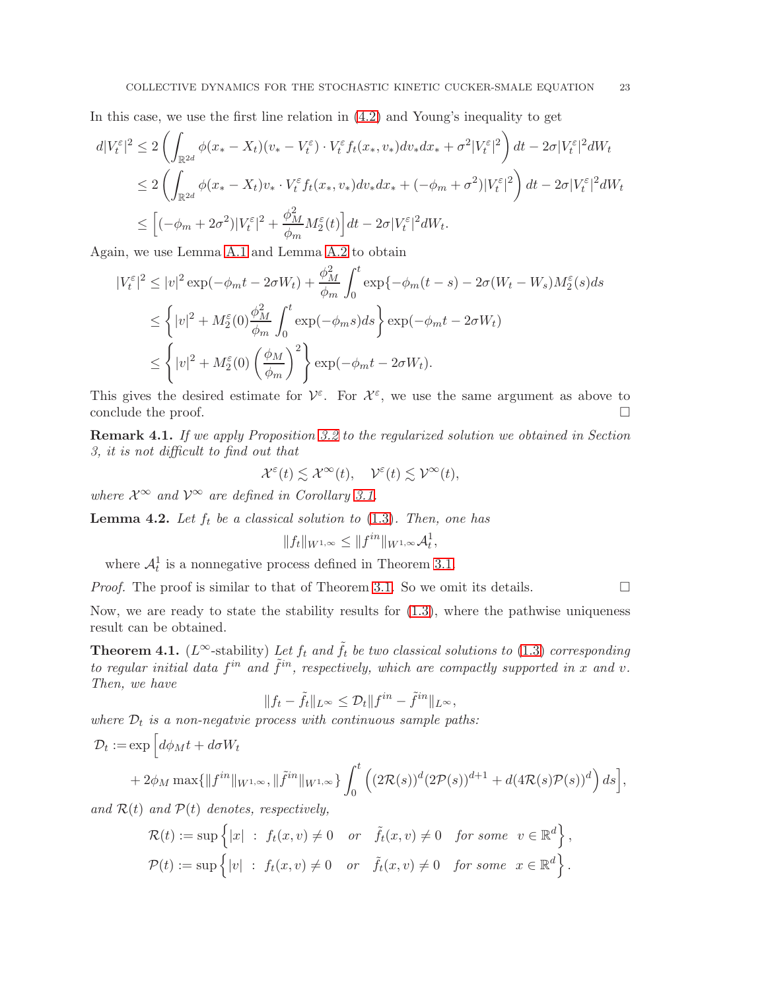In this case, we use the first line relation in [\(4.2\)](#page-21-2) and Young's inequality to get

$$
d|V_t^{\varepsilon}|^2 \leq 2\left(\int_{\mathbb{R}^{2d}} \phi(x_* - X_t)(v_* - V_t^{\varepsilon}) \cdot V_t^{\varepsilon} f_t(x_*, v_*) dv_* dx_* + \sigma^2 |V_t^{\varepsilon}|^2\right) dt - 2\sigma |V_t^{\varepsilon}|^2 dW_t
$$
  

$$
\leq 2\left(\int_{\mathbb{R}^{2d}} \phi(x_* - X_t)v_* \cdot V_t^{\varepsilon} f_t(x_*, v_*) dv_* dx_* + (-\phi_m + \sigma^2) |V_t^{\varepsilon}|^2\right) dt - 2\sigma |V_t^{\varepsilon}|^2 dW_t
$$
  

$$
\leq [(-\phi_m + 2\sigma^2)|V_t^{\varepsilon}|^2 + \frac{\phi_M^2}{\phi_m} M_2^{\varepsilon}(t)] dt - 2\sigma |V_t^{\varepsilon}|^2 dW_t.
$$

Again, we use Lemma [A.1](#page-26-0) and Lemma [A.2](#page-26-1) to obtain

$$
|V_t^{\varepsilon}|^2 \le |v|^2 \exp(-\phi_m t - 2\sigma W_t) + \frac{\phi_M^2}{\phi_m} \int_0^t \exp\{-\phi_m(t-s) - 2\sigma(W_t - W_s)M_2^{\varepsilon}(s)ds\}
$$
  

$$
\le \left\{|v|^2 + M_2^{\varepsilon}(0)\frac{\phi_M^2}{\phi_m} \int_0^t \exp(-\phi_m s)ds\right\} \exp(-\phi_m t - 2\sigma W_t)
$$
  

$$
\le \left\{|v|^2 + M_2^{\varepsilon}(0) \left(\frac{\phi_M}{\phi_m}\right)^2\right\} \exp(-\phi_m t - 2\sigma W_t).
$$

This gives the desired estimate for  $\mathcal{V}^{\varepsilon}$ . For  $\mathcal{X}^{\varepsilon}$ , we use the same argument as above to conclude the proof.  $\Box$ 

Remark 4.1. If we apply Proposition [3.2](#page-12-0) to the regularized solution we obtained in Section 3, it is not difficult to find out that

$$
\mathcal{X}^{\varepsilon}(t) \lesssim \mathcal{X}^{\infty}(t), \quad \mathcal{V}^{\varepsilon}(t) \lesssim \mathcal{V}^{\infty}(t),
$$

where  $\mathcal{X}^{\infty}$  and  $\mathcal{V}^{\infty}$  are defined in Corollary [3.1.](#page-13-0)

**Lemma 4.2.** Let  $f_t$  be a classical solution to  $(1.3)$ . Then, one has

$$
||f_t||_{W^{1,\infty}} \leq ||f^{in}||_{W^{1,\infty}}\mathcal{A}_t^1,
$$

where  $\mathcal{A}_t^1$  is a nonnegative process defined in Theorem [3.1.](#page-18-0)

*Proof.* The proof is similar to that of Theorem [3.1.](#page-18-0) So we omit its details.  $\square$ 

Now, we are ready to state the stability results for  $(1.3)$ , where the pathwise uniqueness result can be obtained.

<span id="page-22-0"></span>**Theorem 4.1.** ( $L^{\infty}$ -stability) Let  $f_t$  and  $\tilde{f}_t$  be two classical solutions to [\(1.3\)](#page-1-1) corresponding to regular initial data  $f^{in}$  and  $\tilde{f}^{in}$ , respectively, which are compactly supported in x and v. Then, we have

$$
||f_t - \tilde{f}_t||_{L^{\infty}} \leq \mathcal{D}_t||f^{in} - \tilde{f}^{in}||_{L^{\infty}},
$$

where  $\mathcal{D}_t$  is a non-negatvie process with continuous sample paths:

$$
\mathcal{D}_t := \exp\left[d\phi_M t + d\sigma W_t + 2\phi_M \max\{\|f^{in}\|_{W^{1,\infty}}, \|\tilde{f}^{in}\|_{W^{1,\infty}}\}\int_0^t \left((2\mathcal{R}(s))^d (2\mathcal{P}(s))^{d+1} + d(4\mathcal{R}(s)\mathcal{P}(s))^d\right) ds\right],
$$

and  $\mathcal{R}(t)$  and  $\mathcal{P}(t)$  denotes, respectively,

$$
\mathcal{R}(t) := \sup \left\{ |x| \; : \; f_t(x, v) \neq 0 \quad or \quad \tilde{f}_t(x, v) \neq 0 \quad \text{for some} \quad v \in \mathbb{R}^d \right\},
$$
  

$$
\mathcal{P}(t) := \sup \left\{ |v| \; : \; f_t(x, v) \neq 0 \quad \text{or} \quad \tilde{f}_t(x, v) \neq 0 \quad \text{for some} \quad x \in \mathbb{R}^d \right\}.
$$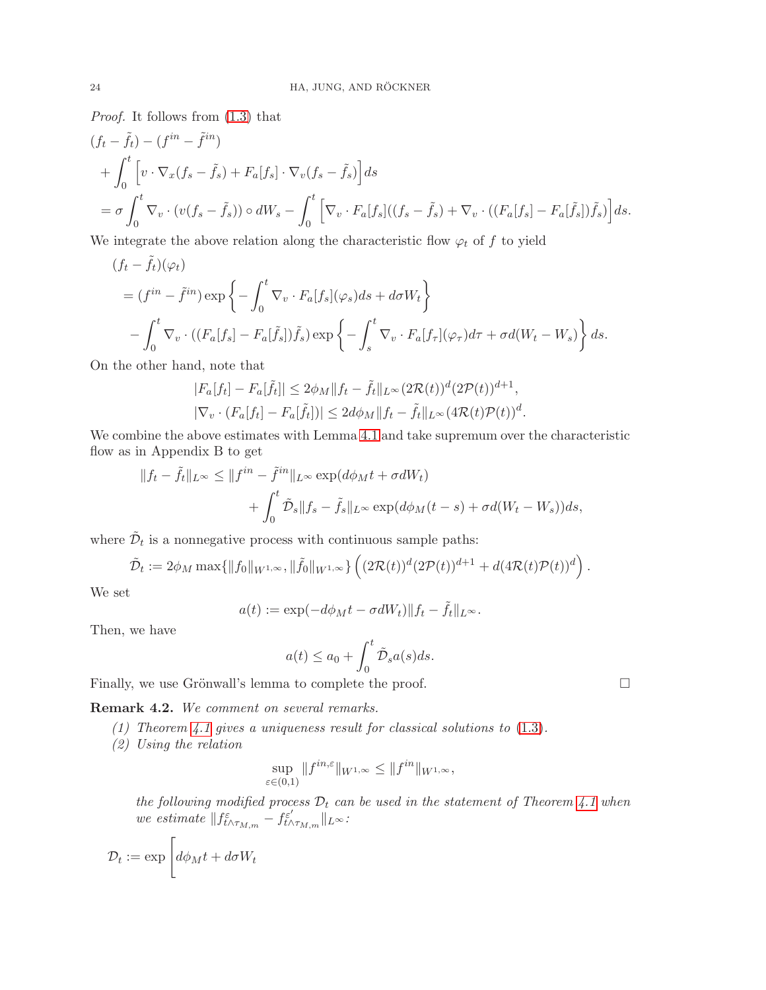Proof. It follows from [\(1.3\)](#page-1-1) that

$$
(f_t - \tilde{f}_t) - (f^{in} - \tilde{f}^{in})
$$
  
+ 
$$
\int_0^t \left[ v \cdot \nabla_x (f_s - \tilde{f}_s) + F_a[f_s] \cdot \nabla_v (f_s - \tilde{f}_s) \right] ds
$$
  
= 
$$
\sigma \int_0^t \nabla_v \cdot (v(f_s - \tilde{f}_s)) \circ dW_s - \int_0^t \left[ \nabla_v \cdot F_a[f_s]((f_s - \tilde{f}_s) + \nabla_v \cdot ((F_a[f_s] - F_a[\tilde{f}_s])\tilde{f}_s) \right] ds.
$$
  
We introduce the algebra element is shown to show the

We integrate the above relation along the characteristic flow  $\varphi_t$  of f to yield

$$
(f_t - \tilde{f}_t)(\varphi_t)
$$
  
=  $(f^{in} - \tilde{f}^{in}) \exp \left\{-\int_0^t \nabla_v \cdot F_a[f_s](\varphi_s)ds + d\sigma W_t\right\}$   

$$
-\int_0^t \nabla_v \cdot ((F_a[f_s] - F_a[\tilde{f}_s])\tilde{f}_s) \exp \left\{-\int_s^t \nabla_v \cdot F_a[f_\tau](\varphi_\tau)d\tau + \sigma d(W_t - W_s)\right\} ds.
$$

On the other hand, note that

$$
|F_a[f_t] - F_a[\tilde{f}_t]| \le 2\phi_M \|f_t - \tilde{f}_t\|_{L^\infty} (2\mathcal{R}(t))^d (2\mathcal{P}(t))^{d+1},
$$
  

$$
|\nabla_v \cdot (F_a[f_t] - F_a[\tilde{f}_t])| \le 2d\phi_M \|f_t - \tilde{f}_t\|_{L^\infty} (4\mathcal{R}(t)\mathcal{P}(t))^d.
$$

We combine the above estimates with Lemma [4.1](#page-20-1) and take supremum over the characteristic flow as in Appendix B to get

$$
||f_t - \tilde{f}_t||_{L^{\infty}} \le ||f^{in} - \tilde{f}^{in}||_{L^{\infty}} \exp(d\phi_M t + \sigma dW_t)
$$
  
+ 
$$
\int_0^t \tilde{D}_s ||f_s - \tilde{f}_s||_{L^{\infty}} \exp(d\phi_M (t - s) + \sigma d(W_t - W_s)) ds,
$$

where  $\tilde{\mathcal{D}}_t$  is a nonnegative process with continuous sample paths:

$$
\tilde{\mathcal{D}}_t := 2\phi_M \max\{\|f_0\|_{W^{1,\infty}}, \|\tilde{f}_0\|_{W^{1,\infty}}\} \left( (2\mathcal{R}(t))^d (2\mathcal{P}(t))^{d+1} + d(4\mathcal{R}(t)\mathcal{P}(t))^d \right).
$$

We set

$$
a(t) := \exp(-d\phi_M t - \sigma dW_t) ||f_t - \tilde{f}_t||_{L^{\infty}}.
$$

Then, we have

$$
a(t) \le a_0 + \int_0^t \tilde{\mathcal{D}}_s a(s) ds.
$$

Finally, we use Grönwall's lemma to complete the proof.  $\Box$ 

Remark 4.2. We comment on several remarks.

- (1) Theorem [4.1](#page-22-0) gives a uniqueness result for classical solutions to [\(1.3\)](#page-1-1).
- (2) Using the relation

$$
\sup_{\varepsilon \in (0,1)} \|f^{in,\varepsilon}\|_{W^{1,\infty}} \le \|f^{in}\|_{W^{1,\infty}},
$$

the following modified process  $D_t$  can be used in the statement of Theorem [4.1](#page-22-0) when we estimate  $|| f_{t \wedge \tau_{M,m}}^{\varepsilon} - f_{t \wedge \tau_{M,m}}^{\varepsilon'} ||_{L^{\infty}}$ 

$$
\mathcal{D}_t := \exp \left[ d\phi_M t + d\sigma W_t \right]
$$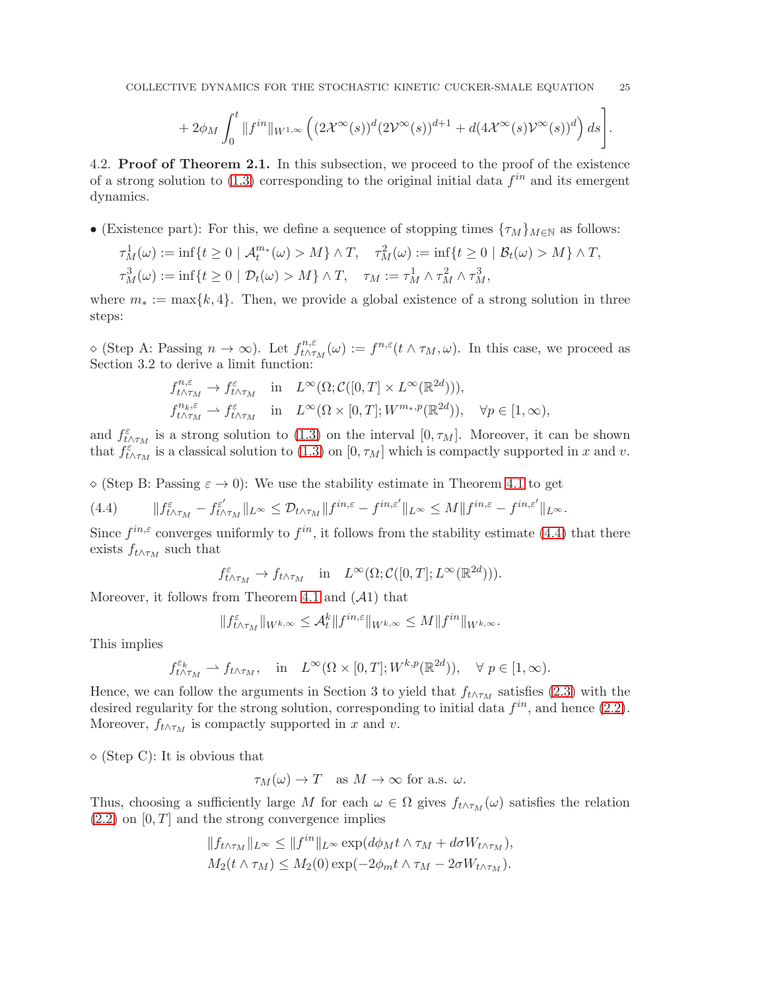$$
~~+2\phi_M\int_0^t\|f^{in}\|_{W^{1,\infty}}\left((2\mathcal X^\infty(s))^d(2\mathcal V^\infty(s))^{d+1}+d(4\mathcal X^\infty(s)\mathcal V^\infty(s))^d\right)ds\Bigg].
$$

4.2. Proof of Theorem 2.1. In this subsection, we proceed to the proof of the existence of a strong solution to  $(1.3)$  corresponding to the original initial data  $f^{in}$  and its emergent dynamics.

• (Existence part): For this, we define a sequence of stopping times  $\{\tau_M\}_{M\in\mathbb{N}}$  as follows:

$$
\tau_M^1(\omega) := \inf\{t \ge 0 \mid \mathcal{A}_t^{m*}(\omega) > M\} \wedge T, \quad \tau_M^2(\omega) := \inf\{t \ge 0 \mid \mathcal{B}_t(\omega) > M\} \wedge T,
$$
  

$$
\tau_M^3(\omega) := \inf\{t \ge 0 \mid \mathcal{D}_t(\omega) > M\} \wedge T, \quad \tau_M := \tau_M^1 \wedge \tau_M^2 \wedge \tau_M^3,
$$

where  $m_* := \max\{k, 4\}$ . Then, we provide a global existence of a strong solution in three steps:

 $\diamond$  (Step A: Passing  $n \to \infty$ ). Let  $f_{t \wedge \tau}^{n, \varepsilon}$  $t^{n,\varepsilon}_{t \wedge \tau_M}(\omega) := f^{n,\varepsilon}(t \wedge \tau_M, \omega)$ . In this case, we proceed as Section 3.2 to derive a limit function:

$$
\begin{array}{llll} f_{t\wedge\tau_{M}}^{n,\varepsilon}\rightarrow f_{t\wedge\tau_{M}}^{\varepsilon} & \text{in} & L^{\infty}(\Omega;\mathcal{C}([0,T]\times L^{\infty}(\mathbb{R}^{2d}))),\\ f_{t\wedge\tau_{M}}^{n_{k},\varepsilon}\rightarrow f_{t\wedge\tau_{M}}^{\varepsilon} & \text{in} & L^{\infty}(\Omega\times[0,T];W^{m_{*},p}(\mathbb{R}^{2d})), \quad \forall p\in[1,\infty), \end{array}
$$

and  $f_{t \wedge \tau_M}^{\varepsilon}$  is a strong solution to [\(1.3\)](#page-1-1) on the interval [0,  $\tau_M$ ]. Moreover, it can be shown that  $f_{t\wedge\tau_M}^{\varepsilon}$  is a classical solution to [\(1.3\)](#page-1-1) on [0,  $\tau_M$ ] which is compactly supported in x and v.

 $\Diamond$  (Step B: Passing  $\varepsilon \to 0$ ): We use the stability estimate in Theorem [4.1](#page-22-0) to get

<span id="page-24-0"></span>(4.4) 
$$
\|f^{\varepsilon}_{t\wedge\tau_M}-f^{\varepsilon'}_{t\wedge\tau_M}\|_{L^{\infty}} \leq \mathcal{D}_{t\wedge\tau_M}\|f^{in,\varepsilon}-f^{in,\varepsilon'}\|_{L^{\infty}} \leq M\|f^{in,\varepsilon}-f^{in,\varepsilon'}\|_{L^{\infty}}.
$$

Since  $f^{in,\varepsilon}$  converges uniformly to  $f^{in}$ , it follows from the stability estimate [\(4.4\)](#page-24-0) that there exists  $f_{t \wedge \tau_M}$  such that

$$
f_{t \wedge \tau_M}^{\varepsilon} \to f_{t \wedge \tau_M} \quad \text{in} \quad L^{\infty}(\Omega; \mathcal{C}([0,T]; L^{\infty}(\mathbb{R}^{2d}))).
$$

Moreover, it follows from Theorem [4.1](#page-22-0) and  $(A1)$  that

$$
\|f^{\varepsilon}_{t\wedge\tau_{M}}\|_{W^{k,\infty}}\leq \mathcal{A}_t^k\|f^{in,\varepsilon}\|_{W^{k,\infty}}\leq M\|f^{in}\|_{W^{k,\infty}}.
$$

This implies

$$
f_{t\wedge\tau_M}^{\varepsilon_k}\rightharpoonup f_{t\wedge\tau_M},\quad\text{in}\quad L^\infty(\Omega\times[0,T];W^{k,p}(\mathbb{R}^{2d})),\quad\forall\;p\in[1,\infty).
$$

Hence, we can follow the arguments in Section 3 to yield that  $f_{t \wedge \tau_M}$  satisfies [\(2.3\)](#page-3-0) with the desired regularity for the strong solution, corresponding to initial data  $f^{in}$ , and hence  $(2.2)$ . Moreover,  $f_{t \wedge \tau_M}$  is compactly supported in x and v.

 $\Diamond$  (Step C): It is obvious that

$$
\tau_M(\omega) \to T
$$
 as  $M \to \infty$  for a.s.  $\omega$ .

Thus, choosing a sufficiently large M for each  $\omega \in \Omega$  gives  $f_{t \wedge \tau_M}(\omega)$  satisfies the relation  $(2.2)$  on  $[0, T]$  and the strong convergence implies

$$
||f_{t \wedge \tau_M}||_{L^{\infty}} \le ||f^{in}||_{L^{\infty}} \exp(d\phi_M t \wedge \tau_M + d\sigma W_{t \wedge \tau_M}),
$$
  
 
$$
M_2(t \wedge \tau_M) \le M_2(0) \exp(-2\phi_m t \wedge \tau_M - 2\sigma W_{t \wedge \tau_M}).
$$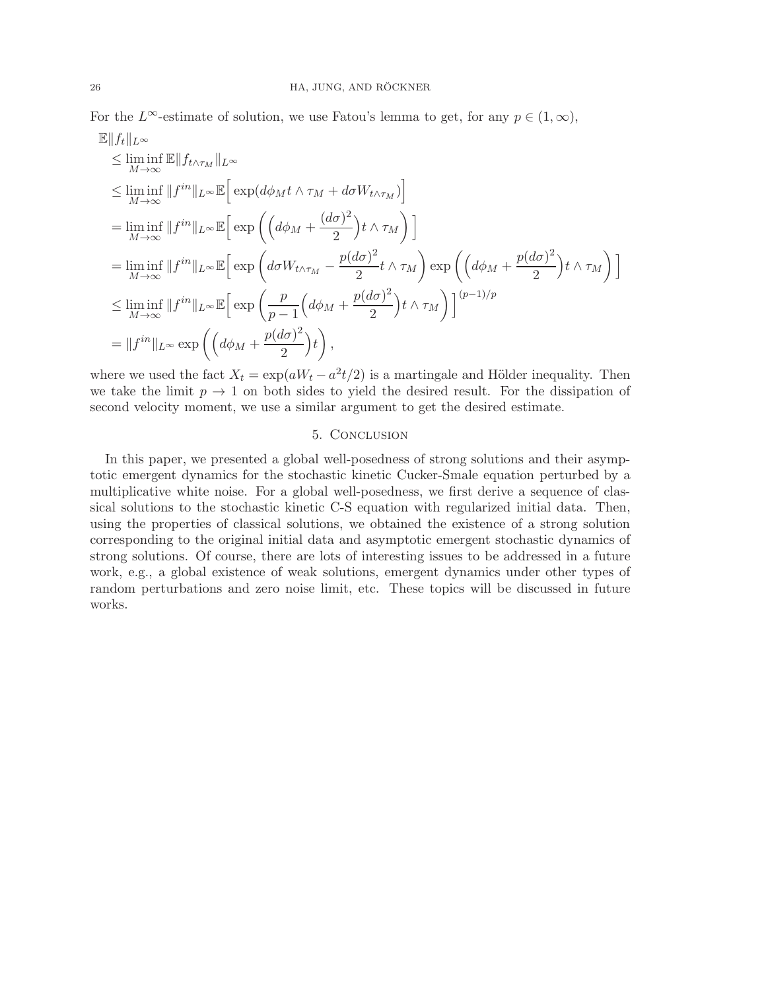For the L<sup>∞</sup>-estimate of solution, we use Fatou's lemma to get, for any  $p \in (1,\infty)$ ,  $\mathbb{E} \parallel f_* \parallel$ 

$$
\leq \liminf_{M \to \infty} \mathbb{E} ||f_{t \wedge \tau_M}||_{L^{\infty}}\n\n\leq \liminf_{M \to \infty} ||f^{in}||_{L^{\infty}} \mathbb{E} \Big[ \exp \Big(d \phi_M t \wedge \tau_M + d \sigma W_{t \wedge \tau_M}\Big)\Big]
$$
\n
$$
= \liminf_{M \to \infty} ||f^{in}||_{L^{\infty}} \mathbb{E} \Big[ \exp \Big(\Big(d \phi_M + \frac{(d \sigma)^2}{2}\Big) t \wedge \tau_M\Big)\Big]
$$
\n
$$
= \liminf_{M \to \infty} ||f^{in}||_{L^{\infty}} \mathbb{E} \Big[ \exp \Big(d \sigma W_{t \wedge \tau_M} - \frac{p(d \sigma)^2}{2} t \wedge \tau_M\Big) \exp \Big(\Big(d \phi_M + \frac{p(d \sigma)^2}{2}\Big) t \wedge \tau_M\Big)\Big]
$$
\n
$$
\leq \liminf_{M \to \infty} ||f^{in}||_{L^{\infty}} \mathbb{E} \Big[ \exp \Big(\frac{p}{p-1} \Big(d \phi_M + \frac{p(d \sigma)^2}{2}\Big) t \wedge \tau_M\Big) \Big]^{(p-1)/p}
$$
\n
$$
= ||f^{in}||_{L^{\infty}} \exp \Big(\Big(d \phi_M + \frac{p(d \sigma)^2}{2}\Big) t \Big),
$$

where we used the fact  $X_t = \exp(aW_t - a^2t/2)$  is a martingale and Hölder inequality. Then we take the limit  $p \to 1$  on both sides to yield the desired result. For the dissipation of second velocity moment, we use a similar argument to get the desired estimate.

## 5. Conclusion

In this paper, we presented a global well-posedness of strong solutions and their asymptotic emergent dynamics for the stochastic kinetic Cucker-Smale equation perturbed by a multiplicative white noise. For a global well-posedness, we first derive a sequence of classical solutions to the stochastic kinetic C-S equation with regularized initial data. Then, using the properties of classical solutions, we obtained the existence of a strong solution corresponding to the original initial data and asymptotic emergent stochastic dynamics of strong solutions. Of course, there are lots of interesting issues to be addressed in a future work, e.g., a global existence of weak solutions, emergent dynamics under other types of random perturbations and zero noise limit, etc. These topics will be discussed in future works.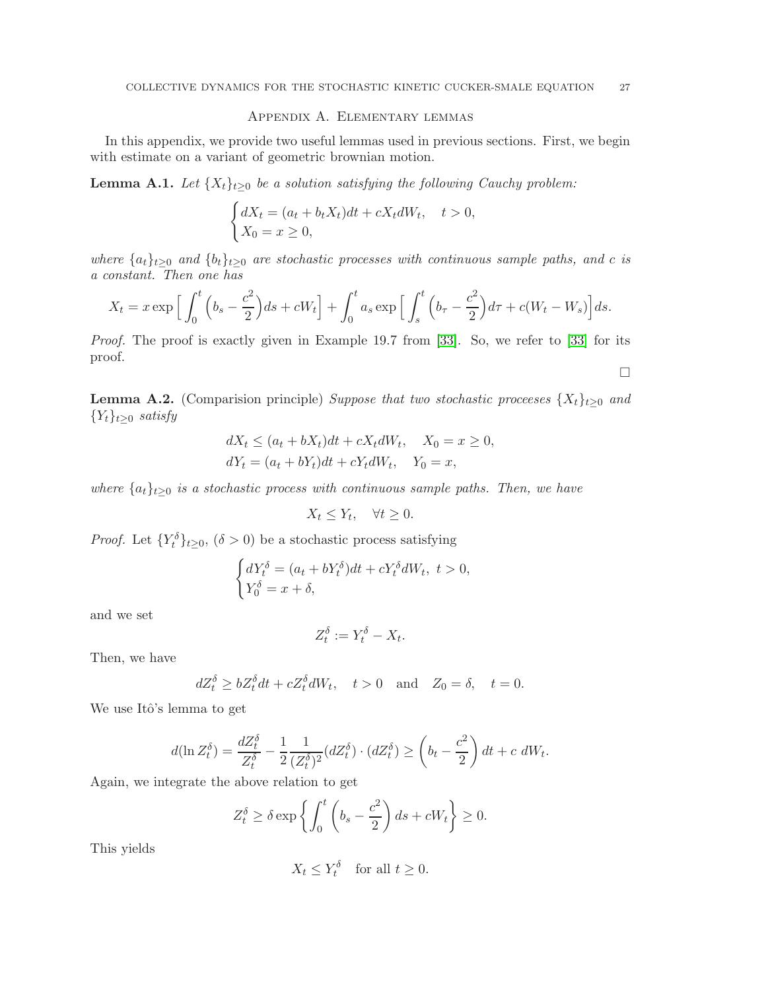## Appendix A. Elementary lemmas

In this appendix, we provide two useful lemmas used in previous sections. First, we begin with estimate on a variant of geometric brownian motion.

<span id="page-26-0"></span>**Lemma A.1.** Let  $\{X_t\}_{t\geq0}$  be a solution satisfying the following Cauchy problem:

$$
\begin{cases} dX_t = (a_t + b_t X_t)dt + cX_t dW_t, & t > 0, \\ X_0 = x \ge 0, \end{cases}
$$

where  $\{a_t\}_{t\geq0}$  and  $\{b_t\}_{t\geq0}$  are stochastic processes with continuous sample paths, and c is a constant. Then one has

$$
X_t = x \exp\Big[\int_0^t \Big(b_s - \frac{c^2}{2}\Big)ds + cW_t\Big] + \int_0^t a_s \exp\Big[\int_s^t \Big(b_\tau - \frac{c^2}{2}\Big)d\tau + c(W_t - W_s)\Big]ds.
$$

Proof. The proof is exactly given in Example 19.7 from [\[33\]](#page-32-10). So, we refer to [33] for its proof.

<span id="page-26-1"></span>**Lemma A.2.** (Comparision principle) Suppose that two stochastic processes  $\{X_t\}_{t>0}$  and  ${Y_t}_{t\geq0}$  satisfy

$$
dX_t \le (a_t + bX_t)dt + cX_t dW_t, \quad X_0 = x \ge 0,
$$
  

$$
dY_t = (a_t + bY_t)dt + cY_t dW_t, \quad Y_0 = x,
$$

where  $\{a_t\}_{t\geq 0}$  is a stochastic process with continuous sample paths. Then, we have

$$
X_t \le Y_t, \quad \forall t \ge 0.
$$

*Proof.* Let  $\{Y_t^{\delta}\}_{t\geq 0}$ ,  $(\delta > 0)$  be a stochastic process satisfying

$$
\begin{cases} dY_t^{\delta} = (a_t + bY_t^{\delta})dt + cY_t^{\delta}dW_t, \ t > 0, \\ Y_0^{\delta} = x + \delta, \end{cases}
$$

and we set

$$
Z_t^{\delta} := Y_t^{\delta} - X_t.
$$

Then, we have

$$
dZ_t^{\delta} \ge bZ_t^{\delta} dt + cZ_t^{\delta} dW_t, \quad t > 0 \quad \text{and} \quad Z_0 = \delta, \quad t = 0.
$$

We use Itô's lemma to get

$$
d(\ln Z_t^{\delta}) = \frac{dZ_t^{\delta}}{Z_t^{\delta}} - \frac{1}{2} \frac{1}{(Z_t^{\delta})^2} (dZ_t^{\delta}) \cdot (dZ_t^{\delta}) \ge \left(b_t - \frac{c^2}{2}\right) dt + c \ dW_t.
$$

Again, we integrate the above relation to get

$$
Z_t^{\delta} \ge \delta \exp\left\{ \int_0^t \left( b_s - \frac{c^2}{2} \right) ds + cW_t \right\} \ge 0.
$$

This yields

$$
X_t \le Y_t^\delta \quad \text{for all } t \ge 0.
$$

 $\Box$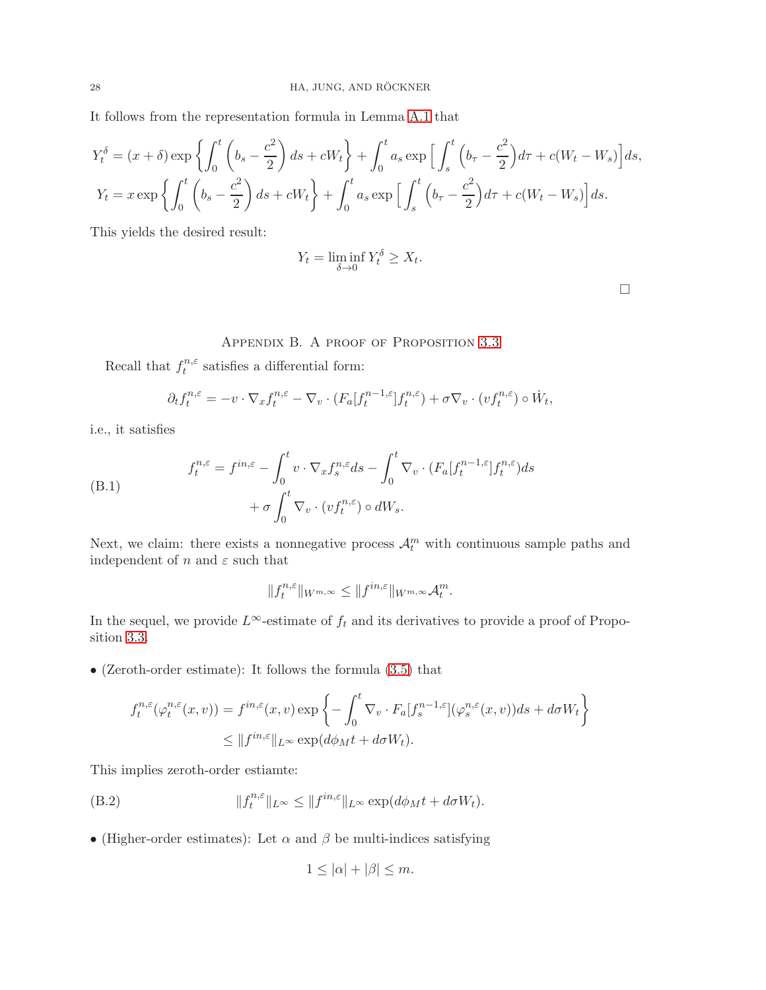It follows from the representation formula in Lemma [A.1](#page-26-0) that

$$
Y_t^{\delta} = (x+\delta) \exp\left\{ \int_0^t \left( b_s - \frac{c^2}{2} \right) ds + cW_t \right\} + \int_0^t a_s \exp\left[ \int_s^t \left( b_\tau - \frac{c^2}{2} \right) d\tau + c(W_t - W_s) \right] ds,
$$
  

$$
Y_t = x \exp\left\{ \int_0^t \left( b_s - \frac{c^2}{2} \right) ds + cW_t \right\} + \int_0^t a_s \exp\left[ \int_s^t \left( b_\tau - \frac{c^2}{2} \right) d\tau + c(W_t - W_s) \right] ds.
$$

This yields the desired result:

$$
Y_t = \liminf_{\delta \to 0} Y_t^{\delta} \ge X_t.
$$

## APPENDIX B. A PROOF OF PROPOSITION [3.3](#page-13-1)

Recall that  $f_t^{n,\varepsilon}$  $t^{n,\varepsilon}$  satisfies a differential form:

$$
\partial_t f_t^{n,\varepsilon} = -v \cdot \nabla_x f_t^{n,\varepsilon} - \nabla_v \cdot (F_a[f_t^{n-1,\varepsilon}] f_t^{n,\varepsilon}) + \sigma \nabla_v \cdot (vf_t^{n,\varepsilon}) \circ \dot{W}_t,
$$

i.e., it satisfies

<span id="page-27-1"></span>(B.1) 
$$
f_t^{n,\varepsilon} = f^{in,\varepsilon} - \int_0^t v \cdot \nabla_x f_s^{n,\varepsilon} ds - \int_0^t \nabla_v \cdot (F_a[f_t^{n-1,\varepsilon}] f_t^{n,\varepsilon}) ds + \sigma \int_0^t \nabla_v \cdot (vf_t^{n,\varepsilon}) \circ dW_s.
$$

Next, we claim: there exists a nonnegative process  $\mathcal{A}_t^m$  with continuous sample paths and independent of  $n$  and  $\varepsilon$  such that

$$
||f_t^{n,\varepsilon}||_{W^{m,\infty}} \leq ||f^{in,\varepsilon}||_{W^{m,\infty}}\mathcal{A}_t^m.
$$

In the sequel, we provide  $L^{\infty}$ -estimate of  $f_t$  and its derivatives to provide a proof of Proposition [3.3.](#page-13-1)

• (Zeroth-order estimate): It follows the formula [\(3.5\)](#page-9-3) that

$$
f_t^{n,\varepsilon}(\varphi_t^{n,\varepsilon}(x,v)) = f^{in,\varepsilon}(x,v) \exp\left\{-\int_0^t \nabla_v \cdot F_a[f_s^{n-1,\varepsilon}](\varphi_s^{n,\varepsilon}(x,v))ds + d\sigma W_t\right\}
$$
  

$$
\leq \|f^{in,\varepsilon}\|_{L^\infty} \exp(d\phi_M t + d\sigma W_t).
$$

This implies zeroth-order estiamte:

(B.2) 
$$
||f_t^{n,\varepsilon}||_{L^{\infty}} \leq ||f^{in,\varepsilon}||_{L^{\infty}} \exp(d\phi_M t + d\sigma W_t).
$$

• (Higher-order estimates): Let  $\alpha$  and  $\beta$  be multi-indices satisfying

<span id="page-27-0"></span>
$$
1 \leq |\alpha| + |\beta| \leq m.
$$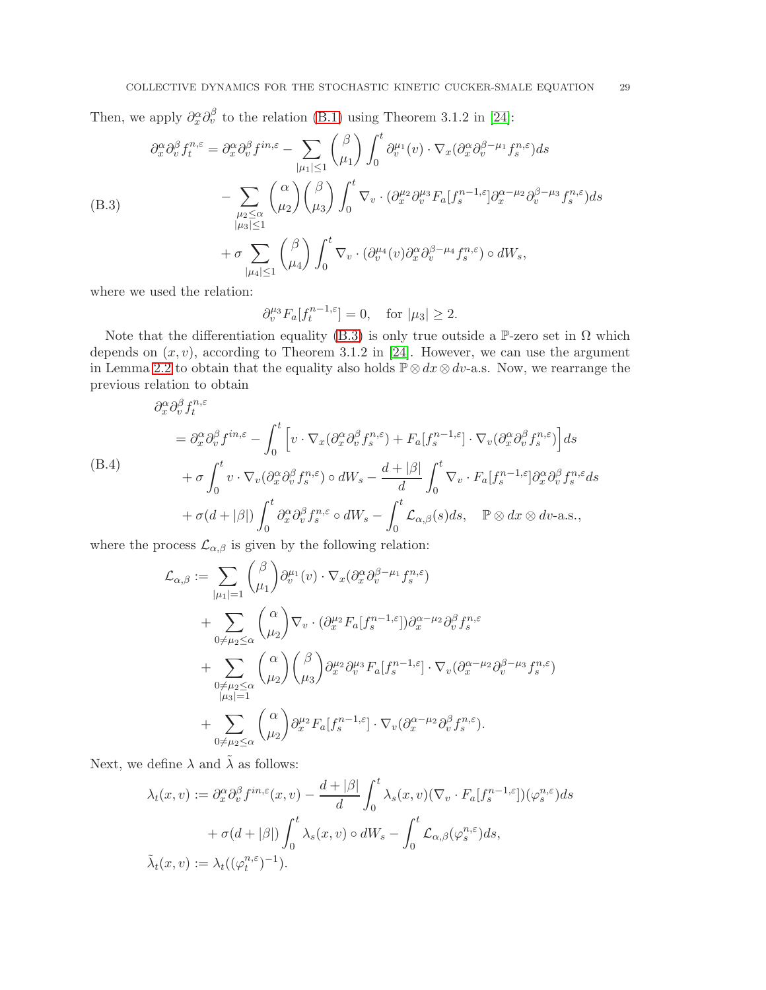Then, we apply  $\partial_x^{\alpha} \partial_v^{\beta}$  to the relation [\(B.1\)](#page-27-1) using Theorem 3.1.2 in [\[24\]](#page-31-23):

<span id="page-28-0"></span>
$$
\partial_x^{\alpha} \partial_v^{\beta} f_t^{n,\varepsilon} = \partial_x^{\alpha} \partial_v^{\beta} f^{in,\varepsilon} - \sum_{|\mu_1| \le 1} {\beta \choose \mu_1} \int_0^t \partial_v^{\mu_1}(v) \cdot \nabla_x (\partial_x^{\alpha} \partial_v^{\beta-\mu_1} f_s^{n,\varepsilon}) ds
$$
  
\n(B.3)  
\n
$$
- \sum_{\substack{\mu_2 \le \alpha \\ |\mu_3| \le 1}} {\alpha \choose \mu_2} {\beta \choose \mu_3} \int_0^t \nabla_v \cdot (\partial_x^{\mu_2} \partial_v^{\mu_3} F_a[f_s^{n-1,\varepsilon}] \partial_x^{\alpha-\mu_2} \partial_v^{\beta-\mu_3} f_s^{n,\varepsilon}) ds
$$
  
\n
$$
+ \sigma \sum_{|\mu_4| \le 1} {\beta \choose \mu_4} \int_0^t \nabla_v \cdot (\partial_v^{\mu_4}(v) \partial_x^{\alpha} \partial_v^{\beta-\mu_4} f_s^{n,\varepsilon}) \circ dW_s,
$$

where we used the relation:

$$
\partial_v^{\mu_3} F_a[f_t^{n-1,\varepsilon}] = 0, \quad \text{for } |\mu_3| \ge 2.
$$

Note that the differentiation equality [\(B.3\)](#page-28-0) is only true outside a P-zero set in  $\Omega$  which depends on  $(x, v)$ , according to Theorem 3.1.2 in [\[24\]](#page-31-23). However, we can use the argument in Lemma [2.2](#page-3-3) to obtain that the equality also holds  $\mathbb{P} \otimes dx \otimes dv$ -a.s. Now, we rearrange the previous relation to obtain

<span id="page-28-1"></span>
$$
\partial_x^{\alpha} \partial_v^{\beta} f_t^{n,\varepsilon} = \partial_x^{\alpha} \partial_v^{\beta} f^{in,\varepsilon} - \int_0^t \left[ v \cdot \nabla_x (\partial_x^{\alpha} \partial_v^{\beta} f_s^{n,\varepsilon}) + F_a[f_s^{n-1,\varepsilon}] \cdot \nabla_v (\partial_x^{\alpha} \partial_v^{\beta} f_s^{n,\varepsilon}) \right] ds
$$
\n(B.4)  
\n
$$
+ \sigma \int_0^t v \cdot \nabla_v (\partial_x^{\alpha} \partial_v^{\beta} f_s^{n,\varepsilon}) \circ dW_s - \frac{d + |\beta|}{d} \int_0^t \nabla_v \cdot F_a[f_s^{n-1,\varepsilon}] \partial_x^{\alpha} \partial_v^{\beta} f_s^{n,\varepsilon} ds
$$
\n
$$
+ \sigma (d + |\beta|) \int_0^t \partial_x^{\alpha} \partial_v^{\beta} f_s^{n,\varepsilon} \circ dW_s - \int_0^t \mathcal{L}_{\alpha,\beta}(s) ds, \quad \mathbb{P} \otimes dx \otimes dv \text{-a.s.},
$$

where the process  $\mathcal{L}_{\alpha,\beta}$  is given by the following relation:

$$
\mathcal{L}_{\alpha,\beta} := \sum_{|\mu_1|=1} {\beta \choose \mu_1} \partial_v^{\mu_1}(v) \cdot \nabla_x (\partial_x^{\alpha} \partial_v^{\beta-\mu_1} f_s^{n,\varepsilon}) \n+ \sum_{0 \neq \mu_2 \leq \alpha} {\alpha \choose \mu_2} \nabla_v \cdot (\partial_x^{\mu_2} F_a[f_s^{n-1,\varepsilon}]) \partial_x^{\alpha-\mu_2} \partial_v^{\beta} f_s^{n,\varepsilon} \n+ \sum_{\substack{0 \neq \mu_2 \leq \alpha \\ |\mu_3|=1}} {\alpha \choose \mu_2} {\beta \choose \mu_3} \partial_x^{\mu_2} \partial_v^{\mu_3} F_a[f_s^{n-1,\varepsilon}] \cdot \nabla_v (\partial_x^{\alpha-\mu_2} \partial_v^{\beta-\mu_3} f_s^{n,\varepsilon}) \n+ \sum_{0 \neq \mu_2 \leq \alpha} {\alpha \choose \mu_2} \partial_x^{\mu_2} F_a[f_s^{n-1,\varepsilon}] \cdot \nabla_v (\partial_x^{\alpha-\mu_2} \partial_v^{\beta} f_s^{n,\varepsilon}).
$$

Next, we define  $\lambda$  and  $\tilde{\lambda}$  as follows:

$$
\lambda_t(x,v) := \partial_x^{\alpha} \partial_v^{\beta} f^{in,\varepsilon}(x,v) - \frac{d+|\beta|}{d} \int_0^t \lambda_s(x,v) (\nabla_v \cdot F_a[f_s^{n-1,\varepsilon}])(\varphi_s^{n,\varepsilon}) ds + \sigma(d+|\beta|) \int_0^t \lambda_s(x,v) \circ dW_s - \int_0^t \mathcal{L}_{\alpha,\beta}(\varphi_s^{n,\varepsilon}) ds, \tilde{\lambda}_t(x,v) := \lambda_t((\varphi_t^{n,\varepsilon})^{-1}).
$$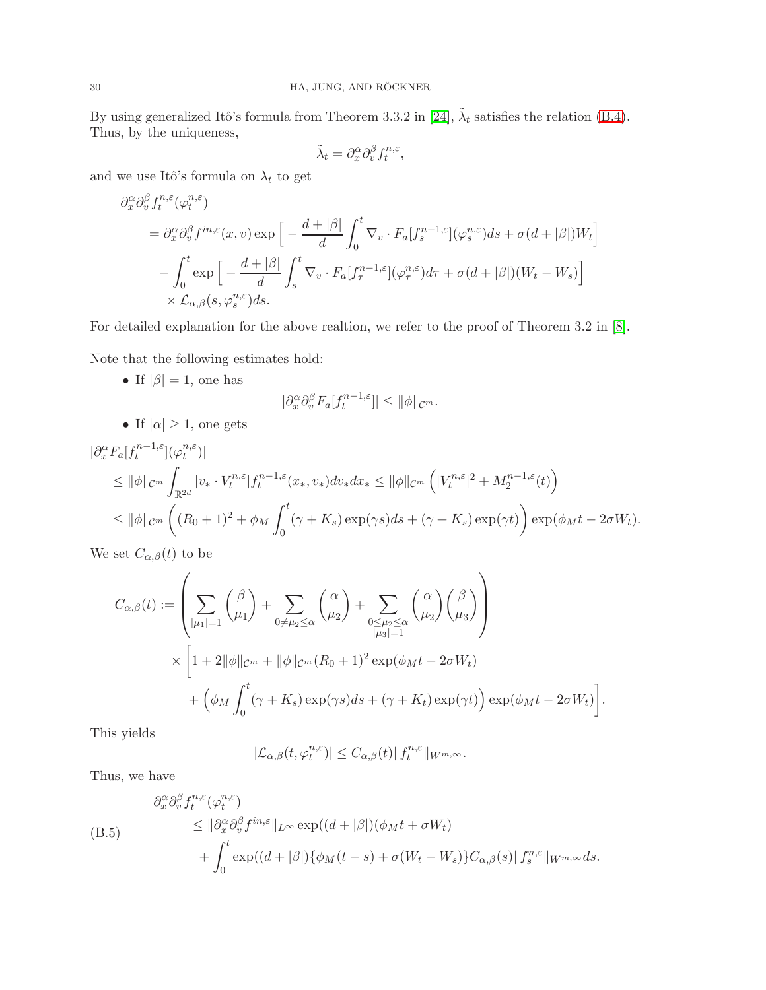By using generalized Itô's formula from Theorem 3.3.2 in [\[24\]](#page-31-23),  $\tilde{\lambda}_t$  satisfies the relation [\(B.4\)](#page-28-1). Thus, by the uniqueness,

$$
\tilde{\lambda}_t = \partial_x^{\alpha} \partial_v^{\beta} f_t^{n,\varepsilon},
$$

and we use Itô's formula on  $\lambda_t$  to get

$$
\partial_x^{\alpha} \partial_v^{\beta} f_t^{n,\varepsilon}(\varphi_t^{n,\varepsilon})
$$
\n
$$
= \partial_x^{\alpha} \partial_v^{\beta} f^{in,\varepsilon}(x,v) \exp\Big[-\frac{d+|\beta|}{d} \int_0^t \nabla_v \cdot F_a[f_s^{n-1,\varepsilon}](\varphi_s^{n,\varepsilon}) ds + \sigma(d+|\beta|)W_t\Big]
$$
\n
$$
- \int_0^t \exp\Big[-\frac{d+|\beta|}{d} \int_s^t \nabla_v \cdot F_a[f_\tau^{n-1,\varepsilon}](\varphi_\tau^{n,\varepsilon}) d\tau + \sigma(d+|\beta|)(W_t - W_s)\Big]
$$
\n
$$
\times \mathcal{L}_{\alpha,\beta}(s,\varphi_s^{n,\varepsilon}) ds.
$$

For detailed explanation for the above realtion, we refer to the proof of Theorem 3.2 in [\[8\]](#page-31-24).

Note that the following estimates hold:

• If  $|\beta| = 1$ , one has

$$
|\partial_x^{\alpha} \partial_v^{\beta} F_a[f_t^{n-1,\varepsilon}]| \le ||\phi||_{\mathcal{C}^m}.
$$

• If  $|\alpha| \geq 1$ , one gets

$$
\begin{split} |\partial_x^{\alpha} F_a[f_t^{n-1,\varepsilon}](\varphi_t^{n,\varepsilon})| \\ &\leq \|\phi\|_{\mathcal{C}^m} \int_{\mathbb{R}^{2d}} |v_* \cdot V_t^{n,\varepsilon}| f_t^{n-1,\varepsilon}(x_*,v_*) dv_* dx_* \leq \|\phi\|_{\mathcal{C}^m} \left( |V_t^{n,\varepsilon}|^2 + M_2^{n-1,\varepsilon}(t) \right) \\ &\leq \|\phi\|_{\mathcal{C}^m} \left( (R_0+1)^2 + \phi_M \int_0^t (\gamma + K_s) \exp(\gamma s) ds + (\gamma + K_s) \exp(\gamma t) \right) \exp(\phi_M t - 2\sigma W_t). \end{split}
$$

We set  $C_{\alpha,\beta}(t)$  to be

$$
C_{\alpha,\beta}(t) := \left( \sum_{|\mu_1|=1} {\beta \choose \mu_1} + \sum_{0 \neq \mu_2 \leq \alpha} {\alpha \choose \mu_2} + \sum_{0 \leq \mu_2 \leq \alpha \atop |\mu_3|=1} {\alpha \choose \mu_2} {\beta \choose \mu_3} \right)
$$
  
 
$$
\times \left[ 1 + 2||\phi||_{C^m} + ||\phi||_{C^m} (R_0 + 1)^2 \exp(\phi_M t - 2\sigma W_t) + (\phi_M \int_0^t (\gamma + K_s) \exp(\gamma s) ds + (\gamma + K_t) \exp(\gamma t) \exp(\phi_M t - 2\sigma W_t) \right].
$$

This yields

$$
|\mathcal{L}_{\alpha,\beta}(t,\varphi_t^{n,\varepsilon})| \leq C_{\alpha,\beta}(t) \|f_t^{n,\varepsilon}\|_{W^{m,\infty}}.
$$

Thus, we have

<span id="page-29-0"></span>
$$
\partial_x^{\alpha} \partial_v^{\beta} f_t^{n,\varepsilon}(\varphi_t^{n,\varepsilon})
$$
\n
$$
\leq \|\partial_x^{\alpha} \partial_v^{\beta} f^{in,\varepsilon}\|_{L^{\infty}} \exp((d+|\beta|)(\phi_M t + \sigma W_t))
$$
\n
$$
+ \int_0^t \exp((d+|\beta|)\{\phi_M(t-s) + \sigma(W_t - W_s)\}C_{\alpha,\beta}(s)\|f_s^{n,\varepsilon}\|_{W^{m,\infty}} ds.
$$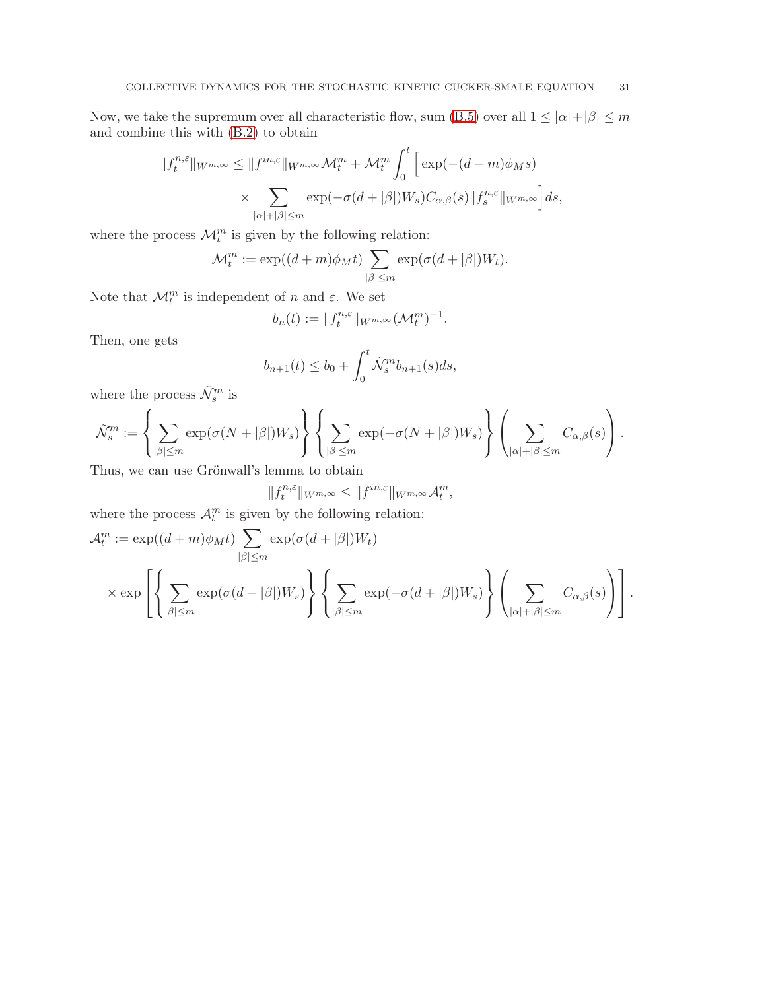Now, we take the supremum over all characteristic flow, sum [\(B.5\)](#page-29-0) over all  $1 \leq |\alpha| + |\beta| \leq m$ and combine this with [\(B.2\)](#page-27-0) to obtain

$$
||f_t^{n,\varepsilon}||_{W^{m,\infty}} \le ||f^{in,\varepsilon}||_{W^{m,\infty}} \mathcal{M}_t^m + \mathcal{M}_t^m \int_0^t \left[ \exp(-(d+m)\phi_M s) \times \sum_{|\alpha|+|\beta| \le m} \exp(-\sigma(d+|\beta|)W_s) C_{\alpha,\beta}(s) ||f_s^{n,\varepsilon}||_{W^{m,\infty}} \right] ds,
$$

where the process  $\mathcal{M}_t^m$  is given by the following relation:

$$
\mathcal{M}_t^m := \exp((d+m)\phi_M t) \sum_{|\beta| \le m} \exp(\sigma(d+|\beta|)W_t).
$$

Note that  $\mathcal{M}_t^m$  is independent of n and  $\varepsilon$ . We set

$$
b_n(t) := \|f_t^{n,\varepsilon}\|_{W^{m,\infty}} (\mathcal{M}_t^m)^{-1}.
$$

Then, one gets

$$
b_{n+1}(t) \le b_0 + \int_0^t \tilde{\mathcal{N}}_s^m b_{n+1}(s) ds,
$$

where the process  $\tilde{\mathcal{N}}^{m}_{s}$  is

$$
\tilde{\mathcal{N}}_s^m := \left\{ \sum_{|\beta| \leq m} \exp(\sigma(N + |\beta|) W_s) \right\} \left\{ \sum_{|\beta| \leq m} \exp(-\sigma(N + |\beta|) W_s) \right\} \left( \sum_{|\alpha| + |\beta| \leq m} C_{\alpha,\beta}(s) \right).
$$

Thus, we can use Grönwall's lemma to obtain

$$
||f_t^{n,\varepsilon}||_{W^{m,\infty}} \leq ||f^{in,\varepsilon}||_{W^{m,\infty}}\mathcal{A}_t^m,
$$

where the process  $\mathcal{A}_t^m$  is given by the following relation:

$$
\mathcal{A}_t^m := \exp((d+m)\phi_M t) \sum_{|\beta| \le m} \exp(\sigma(d+|\beta|)W_t)
$$
  
 
$$
\times \exp\left[\left\{\sum_{|\beta| \le m} \exp(\sigma(d+|\beta|)W_s)\right\} \left\{\sum_{|\beta| \le m} \exp(-\sigma(d+|\beta|)W_s)\right\} \left(\sum_{|\alpha|+|\beta| \le m} C_{\alpha,\beta}(s)\right)\right].
$$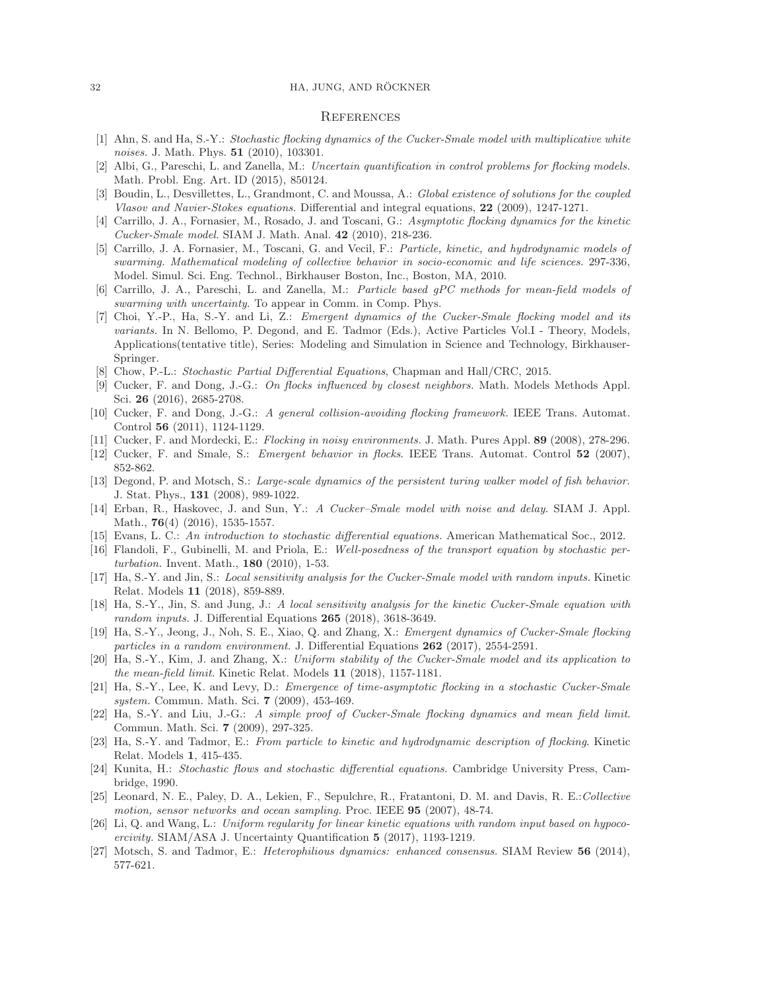#### 32 HA, JUNG, AND RÖCKNER

## **REFERENCES**

- <span id="page-31-19"></span>[1] Ahn, S. and Ha, S.-Y.: Stochastic flocking dynamics of the Cucker-Smale model with multiplicative white noises. J. Math. Phys. **51** (2010), 103301.
- <span id="page-31-14"></span>[2] Albi, G., Pareschi, L. and Zanella, M.: Uncertain quantification in control problems for flocking models. Math. Probl. Eng. Art. ID (2015), 850124.
- <span id="page-31-26"></span><span id="page-31-11"></span>[3] Boudin, L., Desvillettes, L., Grandmont, C. and Moussa, A.: Global existence of solutions for the coupled Vlasov and Navier-Stokes equations. Differential and integral equations, 22 (2009), 1247-1271.
- [4] Carrillo, J. A., Fornasier, M., Rosado, J. and Toscani, G.: Asymptotic flocking dynamics for the kinetic Cucker-Smale model. SIAM J. Math. Anal. 42 (2010), 218-236.
- <span id="page-31-3"></span>[5] Carrillo, J. A. Fornasier, M., Toscani, G. and Vecil, F.: Particle, kinetic, and hydrodynamic models of swarming. Mathematical modeling of collective behavior in socio-economic and life sciences. 297-336, Model. Simul. Sci. Eng. Technol., Birkhauser Boston, Inc., Boston, MA, 2010.
- <span id="page-31-15"></span><span id="page-31-4"></span>[6] Carrillo, J. A., Pareschi, L. and Zanella, M.: Particle based gPC methods for mean-field models of swarming with uncertainty. To appear in Comm. in Comp. Phys.
- [7] Choi, Y.-P., Ha, S.-Y. and Li, Z.: Emergent dynamics of the Cucker-Smale flocking model and its variants. In N. Bellomo, P. Degond, and E. Tadmor (Eds.), Active Particles Vol.I - Theory, Models, Applications(tentative title), Series: Modeling and Simulation in Science and Technology, Birkhauser-Springer.
- <span id="page-31-24"></span><span id="page-31-5"></span>[8] Chow, P.-L.: Stochastic Partial Differential Equations, Chapman and Hall/CRC, 2015.
- [9] Cucker, F. and Dong, J.-G.: On flocks influenced by closest neighbors. Math. Models Methods Appl. Sci. 26 (2016), 2685-2708.
- <span id="page-31-6"></span>[10] Cucker, F. and Dong, J.-G.: A general collision-avoiding flocking framework. IEEE Trans. Automat. Control 56 (2011), 1124-1129.
- <span id="page-31-16"></span><span id="page-31-0"></span>[11] Cucker, F. and Mordecki, E.: Flocking in noisy environments. J. Math. Pures Appl. 89 (2008), 278-296.
- <span id="page-31-1"></span>[12] Cucker, F. and Smale, S.: *Emergent behavior in flocks*. IEEE Trans. Automat. Control 52 (2007), 852-862.
- [13] Degond, P. and Motsch, S.: Large-scale dynamics of the persistent turing walker model of fish behavior. J. Stat. Phys., 131 (2008), 989-1022.
- <span id="page-31-20"></span>[14] Erban, R., Haskovec, J. and Sun, Y.: A Cucker–Smale model with noise and delay. SIAM J. Appl. Math., **76**(4) (2016), 1535-1557.
- <span id="page-31-25"></span><span id="page-31-22"></span>[15] Evans, L. C.: An introduction to stochastic differential equations. American Mathematical Soc., 2012.
- [16] Flandoli, F., Gubinelli, M. and Priola, E.: Well-posedness of the transport equation by stochastic perturbation. Invent. Math., 180 (2010), 1-53.
- <span id="page-31-17"></span>[17] Ha, S.-Y. and Jin, S.: Local sensitivity analysis for the Cucker-Smale model with random inputs. Kinetic Relat. Models 11 (2018), 859-889.
- <span id="page-31-13"></span>[18] Ha, S.-Y., Jin, S. and Jung, J.: A local sensitivity analysis for the kinetic Cucker-Smale equation with random inputs. J. Differential Equations 265 (2018), 3618-3649.
- <span id="page-31-12"></span>[19] Ha, S.-Y., Jeong, J., Noh, S. E., Xiao, Q. and Zhang, X.: Emergent dynamics of Cucker-Smale flocking particles in a random environment. J. Differential Equations  $262$  (2017), 2554-2591.
- <span id="page-31-8"></span>[20] Ha, S.-Y., Kim, J. and Zhang, X.: Uniform stability of the Cucker-Smale model and its application to the mean-field limit. Kinetic Relat. Models 11 (2018), 1157-1181.
- <span id="page-31-21"></span>[21] Ha, S.-Y., Lee, K. and Levy, D.: Emergence of time-asymptotic flocking in a stochastic Cucker-Smale system. Commun. Math. Sci. **7** (2009), 453-469.
- <span id="page-31-9"></span>[22] Ha, S.-Y. and Liu, J.-G.: A simple proof of Cucker-Smale flocking dynamics and mean field limit. Commun. Math. Sci. 7 (2009), 297-325.
- <span id="page-31-10"></span>[23] Ha, S.-Y. and Tadmor, E.: From particle to kinetic and hydrodynamic description of flocking. Kinetic Relat. Models 1, 415-435.
- <span id="page-31-23"></span>[24] Kunita, H.: Stochastic flows and stochastic differential equations. Cambridge University Press, Cambridge, 1990.
- <span id="page-31-7"></span>[25] Leonard, N. E., Paley, D. A., Lekien, F., Sepulchre, R., Fratantoni, D. M. and Davis, R. E.:Collective motion, sensor networks and ocean sampling. Proc. IEEE **95** (2007), 48-74.
- <span id="page-31-18"></span>[26] Li, Q. and Wang, L.: Uniform regularity for linear kinetic equations with random input based on hypocoercivity. SIAM/ASA J. Uncertainty Quantification 5 (2017), 1193-1219.
- <span id="page-31-2"></span>[27] Motsch, S. and Tadmor, E.: *Heterophilious dynamics: enhanced consensus*. SIAM Review 56 (2014), 577-621.